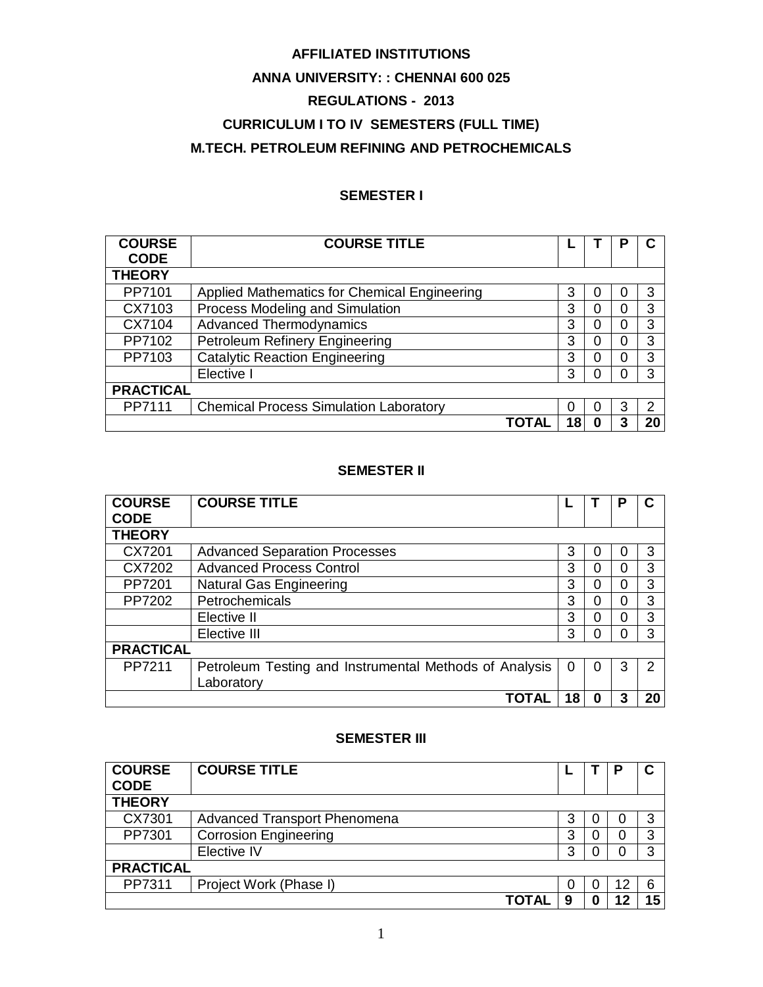# **AFFILIATED INSTITUTIONS**

## **ANNA UNIVERSITY: : CHENNAI 600 025**

# **REGULATIONS - 2013**

# **CURRICULUM I TO IV SEMESTERS (FULL TIME) M.TECH. PETROLEUM REFINING AND PETROCHEMICALS**

# **SEMESTER I**

| <b>COURSE</b><br><b>CODE</b> | <b>COURSE TITLE</b>                           |    |   |   |    |
|------------------------------|-----------------------------------------------|----|---|---|----|
| <b>THEORY</b>                |                                               |    |   |   |    |
| PP7101                       | Applied Mathematics for Chemical Engineering  | 3  | O |   | 3  |
| CX7103                       | Process Modeling and Simulation               | 3  | 0 |   | 3  |
| CX7104                       | <b>Advanced Thermodynamics</b>                | 3  | 0 |   | 3  |
| PP7102                       | Petroleum Refinery Engineering                | 3  | 0 |   | 3  |
| PP7103                       | <b>Catalytic Reaction Engineering</b>         | 3  | 0 |   | 3  |
|                              | Elective I                                    | 3  | O |   | 3  |
| <b>PRACTICAL</b>             |                                               |    |   |   |    |
| PP7111                       | <b>Chemical Process Simulation Laboratory</b> | 0  | O | 3 | 2  |
|                              |                                               | 18 | O |   | 20 |

### **SEMESTER II**

| <b>COURSE</b><br><b>CODE</b> | <b>COURSE TITLE</b>                                                  |    |   | Ρ |    |
|------------------------------|----------------------------------------------------------------------|----|---|---|----|
| <b>THEORY</b>                |                                                                      |    |   |   |    |
| CX7201                       | <b>Advanced Separation Processes</b>                                 | 3  | O |   | 3  |
| CX7202                       | <b>Advanced Process Control</b>                                      | 3  | 0 | 0 | 3  |
| PP7201                       | <b>Natural Gas Engineering</b>                                       | 3  | 0 | O | 3  |
| PP7202                       | Petrochemicals                                                       | 3  | 0 |   | 3  |
|                              | Elective II                                                          | 3  | 0 |   | 3  |
|                              | Elective III                                                         | 3  | 0 | ŋ | 3  |
| <b>PRACTICAL</b>             |                                                                      |    |   |   |    |
| PP7211                       | Petroleum Testing and Instrumental Methods of Analysis<br>Laboratory | 0  | 0 | 3 | っ  |
|                              | TOTAI                                                                | 18 | 0 |   | 20 |

#### **SEMESTER III**

| <b>COURSE</b><br><b>CODE</b> | <b>COURSE TITLE</b>                 |   |  |    | C  |  |
|------------------------------|-------------------------------------|---|--|----|----|--|
| <b>THEORY</b>                |                                     |   |  |    |    |  |
| CX7301                       | <b>Advanced Transport Phenomena</b> | 3 |  |    | 3  |  |
| PP7301                       | <b>Corrosion Engineering</b>        | 3 |  |    | 3  |  |
|                              | Elective IV                         |   |  |    |    |  |
| <b>PRACTICAL</b>             |                                     |   |  |    |    |  |
| PP7311                       | Project Work (Phase I)              | 0 |  | 12 | 6  |  |
|                              | ΤΟΤΑΙ                               | 9 |  |    | 15 |  |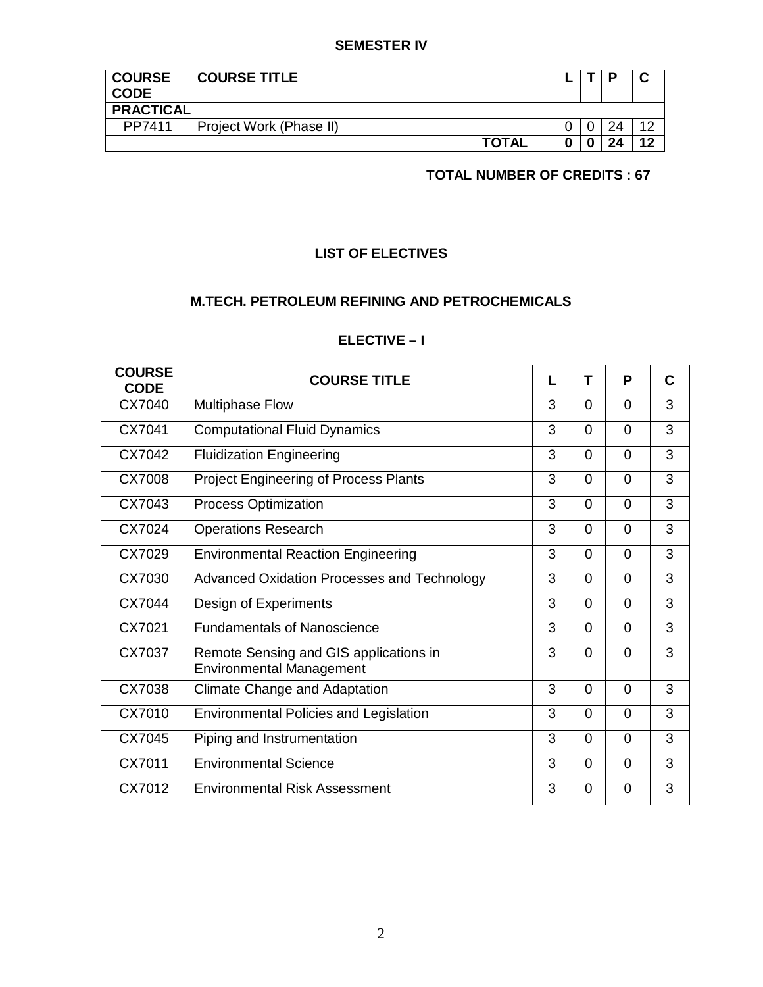### **SEMESTER IV**

| <b>COURSE</b><br><b>CODE</b> | <b>COURSE TITLE</b>     |   | п  |    |
|------------------------------|-------------------------|---|----|----|
| <b>PRACTICAL</b>             |                         |   |    |    |
| PP7411                       | Project Work (Phase II) |   | 24 | 10 |
|                              | <b>TOTAL</b>            | 0 | 24 | 10 |

# **TOTAL NUMBER OF CREDITS : 67**

# **LIST OF ELECTIVES**

# **M.TECH. PETROLEUM REFINING AND PETROCHEMICALS**

# **ELECTIVE – I**

| <b>COURSE</b><br><b>CODE</b> | <b>COURSE TITLE</b>                                                       | L              | т              | P              | C |
|------------------------------|---------------------------------------------------------------------------|----------------|----------------|----------------|---|
| CX7040                       | <b>Multiphase Flow</b>                                                    | 3              | $\Omega$       | $\Omega$       | 3 |
| CX7041                       | <b>Computational Fluid Dynamics</b>                                       | 3              | $\Omega$       | $\Omega$       | 3 |
| CX7042                       | <b>Fluidization Engineering</b>                                           | 3              | $\Omega$       | $\Omega$       | 3 |
| CX7008                       | <b>Project Engineering of Process Plants</b>                              | 3              | $\Omega$       | $\Omega$       | 3 |
| CX7043                       | <b>Process Optimization</b>                                               | 3              | $\Omega$       | $\Omega$       | 3 |
| CX7024                       | <b>Operations Research</b>                                                | 3              | $\Omega$       | $\overline{0}$ | 3 |
| CX7029                       | <b>Environmental Reaction Engineering</b>                                 | 3              | $\Omega$       | $\Omega$       | 3 |
| CX7030                       | Advanced Oxidation Processes and Technology                               | 3              | $\Omega$       | $\Omega$       | 3 |
| CX7044                       | Design of Experiments                                                     | 3              | $\Omega$       | $\Omega$       | 3 |
| CX7021                       | <b>Fundamentals of Nanoscience</b>                                        | 3              | $\overline{0}$ | $\overline{0}$ | 3 |
| CX7037                       | Remote Sensing and GIS applications in<br><b>Environmental Management</b> | 3              | $\Omega$       | $\Omega$       | 3 |
| CX7038                       | Climate Change and Adaptation                                             | 3              | $\Omega$       | $\Omega$       | 3 |
| CX7010                       | <b>Environmental Policies and Legislation</b>                             | 3              | $\Omega$       | $\Omega$       | 3 |
| CX7045                       | Piping and Instrumentation                                                | $\overline{3}$ | $\Omega$       | $\Omega$       | 3 |
| CX7011                       | <b>Environmental Science</b>                                              | 3              | $\overline{0}$ | $\Omega$       | 3 |
| CX7012                       | <b>Environmental Risk Assessment</b>                                      | 3              | $\Omega$       | $\Omega$       | 3 |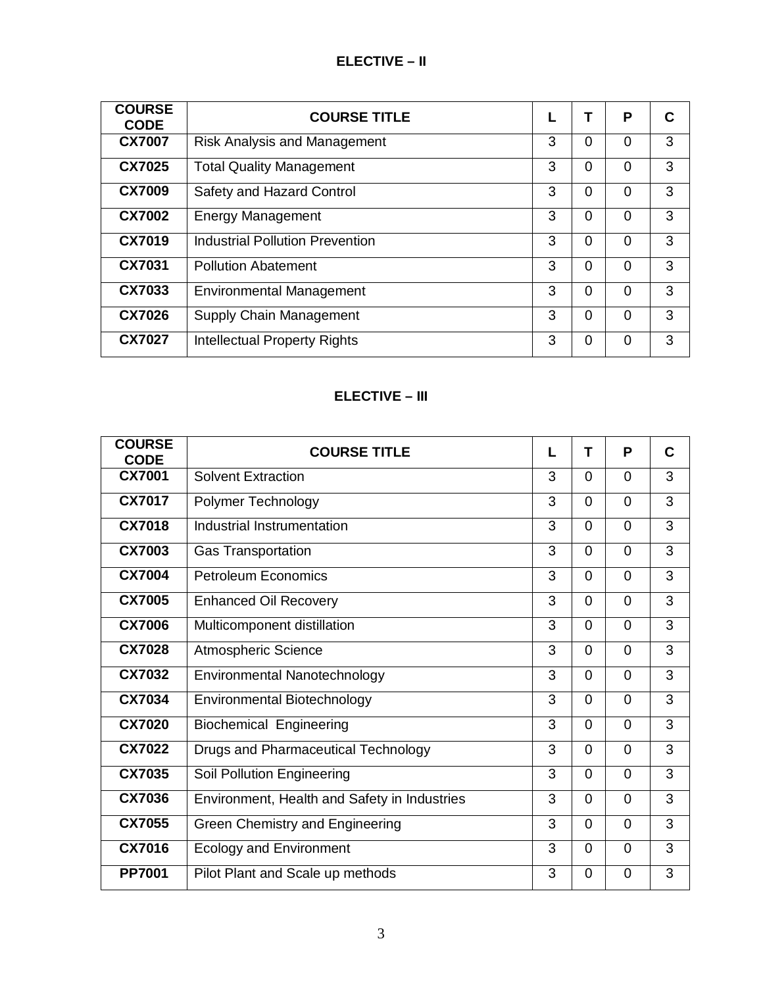# **ELECTIVE – II**

| <b>COURSE</b><br><b>CODE</b> | <b>COURSE TITLE</b>                    |   |          | P        | С |
|------------------------------|----------------------------------------|---|----------|----------|---|
| <b>CX7007</b>                | <b>Risk Analysis and Management</b>    | 3 | 0        | $\Omega$ | 3 |
| <b>CX7025</b>                | <b>Total Quality Management</b>        | 3 | $\Omega$ | 0        | 3 |
| <b>CX7009</b>                | Safety and Hazard Control              | 3 | $\Omega$ | $\Omega$ | 3 |
| <b>CX7002</b>                | <b>Energy Management</b>               | 3 | $\Omega$ | $\Omega$ | 3 |
| <b>CX7019</b>                | <b>Industrial Pollution Prevention</b> | 3 | $\Omega$ | $\Omega$ | 3 |
| CX7031                       | <b>Pollution Abatement</b>             | 3 | $\Omega$ | $\Omega$ | 3 |
| CX7033                       | <b>Environmental Management</b>        | 3 | $\Omega$ | $\Omega$ | 3 |
| <b>CX7026</b>                | Supply Chain Management                | 3 | $\Omega$ | 0        | 3 |
| <b>CX7027</b>                | <b>Intellectual Property Rights</b>    | 3 | $\Omega$ | ∩        | 3 |

# **ELECTIVE – III**

| <b>COURSE</b><br><b>CODE</b> | <b>COURSE TITLE</b>                          | L              | т              | P              | C              |
|------------------------------|----------------------------------------------|----------------|----------------|----------------|----------------|
| <b>CX7001</b>                | <b>Solvent Extraction</b>                    | 3              | 0              | $\overline{0}$ | 3              |
| <b>CX7017</b>                | Polymer Technology                           | 3              | $\Omega$       | $\overline{0}$ | 3              |
| <b>CX7018</b>                | Industrial Instrumentation                   | 3              | $\Omega$       | $\overline{0}$ | 3              |
| <b>CX7003</b>                | <b>Gas Transportation</b>                    | 3              | $\overline{0}$ | $\overline{0}$ | 3              |
| <b>CX7004</b>                | <b>Petroleum Economics</b>                   | 3              | $\Omega$       | $\overline{0}$ | 3              |
| <b>CX7005</b>                | <b>Enhanced Oil Recovery</b>                 | 3              | $\Omega$       | $\Omega$       | 3              |
| <b>CX7006</b>                | Multicomponent distillation                  | $\overline{3}$ | $\Omega$       | $\overline{0}$ | $\overline{3}$ |
| <b>CX7028</b>                | Atmospheric Science                          | 3              | $\Omega$       | $\Omega$       | 3              |
| CX7032                       | Environmental Nanotechnology                 | 3              | $\Omega$       | $\overline{0}$ | 3              |
| <b>CX7034</b>                | <b>Environmental Biotechnology</b>           | 3              | $\Omega$       | $\Omega$       | 3              |
| <b>CX7020</b>                | <b>Biochemical Engineering</b>               | 3              | $\Omega$       | $\Omega$       | 3              |
| <b>CX7022</b>                | Drugs and Pharmaceutical Technology          | 3              | $\Omega$       | $\overline{0}$ | 3              |
| <b>CX7035</b>                | Soil Pollution Engineering                   | 3              | $\Omega$       | $\Omega$       | 3              |
| <b>CX7036</b>                | Environment, Health and Safety in Industries | 3              | $\Omega$       | $\overline{0}$ | 3              |
| <b>CX7055</b>                | Green Chemistry and Engineering              | 3              | $\Omega$       | $\overline{0}$ | 3              |
| <b>CX7016</b>                | <b>Ecology and Environment</b>               | 3              | $\overline{0}$ | $\overline{0}$ | 3              |
| <b>PP7001</b>                | Pilot Plant and Scale up methods             | 3              | $\Omega$       | $\Omega$       | 3              |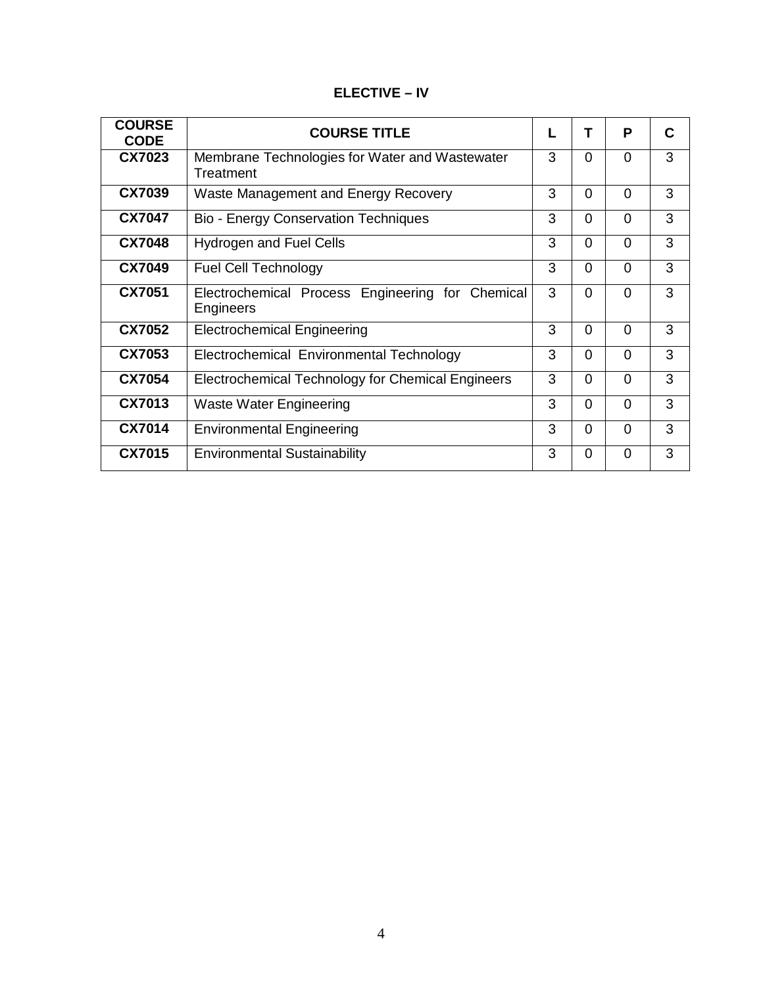| <b>ELECTIVE – IV</b> |  |
|----------------------|--|
|----------------------|--|

| <b>COURSE</b><br><b>CODE</b> | <b>COURSE TITLE</b>                                                  | L |          | P              | С |
|------------------------------|----------------------------------------------------------------------|---|----------|----------------|---|
| CX7023                       | Membrane Technologies for Water and Wastewater<br>Treatment          | 3 | $\Omega$ | $\Omega$       | 3 |
| CX7039                       | Waste Management and Energy Recovery                                 | 3 | $\Omega$ | $\Omega$       | 3 |
| <b>CX7047</b>                | <b>Bio - Energy Conservation Techniques</b>                          | 3 | $\Omega$ | $\Omega$       | 3 |
| <b>CX7048</b>                | <b>Hydrogen and Fuel Cells</b>                                       | 3 | $\Omega$ | $\Omega$       | 3 |
| <b>CX7049</b>                | <b>Fuel Cell Technology</b>                                          | 3 | $\Omega$ | $\Omega$       | 3 |
| <b>CX7051</b>                | Electrochemical Process Engineering for Chemical<br><b>Engineers</b> | 3 | 0        | $\Omega$       | 3 |
| CX7052                       | <b>Electrochemical Engineering</b>                                   | 3 | $\Omega$ | $\Omega$       | 3 |
| CX7053                       | Electrochemical Environmental Technology                             | 3 | $\Omega$ | $\Omega$       | 3 |
| <b>CX7054</b>                | Electrochemical Technology for Chemical Engineers                    | 3 | $\Omega$ | $\overline{0}$ | 3 |
| CX7013                       | <b>Waste Water Engineering</b>                                       | 3 | $\Omega$ | $\Omega$       | 3 |
| <b>CX7014</b>                | <b>Environmental Engineering</b>                                     | 3 | $\Omega$ | $\Omega$       | 3 |
| <b>CX7015</b>                | <b>Environmental Sustainability</b>                                  | 3 | 0        | $\Omega$       | 3 |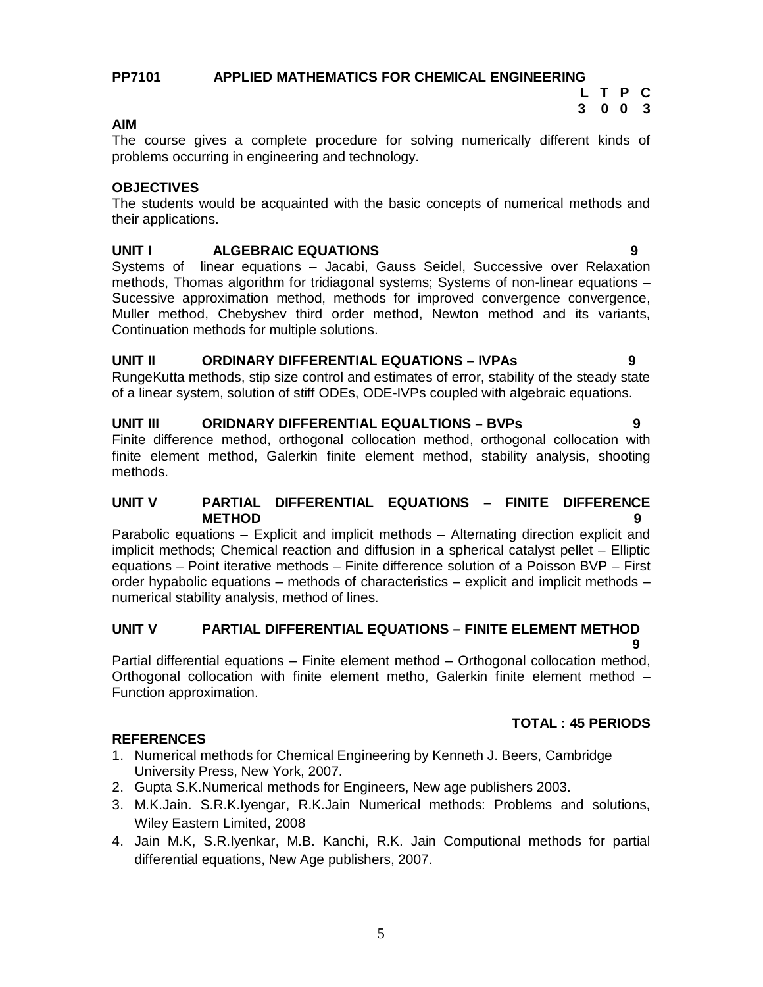5

#### **PP7101 APPLIED MATHEMATICS FOR CHEMICAL ENGINEERING L T P C**

# **AIM**

The course gives a complete procedure for solving numerically different kinds of problems occurring in engineering and technology.

# **OBJECTIVES**

The students would be acquainted with the basic concepts of numerical methods and their applications.

# **UNIT I ALGEBRAIC EQUATIONS 9**

Systems of linear equations – Jacabi, Gauss Seidel, Successive over Relaxation methods, Thomas algorithm for tridiagonal systems; Systems of non-linear equations – Sucessive approximation method, methods for improved convergence convergence, Muller method, Chebyshev third order method, Newton method and its variants, Continuation methods for multiple solutions.

### **UNIT II ORDINARY DIFFERENTIAL EQUATIONS – IVPAs 9**

RungeKutta methods, stip size control and estimates of error, stability of the steady state of a linear system, solution of stiff ODEs, ODE-IVPs coupled with algebraic equations.

#### **UNIT III ORIDNARY DIFFERENTIAL EQUALTIONS – BVPs 9**

Finite difference method, orthogonal collocation method, orthogonal collocation with finite element method, Galerkin finite element method, stability analysis, shooting methods.

#### **UNIT V PARTIAL DIFFERENTIAL EQUATIONS – FINITE DIFFERENCE METHOD 9**

Parabolic equations – Explicit and implicit methods – Alternating direction explicit and implicit methods; Chemical reaction and diffusion in a spherical catalyst pellet – Elliptic equations – Point iterative methods – Finite difference solution of a Poisson BVP – First order hypabolic equations – methods of characteristics – explicit and implicit methods – numerical stability analysis, method of lines.

#### **UNIT V PARTIAL DIFFERENTIAL EQUATIONS – FINITE ELEMENT METHOD 9**

Partial differential equations – Finite element method – Orthogonal collocation method, Orthogonal collocation with finite element metho, Galerkin finite element method – Function approximation.

### **REFERENCES**

- 1. Numerical methods for Chemical Engineering by Kenneth J. Beers, Cambridge University Press, New York, 2007.
- 2. Gupta S.K.Numerical methods for Engineers, New age publishers 2003.
- 3. M.K.Jain. S.R.K.Iyengar, R.K.Jain Numerical methods: Problems and solutions, Wiley Eastern Limited, 2008
- 4. Jain M.K, S.R.Iyenkar, M.B. Kanchi, R.K. Jain Computional methods for partial differential equations, New Age publishers, 2007.

# **TOTAL : 45 PERIODS**

**3 0 0 3**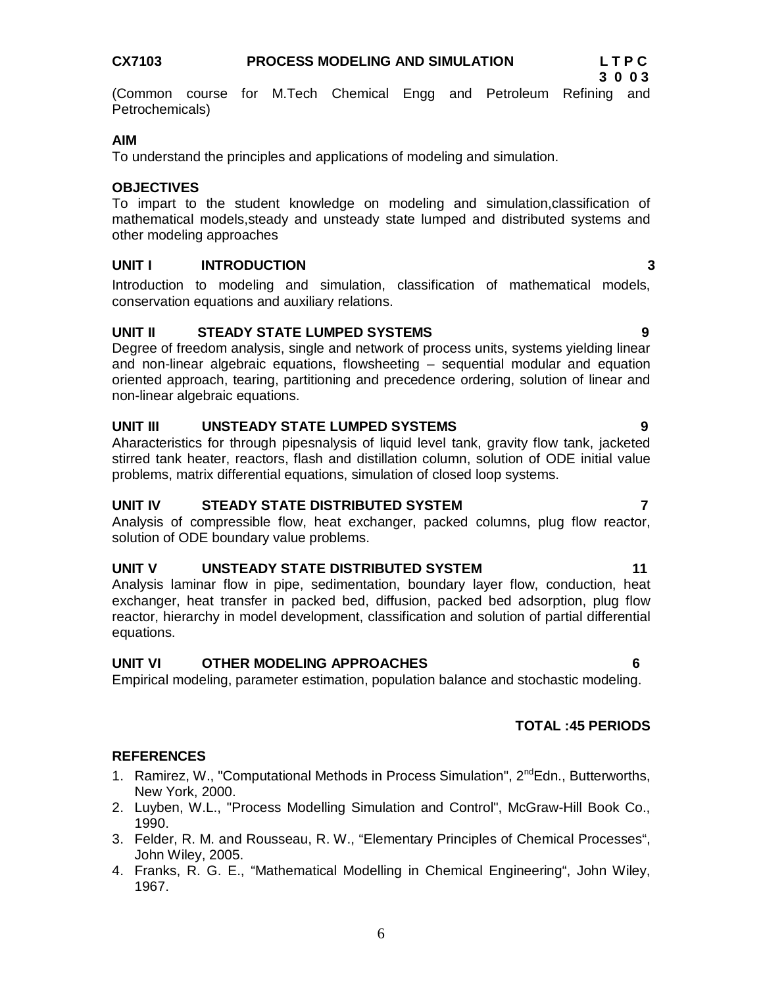# equations.

### **UNIT VI OTHER MODELING APPROACHES 6**

Empirical modeling, parameter estimation, population balance and stochastic modeling.

# **REFERENCES**

- 1. Ramirez, W., "Computational Methods in Process Simulation", 2<sup>nd</sup>Edn., Butterworths, New York, 2000.
- 2. Luyben, W.L., "Process Modelling Simulation and Control", McGraw-Hill Book Co., 1990.
- 3. Felder, R. M. and Rousseau, R. W., "Elementary Principles of Chemical Processes", John Wiley, 2005.
- 4. Franks, R. G. E., "Mathematical Modelling in Chemical Engineering", John Wiley, 1967.

conservation equations and auxiliary relations.

### **UNIT II STEADY STATE LUMPED SYSTEMS 9**

Degree of freedom analysis, single and network of process units, systems yielding linear and non-linear algebraic equations, flowsheeting – sequential modular and equation oriented approach, tearing, partitioning and precedence ordering, solution of linear and non-linear algebraic equations.

# **UNIT III UNSTEADY STATE LUMPED SYSTEMS 9**

Aharacteristics for through pipesnalysis of liquid level tank, gravity flow tank, jacketed stirred tank heater, reactors, flash and distillation column, solution of ODE initial value problems, matrix differential equations, simulation of closed loop systems.

**UNIT IV STEADY STATE DISTRIBUTED SYSTEM 7**

Analysis of compressible flow, heat exchanger, packed columns, plug flow reactor, solution of ODE boundary value problems.

#### **UNIT V UNSTEADY STATE DISTRIBUTED SYSTEM 11**

Analysis laminar flow in pipe, sedimentation, boundary layer flow, conduction, heat exchanger, heat transfer in packed bed, diffusion, packed bed adsorption, plug flow reactor, hierarchy in model development, classification and solution of partial differential

(Common course for M.Tech Chemical Engg and Petroleum Refining and Petrochemicals)

#### **AIM**

To understand the principles and applications of modeling and simulation.

# **OBJECTIVES**

To impart to the student knowledge on modeling and simulation,classification of mathematical models,steady and unsteady state lumped and distributed systems and other modeling approaches

Introduction to modeling and simulation, classification of mathematical models,

#### **UNIT I INTRODUCTION 3**

**TOTAL :45 PERIODS**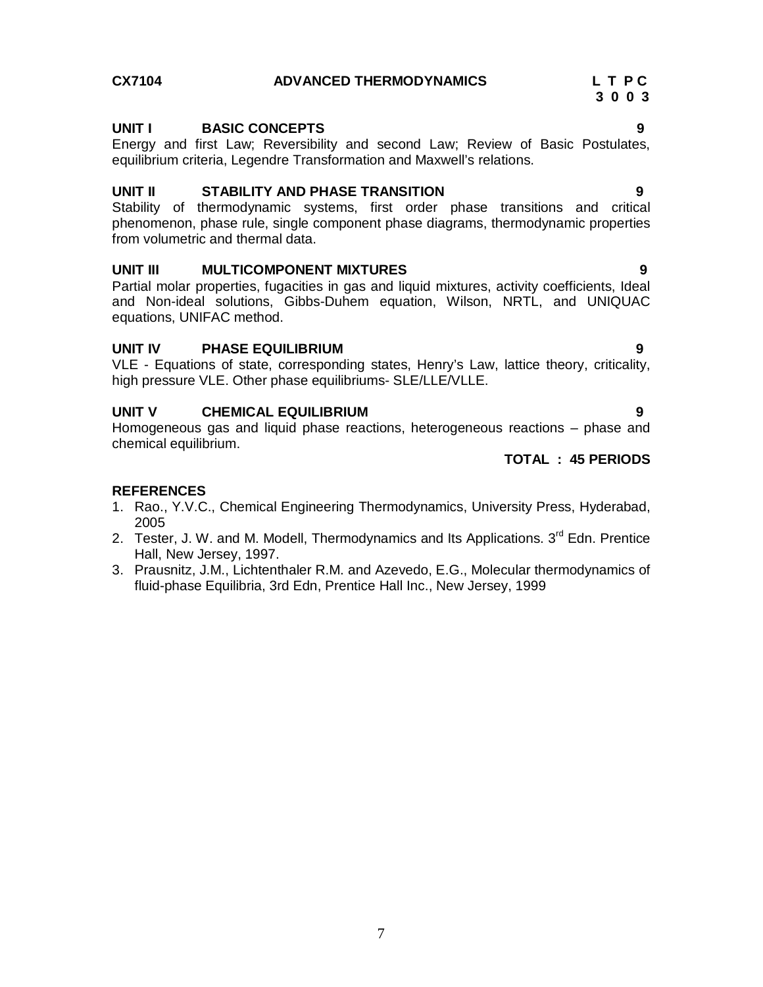# **CX7104 ADVANCED THERMODYNAMICS L T P C 3 0 0 3**

### **UNIT I BASIC CONCEPTS 9**

Energy and first Law; Reversibility and second Law; Review of Basic Postulates, equilibrium criteria, Legendre Transformation and Maxwell's relations.

#### **UNIT II STABILITY AND PHASE TRANSITION 9**

Stability of thermodynamic systems, first order phase transitions and critical phenomenon, phase rule, single component phase diagrams, thermodynamic properties from volumetric and thermal data.

### **UNIT III MULTICOMPONENT MIXTURES 9**

Partial molar properties, fugacities in gas and liquid mixtures, activity coefficients, Ideal and Non-ideal solutions, Gibbs-Duhem equation, Wilson, NRTL, and UNIQUAC equations, UNIFAC method.

#### **UNIT IV PHASE EQUILIBRIUM 9**

VLE - Equations of state, corresponding states, Henry's Law, lattice theory, criticality, high pressure VLE. Other phase equilibriums- SLE/LLE/VLLE.

### **UNIT V CHEMICAL EQUILIBRIUM 9**

Homogeneous gas and liquid phase reactions, heterogeneous reactions – phase and chemical equilibrium.

#### **TOTAL : 45 PERIODS**

- 1. Rao., Y.V.C., Chemical Engineering Thermodynamics, University Press, Hyderabad, 2005
- 2. Tester, J. W. and M. Modell, Thermodynamics and Its Applications. 3<sup>rd</sup> Edn. Prentice Hall, New Jersey, 1997.
- 3. Prausnitz, J.M., Lichtenthaler R.M. and Azevedo, E.G., Molecular thermodynamics of fluid-phase Equilibria, 3rd Edn, Prentice Hall Inc., New Jersey, 1999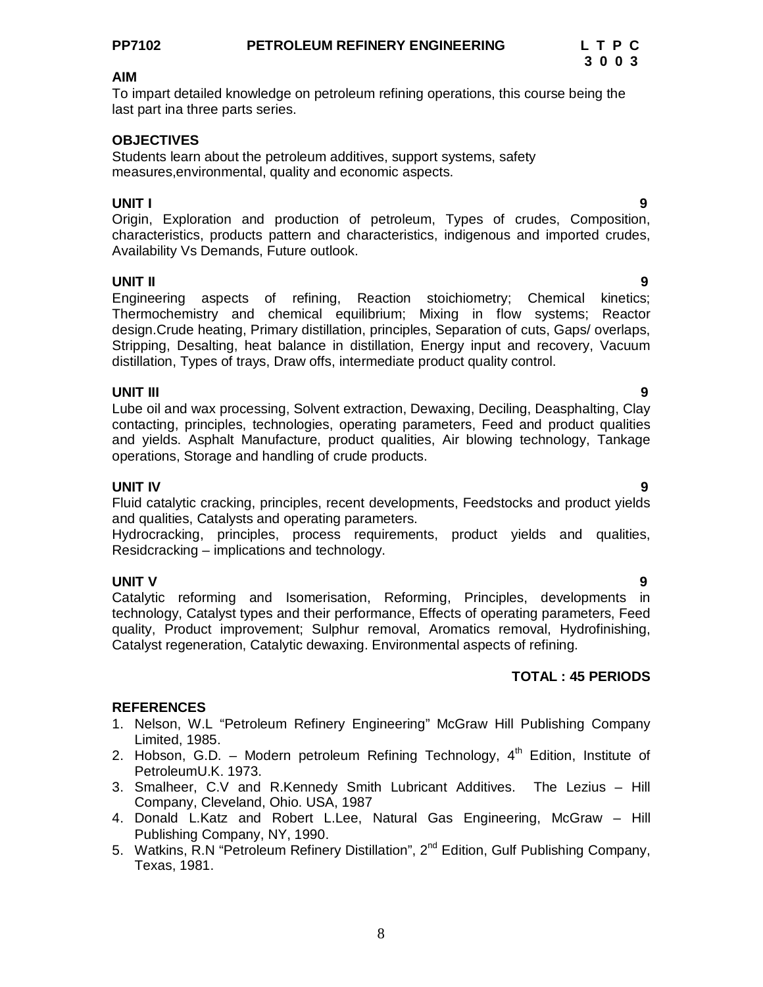To impart detailed knowledge on petroleum refining operations, this course being the last part ina three parts series.

#### **OBJECTIVES**

Students learn about the petroleum additives, support systems, safety measures,environmental, quality and economic aspects.

#### **UNIT I 9**

Origin, Exploration and production of petroleum, Types of crudes, Composition, characteristics, products pattern and characteristics, indigenous and imported crudes, Availability Vs Demands, Future outlook.

#### **UNIT II 9**

Engineering aspects of refining, Reaction stoichiometry; Chemical kinetics; Thermochemistry and chemical equilibrium; Mixing in flow systems; Reactor design.Crude heating, Primary distillation, principles, Separation of cuts, Gaps/ overlaps, Stripping, Desalting, heat balance in distillation, Energy input and recovery, Vacuum distillation, Types of trays, Draw offs, intermediate product quality control.

#### **UNIT III 9**

Lube oil and wax processing, Solvent extraction, Dewaxing, Deciling, Deasphalting, Clay contacting, principles, technologies, operating parameters, Feed and product qualities and yields. Asphalt Manufacture, product qualities, Air blowing technology, Tankage operations, Storage and handling of crude products.

#### **UNIT IV 9**

Fluid catalytic cracking, principles, recent developments, Feedstocks and product yields and qualities, Catalysts and operating parameters.

Hydrocracking, principles, process requirements, product yields and qualities, Residcracking – implications and technology.

#### **UNIT V 9**

Catalytic reforming and Isomerisation, Reforming, Principles, developments in technology, Catalyst types and their performance, Effects of operating parameters, Feed quality, Product improvement; Sulphur removal, Aromatics removal, Hydrofinishing, Catalyst regeneration, Catalytic dewaxing. Environmental aspects of refining.

### **TOTAL : 45 PERIODS**

- 1. Nelson, W.L "Petroleum Refinery Engineering" McGraw Hill Publishing Company Limited, 1985.
- 2. Hobson, G.D. Modern petroleum Refining Technology,  $4<sup>th</sup>$  Edition, Institute of PetroleumU.K. 1973.
- 3. Smalheer, C.V and R.Kennedy Smith Lubricant Additives. The Lezius Hill Company, Cleveland, Ohio. USA, 1987
- 4. Donald L.Katz and Robert L.Lee, Natural Gas Engineering, McGraw Hill Publishing Company, NY, 1990.
- 5. Watkins, R.N "Petroleum Refinery Distillation", 2<sup>nd</sup> Edition, Gulf Publishing Company, Texas, 1981.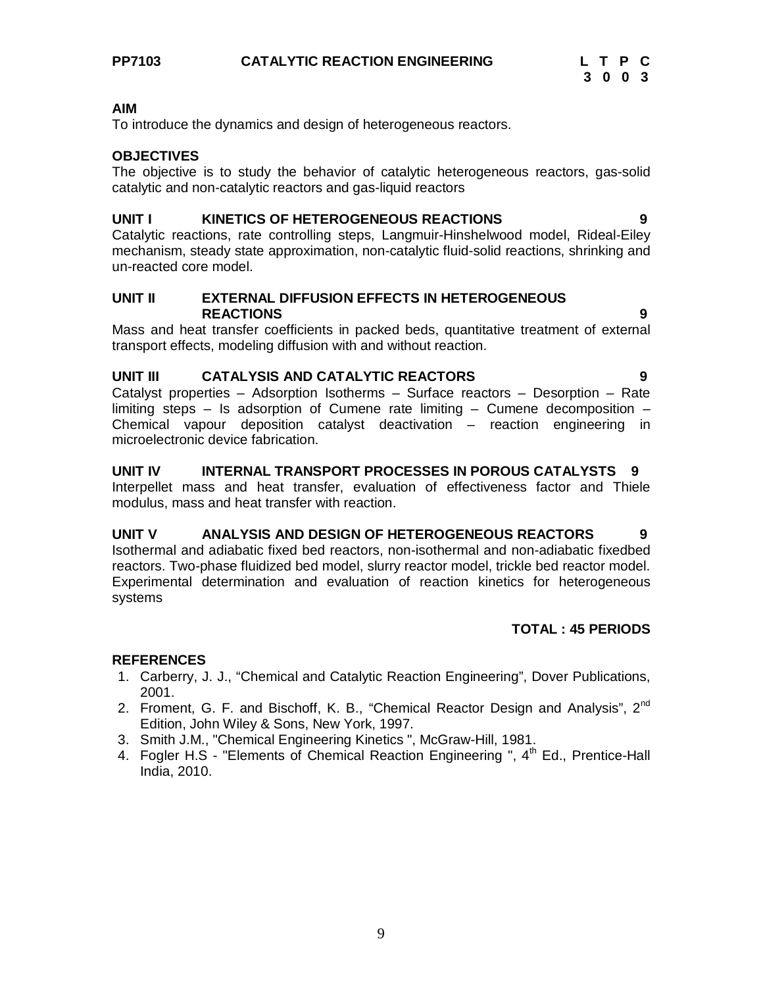To introduce the dynamics and design of heterogeneous reactors.

#### **OBJECTIVES**

The objective is to study the behavior of catalytic heterogeneous reactors, gas-solid catalytic and non-catalytic reactors and gas-liquid reactors

#### **UNIT I KINETICS OF HETEROGENEOUS REACTIONS 9**

Catalytic reactions, rate controlling steps, Langmuir-Hinshelwood model, Rideal-Eiley mechanism, steady state approximation, non-catalytic fluid-solid reactions, shrinking and un-reacted core model.

#### **UNIT II EXTERNAL DIFFUSION EFFECTS IN HETEROGENEOUS REACTIONS 9**

Mass and heat transfer coefficients in packed beds, quantitative treatment of external transport effects, modeling diffusion with and without reaction.

### **UNIT III CATALYSIS AND CATALYTIC REACTORS 9**

Catalyst properties – Adsorption Isotherms – Surface reactors – Desorption – Rate limiting steps – Is adsorption of Cumene rate limiting – Cumene decomposition – Chemical vapour deposition catalyst deactivation – reaction engineering in microelectronic device fabrication.

### **UNIT IV INTERNAL TRANSPORT PROCESSES IN POROUS CATALYSTS 9**

Interpellet mass and heat transfer, evaluation of effectiveness factor and Thiele modulus, mass and heat transfer with reaction.

# **UNIT V ANALYSIS AND DESIGN OF HETEROGENEOUS REACTORS 9**

Isothermal and adiabatic fixed bed reactors, non-isothermal and non-adiabatic fixedbed reactors. Two-phase fluidized bed model, slurry reactor model, trickle bed reactor model. Experimental determination and evaluation of reaction kinetics for heterogeneous systems

### **TOTAL : 45 PERIODS**

- 1. Carberry, J. J., "Chemical and Catalytic Reaction Engineering", Dover Publications, 2001.
- 2. Froment, G. F. and Bischoff, K. B., "Chemical Reactor Design and Analysis", 2<sup>nd</sup> Edition, John Wiley & Sons, New York, 1997.
- 3. Smith J.M., "Chemical Engineering Kinetics ", McGraw-Hill, 1981.
- 4. Fogler H.S "Elements of Chemical Reaction Engineering ", 4<sup>th</sup> Ed., Prentice-Hall India, 2010.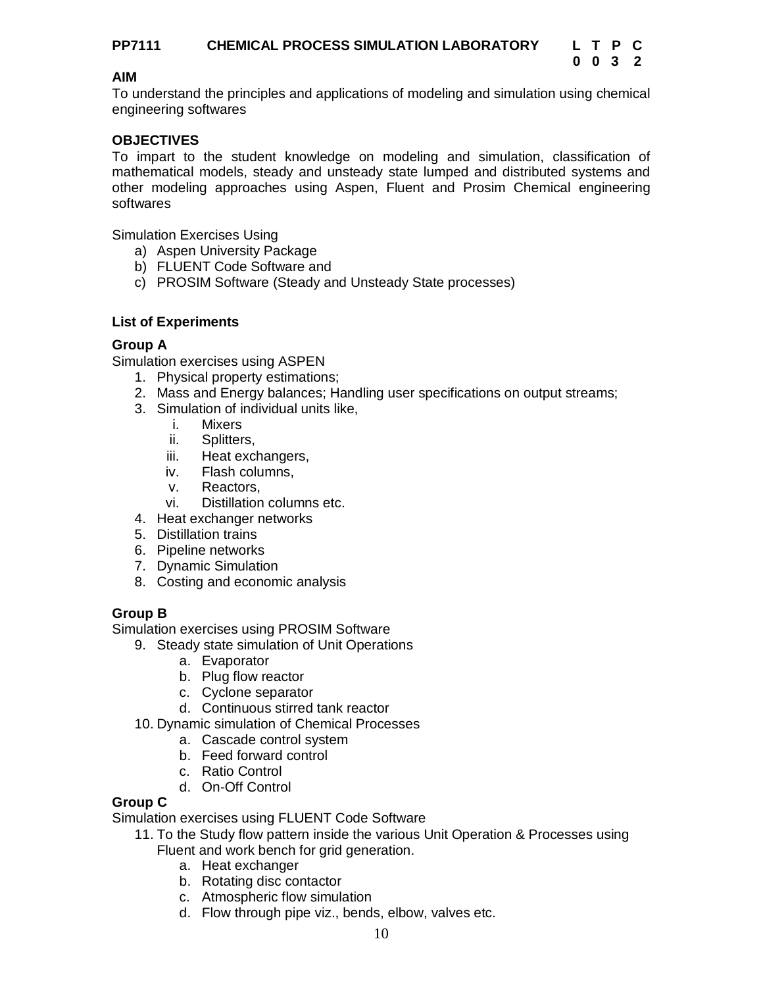To understand the principles and applications of modeling and simulation using chemical engineering softwares

# **OBJECTIVES**

To impart to the student knowledge on modeling and simulation, classification of mathematical models, steady and unsteady state lumped and distributed systems and other modeling approaches using Aspen, Fluent and Prosim Chemical engineering softwares

Simulation Exercises Using

- a) Aspen University Package
- b) FLUENT Code Software and
- c) PROSIM Software (Steady and Unsteady State processes)

# **List of Experiments**

# **Group A**

Simulation exercises using ASPEN

- 1. Physical property estimations;
- 2. Mass and Energy balances; Handling user specifications on output streams;
- 3. Simulation of individual units like,
	- i. Mixers
	- ii. Splitters,
	- iii. Heat exchangers,
	- iv. Flash columns,
	- v. Reactors,
	- vi. Distillation columns etc.
- 4. Heat exchanger networks
- 5. Distillation trains
- 6. Pipeline networks
- 7. Dynamic Simulation
- 8. Costing and economic analysis

# **Group B**

Simulation exercises using PROSIM Software

- 9. Steady state simulation of Unit Operations
	- a. Evaporator
	- b. Plug flow reactor
	- c. Cyclone separator
	- d. Continuous stirred tank reactor
- 10. Dynamic simulation of Chemical Processes
	- a. Cascade control system
	- b. Feed forward control
	- c. Ratio Control
	- d. On-Off Control

### **Group C**

Simulation exercises using FLUENT Code Software

- 11. To the Study flow pattern inside the various Unit Operation & Processes using Fluent and work bench for grid generation.
	- a. Heat exchanger
	- b. Rotating disc contactor
	- c. Atmospheric flow simulation
	- d. Flow through pipe viz., bends, elbow, valves etc.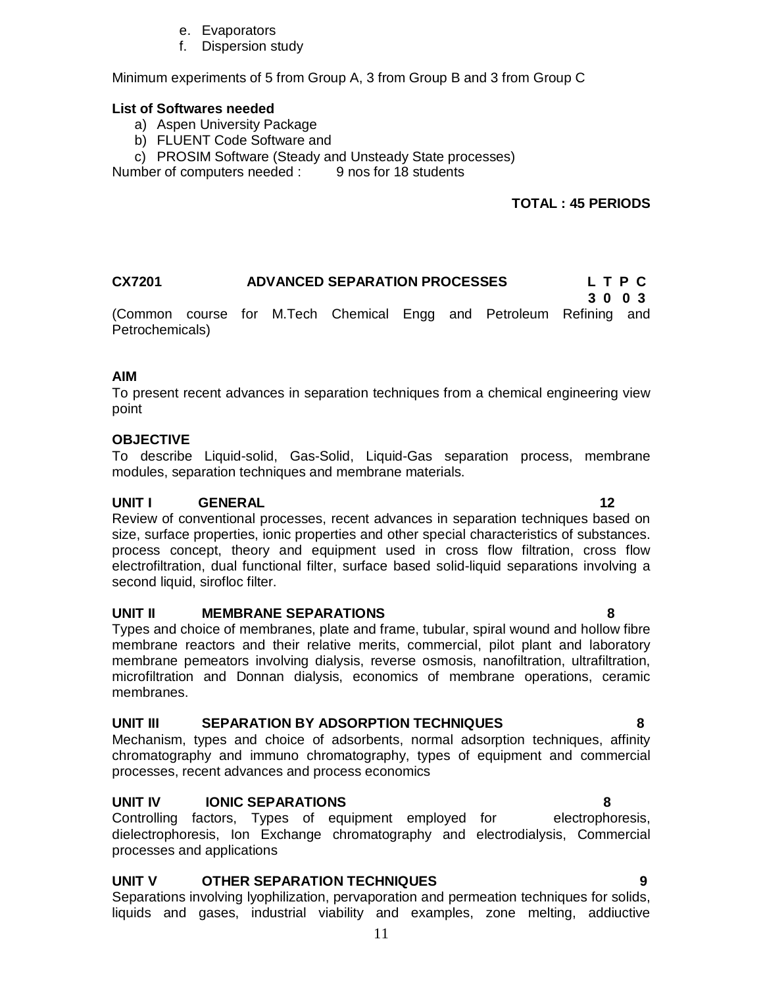- e. Evaporators
- f. Dispersion study

Minimum experiments of 5 from Group A, 3 from Group B and 3 from Group C

#### **List of Softwares needed**

- a) Aspen University Package
- b) FLUENT Code Software and
- c) PROSIM Software (Steady and Unsteady State processes)

Number of computers needed : 9 nos for 18 students

# **TOTAL : 45 PERIODS**

| <b>ADVANCED SEPARATION PROCESSES</b><br><b>CX7201</b> |  |  |  |  |  | LTPC                                                               |      |  |
|-------------------------------------------------------|--|--|--|--|--|--------------------------------------------------------------------|------|--|
|                                                       |  |  |  |  |  | (Common course for M.Tech Chemical Engg and Petroleum Refining and | 3003 |  |
| Petrochemicals)                                       |  |  |  |  |  |                                                                    |      |  |

#### **AIM**

To present recent advances in separation techniques from a chemical engineering view point

#### **OBJECTIVE**

To describe Liquid-solid, Gas-Solid, Liquid-Gas separation process, membrane modules, separation techniques and membrane materials.

### **UNIT I** GENERAL 12

Review of conventional processes, recent advances in separation techniques based on size, surface properties, ionic properties and other special characteristics of substances. process concept, theory and equipment used in cross flow filtration, cross flow electrofiltration, dual functional filter, surface based solid-liquid separations involving a second liquid, sirofloc filter.

#### **UNIT II MEMBRANE SEPARATIONS 8**

Types and choice of membranes, plate and frame, tubular, spiral wound and hollow fibre membrane reactors and their relative merits, commercial, pilot plant and laboratory membrane pemeators involving dialysis, reverse osmosis, nanofiltration, ultrafiltration, microfiltration and Donnan dialysis, economics of membrane operations, ceramic membranes.

### **UNIT III SEPARATION BY ADSORPTION TECHNIQUES 8**

Mechanism, types and choice of adsorbents, normal adsorption techniques, affinity chromatography and immuno chromatography, types of equipment and commercial processes, recent advances and process economics

## **UNIT IV IONIC SEPARATIONS 8**

Controlling factors, Types of equipment employed for electrophoresis, dielectrophoresis, Ion Exchange chromatography and electrodialysis, Commercial processes and applications

# **UNIT V OTHER SEPARATION TECHNIQUES 9**

Separations involving lyophilization, pervaporation and permeation techniques for solids, liquids and gases, industrial viability and examples, zone melting, addiuctive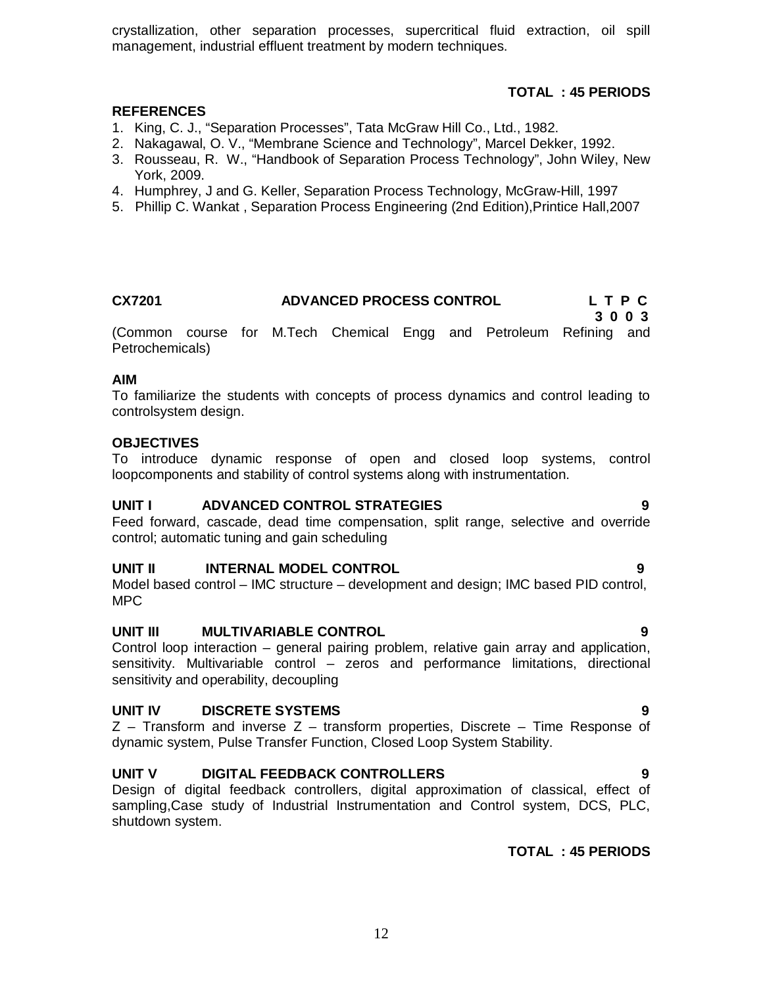crystallization, other separation processes, supercritical fluid extraction, oil spill management, industrial effluent treatment by modern techniques.

# **TOTAL : 45 PERIODS**

#### **REFERENCES**

- 1. King, C. J., "Separation Processes", Tata McGraw Hill Co., Ltd., 1982.
- 2. Nakagawal, O. V., "Membrane Science and Technology", Marcel Dekker, 1992.
- 3. Rousseau, R. W., "Handbook of Separation Process Technology", John Wiley, New York, 2009.
- 4. Humphrey, J and G. Keller, Separation Process Technology, McGraw-Hill, 1997
- 5. Phillip C. Wankat , Separation Process Engineering (2nd Edition),Printice Hall,2007

#### **CX7201 ADVANCED PROCESS CONTROL L T P C 3 0 0 3**

(Common course for M.Tech Chemical Engg and Petroleum Refining and Petrochemicals)

#### **AIM**

To familiarize the students with concepts of process dynamics and control leading to controlsystem design.

#### **OBJECTIVES**

To introduce dynamic response of open and closed loop systems, control loopcomponents and stability of control systems along with instrumentation.

#### **UNIT I ADVANCED CONTROL STRATEGIES 9**

Feed forward, cascade, dead time compensation, split range, selective and override control; automatic tuning and gain scheduling

#### **UNIT II** INTERNAL MODEL CONTROL **19** 9

Model based control – IMC structure – development and design; IMC based PID control, MPC

### **UNIT III MULTIVARIABLE CONTROL 9**

Control loop interaction – general pairing problem, relative gain array and application, sensitivity. Multivariable control – zeros and performance limitations, directional sensitivity and operability, decoupling

#### **UNIT IV DISCRETE SYSTEMS 9**

 $Z$  – Transform and inverse  $Z$  – transform properties, Discrete – Time Response of dynamic system, Pulse Transfer Function, Closed Loop System Stability.

#### **UNIT V DIGITAL FEEDBACK CONTROLLERS 9**

Design of digital feedback controllers, digital approximation of classical, effect of sampling,Case study of Industrial Instrumentation and Control system, DCS, PLC, shutdown system.

# **TOTAL : 45 PERIODS**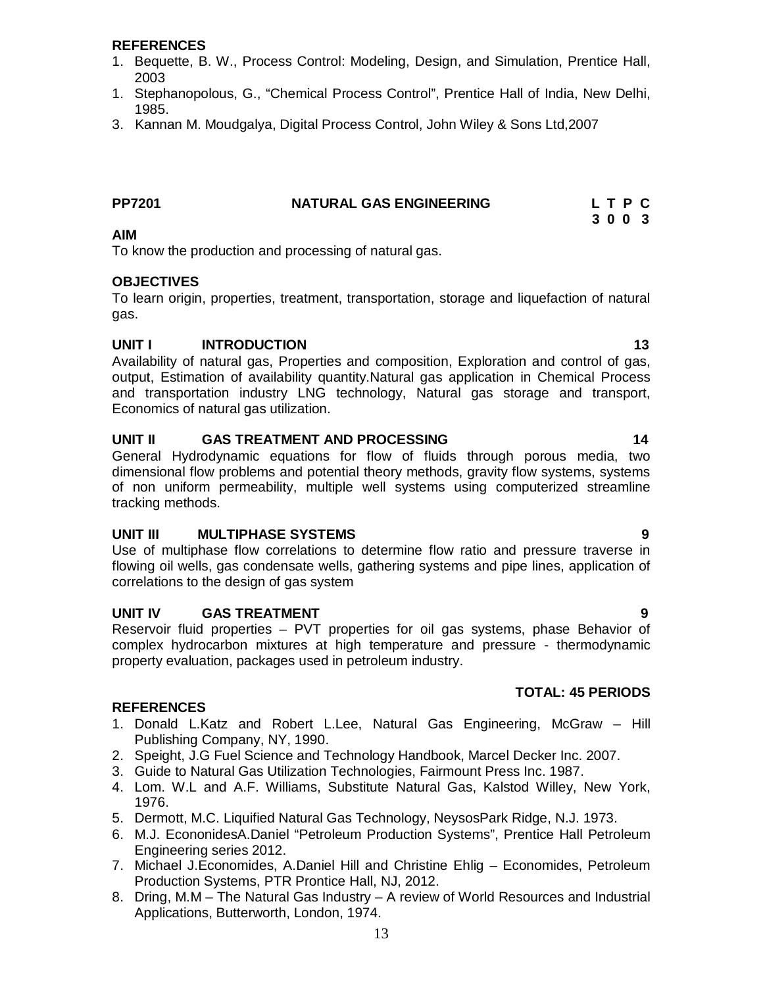#### **REFERENCES**

- 1. Bequette, B. W., Process Control: Modeling, Design, and Simulation, Prentice Hall, 2003
- 1. Stephanopolous, G., "Chemical Process Control", Prentice Hall of India, New Delhi, 1985.
- 3. Kannan M. Moudgalya, Digital Process Control, John Wiley & Sons Ltd,2007

| <b>PP7201</b> | <b>NATURAL GAS ENGINEERING</b> | LTPC |
|---------------|--------------------------------|------|
|               |                                |      |

#### **3 0 0 3 AIM**

To know the production and processing of natural gas.

#### **OBJECTIVES**

To learn origin, properties, treatment, transportation, storage and liquefaction of natural gas.

#### **UNIT I INTRODUCTION 13**

Availability of natural gas, Properties and composition, Exploration and control of gas, output, Estimation of availability quantity.Natural gas application in Chemical Process and transportation industry LNG technology, Natural gas storage and transport, Economics of natural gas utilization.

#### **UNIT II GAS TREATMENT AND PROCESSING 14**

General Hydrodynamic equations for flow of fluids through porous media, two dimensional flow problems and potential theory methods, gravity flow systems, systems of non uniform permeability, multiple well systems using computerized streamline tracking methods.

### **UNIT III MULTIPHASE SYSTEMS 9**

Use of multiphase flow correlations to determine flow ratio and pressure traverse in flowing oil wells, gas condensate wells, gathering systems and pipe lines, application of correlations to the design of gas system

#### **UNIT IV GAS TREATMENT 9**

Reservoir fluid properties – PVT properties for oil gas systems, phase Behavior of complex hydrocarbon mixtures at high temperature and pressure - thermodynamic property evaluation, packages used in petroleum industry.

# **TOTAL: 45 PERIODS**

- 1. Donald L.Katz and Robert L.Lee, Natural Gas Engineering, McGraw Hill Publishing Company, NY, 1990.
- 2. Speight, J.G Fuel Science and Technology Handbook, Marcel Decker Inc. 2007.
- 3. Guide to Natural Gas Utilization Technologies, Fairmount Press Inc. 1987.
- 4. Lom. W.L and A.F. Williams, Substitute Natural Gas, Kalstod Willey, New York, 1976.
- 5. Dermott, M.C. Liquified Natural Gas Technology, NeysosPark Ridge, N.J. 1973.
- 6. M.J. EcononidesA.Daniel "Petroleum Production Systems", Prentice Hall Petroleum Engineering series 2012.
- 7. Michael J.Economides, A.Daniel Hill and Christine Ehlig Economides, Petroleum Production Systems, PTR Prontice Hall, NJ, 2012.
- 8. Dring, M.M The Natural Gas Industry A review of World Resources and Industrial Applications, Butterworth, London, 1974.
- 
-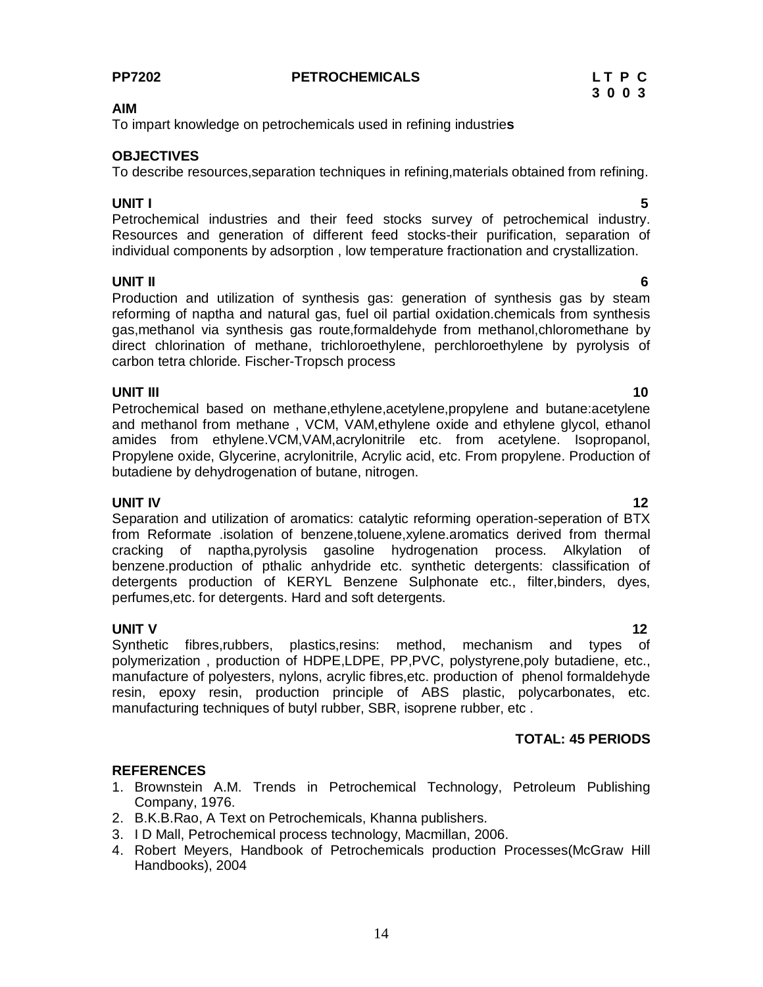#### **PP7202 PETROCHEMICALS L T P C**

#### **AIM**

To impart knowledge on petrochemicals used in refining industrie**s**

#### **OBJECTIVES**

To describe resources,separation techniques in refining,materials obtained from refining.

#### **UNIT I 5**

Petrochemical industries and their feed stocks survey of petrochemical industry. Resources and generation of different feed stocks-their purification, separation of individual components by adsorption , low temperature fractionation and crystallization.

## **UNIT II 6**

Production and utilization of synthesis gas: generation of synthesis gas by steam reforming of naptha and natural gas, fuel oil partial oxidation.chemicals from synthesis gas,methanol via synthesis gas route,formaldehyde from methanol,chloromethane by direct chlorination of methane, trichloroethylene, perchloroethylene by pyrolysis of carbon tetra chloride. Fischer-Tropsch process

#### **UNIT III** 10

Petrochemical based on methane,ethylene,acetylene,propylene and butane:acetylene and methanol from methane , VCM, VAM,ethylene oxide and ethylene glycol, ethanol amides from ethylene.VCM,VAM,acrylonitrile etc. from acetylene. Isopropanol, Propylene oxide, Glycerine, acrylonitrile, Acrylic acid, etc. From propylene. Production of butadiene by dehydrogenation of butane, nitrogen.

**UNIT IV** 12 Separation and utilization of aromatics: catalytic reforming operation-seperation of BTX from Reformate .isolation of benzene,toluene,xylene.aromatics derived from thermal cracking of naptha,pyrolysis gasoline hydrogenation process. Alkylation of benzene.production of pthalic anhydride etc. synthetic detergents: classification of detergents production of KERYL Benzene Sulphonate etc., filter,binders, dyes, perfumes,etc. for detergents. Hard and soft detergents.

## **UNIT V** 12

Synthetic fibres,rubbers, plastics,resins: method, mechanism and types of polymerization , production of HDPE,LDPE, PP,PVC, polystyrene,poly butadiene, etc., manufacture of polyesters, nylons, acrylic fibres,etc. production of phenol formaldehyde resin, epoxy resin, production principle of ABS plastic, polycarbonates, etc. manufacturing techniques of butyl rubber, SBR, isoprene rubber, etc .

# **TOTAL: 45 PERIODS**

### **REFERENCES**

- 1. Brownstein A.M. Trends in Petrochemical Technology, Petroleum Publishing Company, 1976.
- 2. B.K.B.Rao, A Text on Petrochemicals, Khanna publishers.
- 3. I D Mall, Petrochemical process technology, Macmillan, 2006.
- 4. Robert Meyers, Handbook of Petrochemicals production Processes(McGraw Hill Handbooks), 2004

# **3 0 0 3**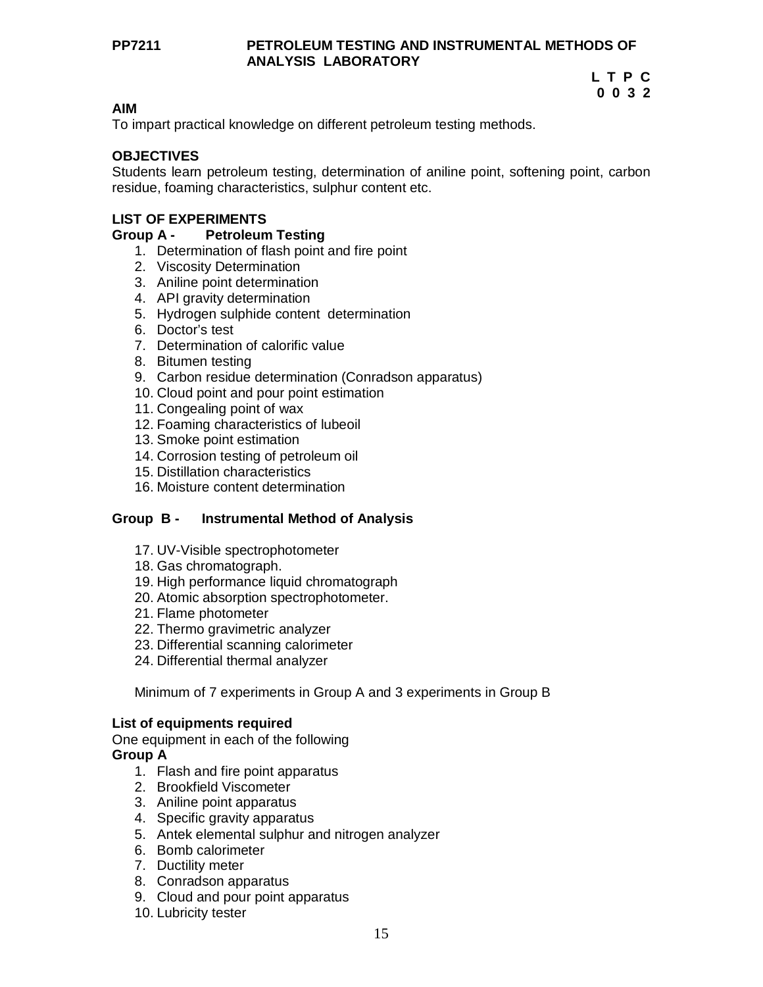#### **PP7211 PETROLEUM TESTING AND INSTRUMENTAL METHODS OF ANALYSIS LABORATORY**

#### **L T P C 0 0 3 2**

#### **AIM**

To impart practical knowledge on different petroleum testing methods.

### **OBJECTIVES**

Students learn petroleum testing, determination of aniline point, softening point, carbon residue, foaming characteristics, sulphur content etc.

### **LIST OF EXPERIMENTS**

#### **Group A - Petroleum Testing**

- 1. Determination of flash point and fire point
- 2. Viscosity Determination
- 3. Aniline point determination
- 4. API gravity determination
- 5. Hydrogen sulphide content determination
- 6. Doctor's test
- 7. Determination of calorific value
- 8. Bitumen testing
- 9. Carbon residue determination (Conradson apparatus)
- 10. Cloud point and pour point estimation
- 11. Congealing point of wax
- 12. Foaming characteristics of lubeoil
- 13. Smoke point estimation
- 14. Corrosion testing of petroleum oil
- 15. Distillation characteristics
- 16. Moisture content determination

### **Group B - Instrumental Method of Analysis**

- 17. UV-Visible spectrophotometer
- 18. Gas chromatograph.
- 19. High performance liquid chromatograph
- 20. Atomic absorption spectrophotometer.
- 21. Flame photometer
- 22. Thermo gravimetric analyzer
- 23. Differential scanning calorimeter
- 24. Differential thermal analyzer

Minimum of 7 experiments in Group A and 3 experiments in Group B

### **List of equipments required**

One equipment in each of the following

#### **Group A**

- 1. Flash and fire point apparatus
- 2. Brookfield Viscometer
- 3. Aniline point apparatus
- 4. Specific gravity apparatus
- 5. Antek elemental sulphur and nitrogen analyzer
- 6. Bomb calorimeter
- 7. Ductility meter
- 8. Conradson apparatus
- 9. Cloud and pour point apparatus
- 10. Lubricity tester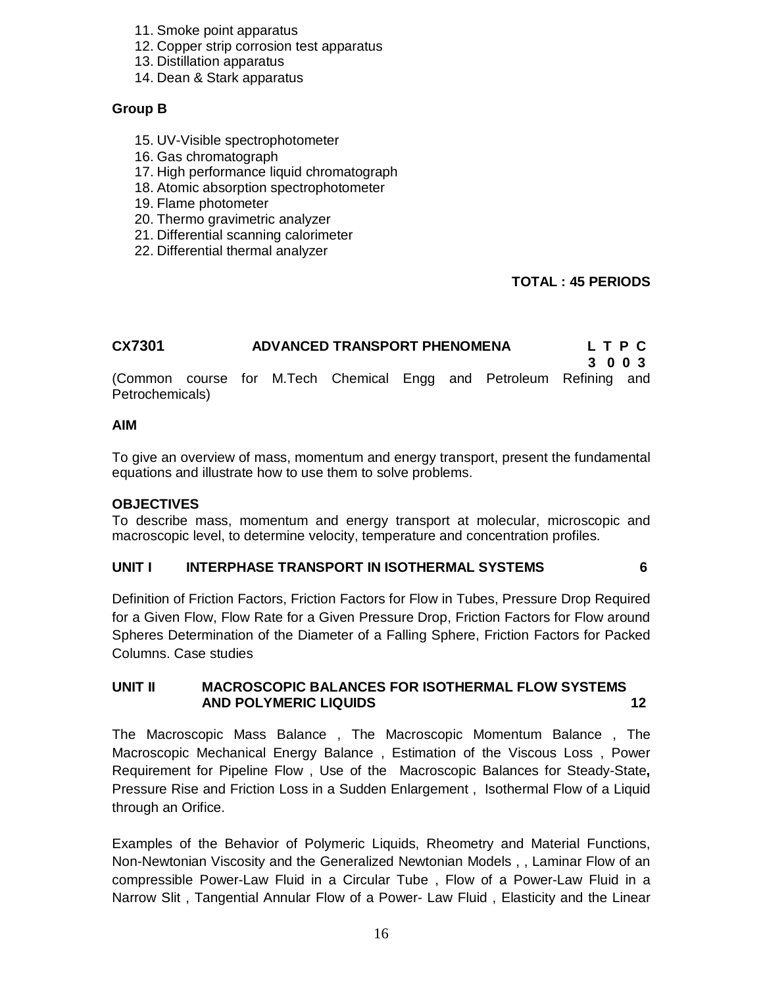- 11. Smoke point apparatus
- 12. Copper strip corrosion test apparatus
- 13. Distillation apparatus
- 14. Dean & Stark apparatus

#### **Group B**

- 15. UV-Visible spectrophotometer
- 16. Gas chromatograph
- 17. High performance liquid chromatograph
- 18. Atomic absorption spectrophotometer
- 19. Flame photometer
- 20. Thermo gravimetric analyzer
- 21. Differential scanning calorimeter
- 22. Differential thermal analyzer

### **TOTAL : 45 PERIODS**

| CX7301                                                                                | ADVANCED TRANSPORT PHENOMENA |  |  |  |  |  | L T P C |  |
|---------------------------------------------------------------------------------------|------------------------------|--|--|--|--|--|---------|--|
| (Common course for M.Tech Chemical Engg and Petroleum Refining and<br>Petrochemicals) |                              |  |  |  |  |  | 3 0 0 3 |  |

#### **AIM**

To give an overview of mass, momentum and energy transport, present the fundamental equations and illustrate how to use them to solve problems.

#### **OBJECTIVES**

To describe mass, momentum and energy transport at molecular, microscopic and macroscopic level, to determine velocity, temperature and concentration profiles.

#### **UNIT I INTERPHASE TRANSPORT IN ISOTHERMAL SYSTEMS 6**

Definition of Friction Factors, Friction Factors for Flow in Tubes, Pressure Drop Required for a Given Flow, Flow Rate for a Given Pressure Drop, Friction Factors for Flow around Spheres Determination of the Diameter of a Falling Sphere, Friction Factors for Packed Columns. Case studies

### **UNIT II MACROSCOPIC BALANCES FOR ISOTHERMAL FLOW SYSTEMS AND POLYMERIC LIQUIDS 12**

The Macroscopic Mass Balance , The Macroscopic Momentum Balance , The Macroscopic Mechanical Energy Balance , Estimation of the Viscous Loss , Power Requirement for Pipeline Flow , Use of the Macroscopic Balances for Steady-State**,** Pressure Rise and Friction Loss in a Sudden Enlargement , Isothermal Flow of a Liquid through an Orifice.

Examples of the Behavior of Polymeric Liquids, Rheometry and Material Functions, Non-Newtonian Viscosity and the Generalized Newtonian Models , , Laminar Flow of an compressible Power-Law Fluid in a Circular Tube , Flow of a Power-Law Fluid in a Narrow Slit , Tangential Annular Flow of a Power- Law Fluid , Elasticity and the Linear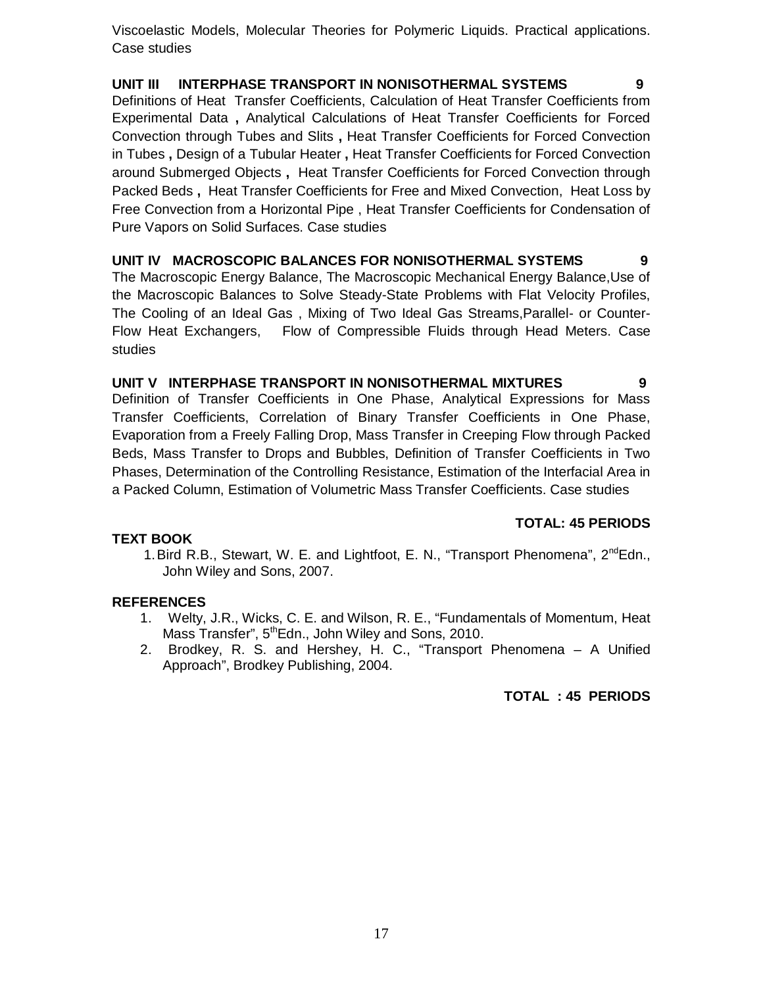Viscoelastic Models, Molecular Theories for Polymeric Liquids. Practical applications. Case studies

# **UNIT III INTERPHASE TRANSPORT IN NONISOTHERMAL SYSTEMS 9**

Definitions of Heat Transfer Coefficients, Calculation of Heat Transfer Coefficients from Experimental Data **,** Analytical Calculations of Heat Transfer Coefficients for Forced Convection through Tubes and Slits **,** Heat Transfer Coefficients for Forced Convection in Tubes **,** Design of a Tubular Heater **,** Heat Transfer Coefficients for Forced Convection around Submerged Objects **,** Heat Transfer Coefficients for Forced Convection through Packed Beds **,** Heat Transfer Coefficients for Free and Mixed Convection, Heat Loss by Free Convection from a Horizontal Pipe , Heat Transfer Coefficients for Condensation of Pure Vapors on Solid Surfaces. Case studies

**UNIT IV MACROSCOPIC BALANCES FOR NONISOTHERMAL SYSTEMS 9**  The Macroscopic Energy Balance, The Macroscopic Mechanical Energy Balance,Use of the Macroscopic Balances to Solve Steady-State Problems with Flat Velocity Profiles, The Cooling of an Ideal Gas , Mixing of Two Ideal Gas Streams,Parallel- or Counter-Flow Heat Exchangers, Flow of Compressible Fluids through Head Meters. Case studies

#### **UNIT V INTERPHASE TRANSPORT IN NONISOTHERMAL MIXTURES 9**

Definition of Transfer Coefficients in One Phase, Analytical Expressions for Mass Transfer Coefficients, Correlation of Binary Transfer Coefficients in One Phase, Evaporation from a Freely Falling Drop, Mass Transfer in Creeping Flow through Packed Beds, Mass Transfer to Drops and Bubbles, Definition of Transfer Coefficients in Two Phases, Determination of the Controlling Resistance, Estimation of the Interfacial Area in a Packed Column, Estimation of Volumetric Mass Transfer Coefficients. Case studies

# **TOTAL: 45 PERIODS**

### **TEXT BOOK**

1. Bird R.B., Stewart, W. E. and Lightfoot, E. N., "Transport Phenomena", 2<sup>nd</sup>Edn., John Wiley and Sons, 2007.

### **REFERENCES**

- 1. Welty, J.R., Wicks, C. E. and Wilson, R. E., "Fundamentals of Momentum, Heat Mass Transfer", 5<sup>th</sup>Edn., John Wiley and Sons, 2010.
- 2. Brodkey, R. S. and Hershey, H. C., "Transport Phenomena A Unified Approach", Brodkey Publishing, 2004.

### **TOTAL : 45 PERIODS**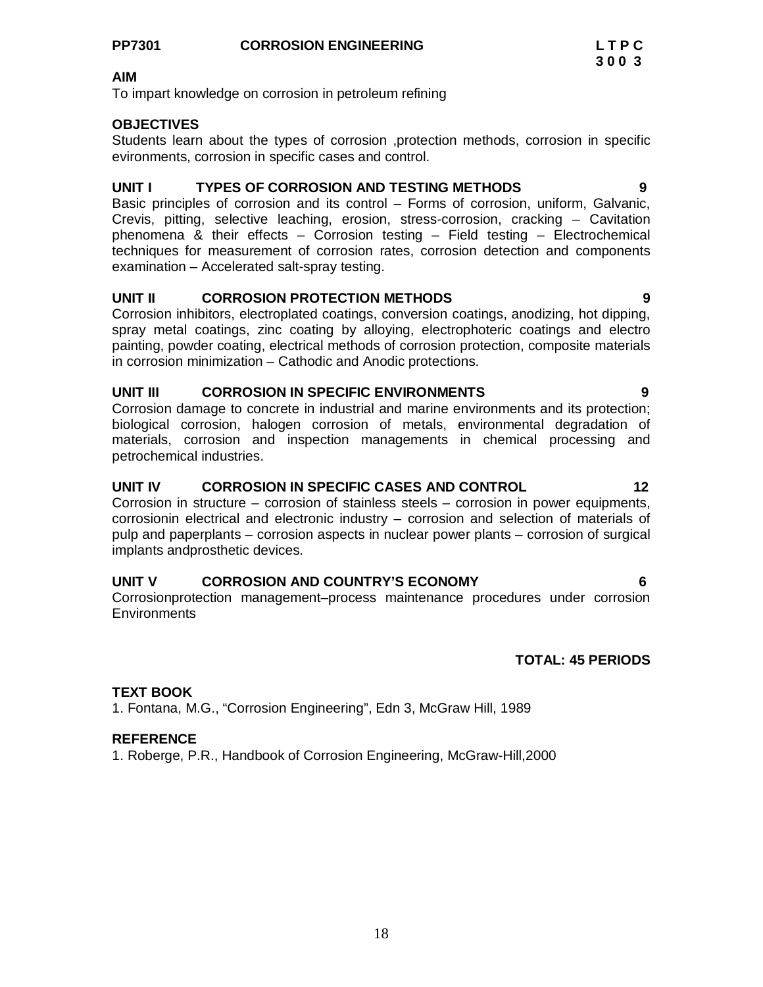To impart knowledge on corrosion in petroleum refining

### **OBJECTIVES**

Students learn about the types of corrosion ,protection methods, corrosion in specific evironments, corrosion in specific cases and control.

#### **UNIT I TYPES OF CORROSION AND TESTING METHODS 9**

Basic principles of corrosion and its control – Forms of corrosion, uniform, Galvanic, Crevis, pitting, selective leaching, erosion, stress-corrosion, cracking – Cavitation phenomena & their effects – Corrosion testing – Field testing – Electrochemical techniques for measurement of corrosion rates, corrosion detection and components examination – Accelerated salt-spray testing.

### **UNIT II CORROSION PROTECTION METHODS 9**

Corrosion inhibitors, electroplated coatings, conversion coatings, anodizing, hot dipping, spray metal coatings, zinc coating by alloying, electrophoteric coatings and electro painting, powder coating, electrical methods of corrosion protection, composite materials in corrosion minimization – Cathodic and Anodic protections.

### **UNIT III CORROSION IN SPECIFIC ENVIRONMENTS 9**

Corrosion damage to concrete in industrial and marine environments and its protection; biological corrosion, halogen corrosion of metals, environmental degradation of materials, corrosion and inspection managements in chemical processing and petrochemical industries.

### **UNIT IV CORROSION IN SPECIFIC CASES AND CONTROL 12**

Corrosion in structure – corrosion of stainless steels – corrosion in power equipments, corrosionin electrical and electronic industry – corrosion and selection of materials of pulp and paperplants – corrosion aspects in nuclear power plants – corrosion of surgical implants andprosthetic devices.

### **UNIT V CORROSION AND COUNTRY'S ECONOMY 6**

Corrosionprotection management–process maintenance procedures under corrosion **Environments** 

### **TOTAL: 45 PERIODS**

### **TEXT BOOK**

1. Fontana, M.G., "Corrosion Engineering", Edn 3, McGraw Hill, 1989

### **REFERENCE**

1. Roberge, P.R., Handbook of Corrosion Engineering, McGraw-Hill,2000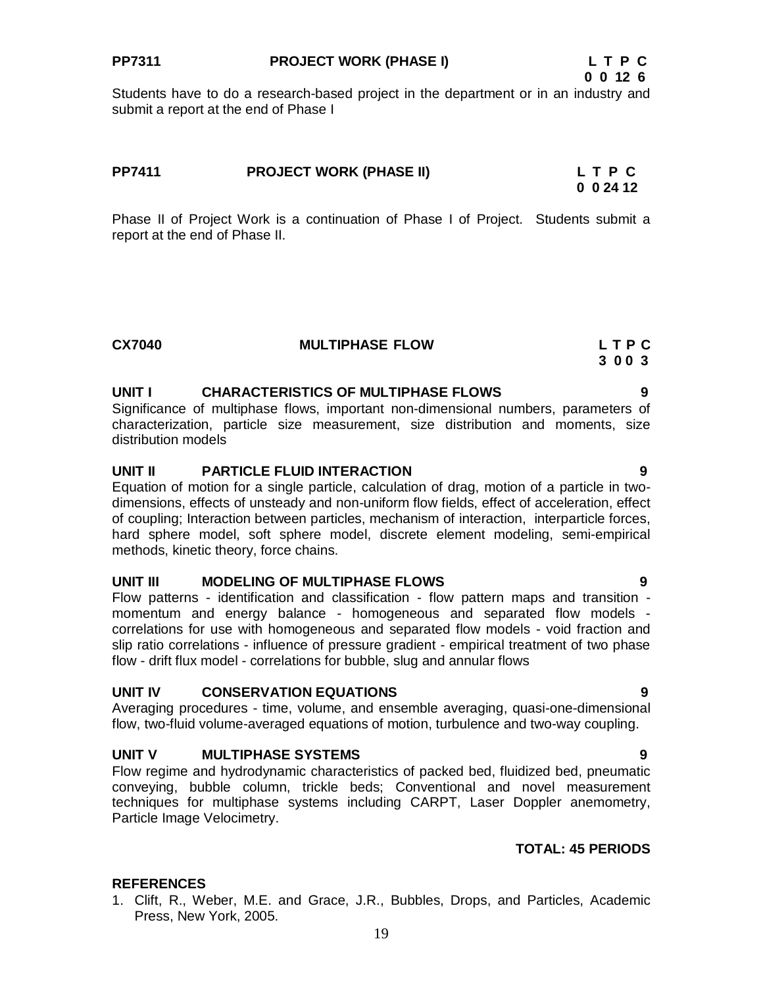### **PP7311 PROJECT WORK (PHASE I) L T P C**

Students have to do a research-based project in the department or in an industry and submit a report at the end of Phase I

# **PP7411 PROJECT WORK (PHASE II) L T P C 0 0 24 12**

Phase II of Project Work is a continuation of Phase I of Project. Students submit a report at the end of Phase II.

| <b>MULTIPHASE FLOW</b> | LTPC |
|------------------------|------|
|                        | 3003 |
|                        |      |

### **UNIT I CHARACTERISTICS OF MULTIPHASE FLOWS 9**

Significance of multiphase flows, important non-dimensional numbers, parameters of characterization, particle size measurement, size distribution and moments, size distribution models

#### **UNIT II PARTICLE FLUID INTERACTION 9**

Equation of motion for a single particle, calculation of drag, motion of a particle in twodimensions, effects of unsteady and non-uniform flow fields, effect of acceleration, effect of coupling; Interaction between particles, mechanism of interaction, interparticle forces, hard sphere model, soft sphere model, discrete element modeling, semi-empirical methods, kinetic theory, force chains.

#### **UNIT III MODELING OF MULTIPHASE FLOWS 9**

Flow patterns - identification and classification - flow pattern maps and transition momentum and energy balance - homogeneous and separated flow models correlations for use with homogeneous and separated flow models - void fraction and slip ratio correlations - influence of pressure gradient - empirical treatment of two phase flow - drift flux model - correlations for bubble, slug and annular flows

#### **UNIT IV CONSERVATION EQUATIONS 9**

Averaging procedures - time, volume, and ensemble averaging, quasi-one-dimensional flow, two-fluid volume-averaged equations of motion, turbulence and two-way coupling.

### **UNIT V MULTIPHASE SYSTEMS 9**

Flow regime and hydrodynamic characteristics of packed bed, fluidized bed, pneumatic conveying, bubble column, trickle beds; Conventional and novel measurement techniques for multiphase systems including CARPT, Laser Doppler anemometry, Particle Image Velocimetry.

#### **TOTAL: 45 PERIODS**

### **REFERENCES**

1. Clift, R., Weber, M.E. and Grace, J.R., Bubbles, Drops, and Particles, Academic Press, New York, 2005.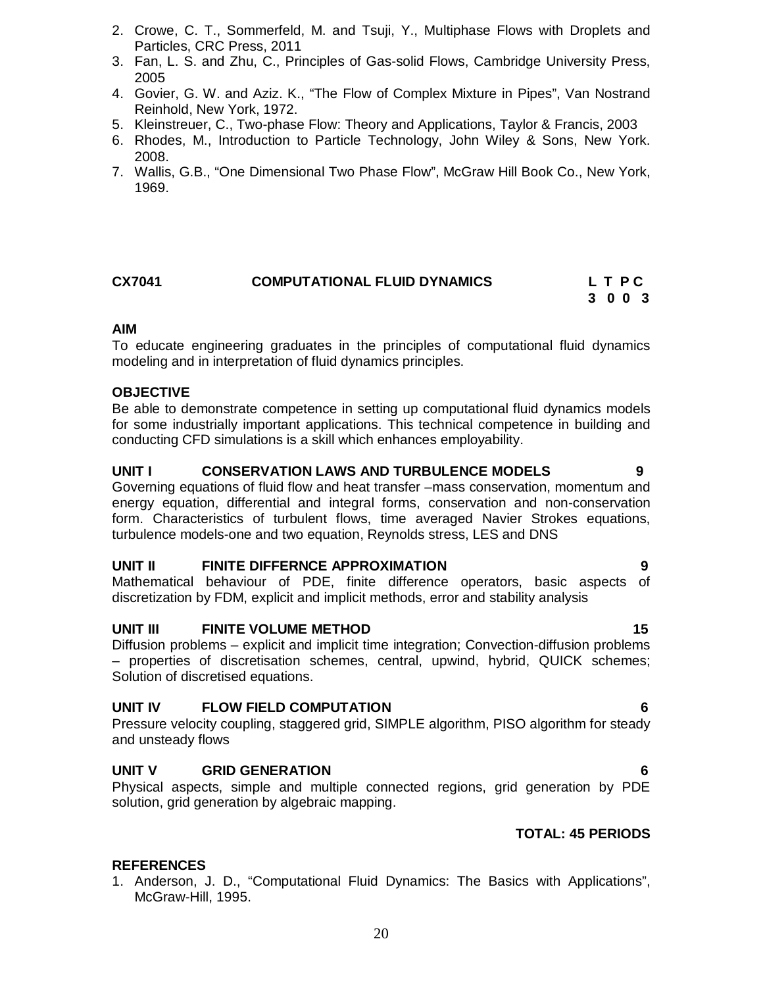- 3. Fan, L. S. and Zhu, C., Principles of Gas-solid Flows, Cambridge University Press, 2005
- 4. Govier, G. W. and Aziz. K., "The Flow of Complex Mixture in Pipes", Van Nostrand Reinhold, New York, 1972.
- 5. Kleinstreuer, C., Two-phase Flow: Theory and Applications, Taylor & Francis, 2003
- 6. Rhodes, M., Introduction to Particle Technology, John Wiley & Sons, New York. 2008.
- 7. Wallis, G.B., "One Dimensional Two Phase Flow", McGraw Hill Book Co., New York, 1969.

### **CX7041 COMPUTATIONAL FLUID DYNAMICS L T P C 3 0 0 3**

# **AIM**

To educate engineering graduates in the principles of computational fluid dynamics modeling and in interpretation of fluid dynamics principles.

### **OBJECTIVE**

Be able to demonstrate competence in setting up computational fluid dynamics models for some industrially important applications. This technical competence in building and conducting CFD simulations is a skill which enhances employability.

### **UNIT I CONSERVATION LAWS AND TURBULENCE MODELS 9**

Governing equations of fluid flow and heat transfer –mass conservation, momentum and energy equation, differential and integral forms, conservation and non-conservation form. Characteristics of turbulent flows, time averaged Navier Strokes equations, turbulence models-one and two equation, Reynolds stress, LES and DNS

### **UNIT II FINITE DIFFERNCE APPROXIMATION 9**

Mathematical behaviour of PDE, finite difference operators, basic aspects of discretization by FDM, explicit and implicit methods, error and stability analysis

### **UNIT III FINITE VOLUME METHOD 15**

Diffusion problems – explicit and implicit time integration; Convection-diffusion problems – properties of discretisation schemes, central, upwind, hybrid, QUICK schemes; Solution of discretised equations.

#### **UNIT IV FLOW FIELD COMPUTATION 6**

Pressure velocity coupling, staggered grid, SIMPLE algorithm, PISO algorithm for steady and unsteady flows

### **UNIT V GRID GENERATION 6**

Physical aspects, simple and multiple connected regions, grid generation by PDE solution, grid generation by algebraic mapping.

### **TOTAL: 45 PERIODS**

### **REFERENCES**

1. Anderson, J. D., "Computational Fluid Dynamics: The Basics with Applications", McGraw-Hill, 1995.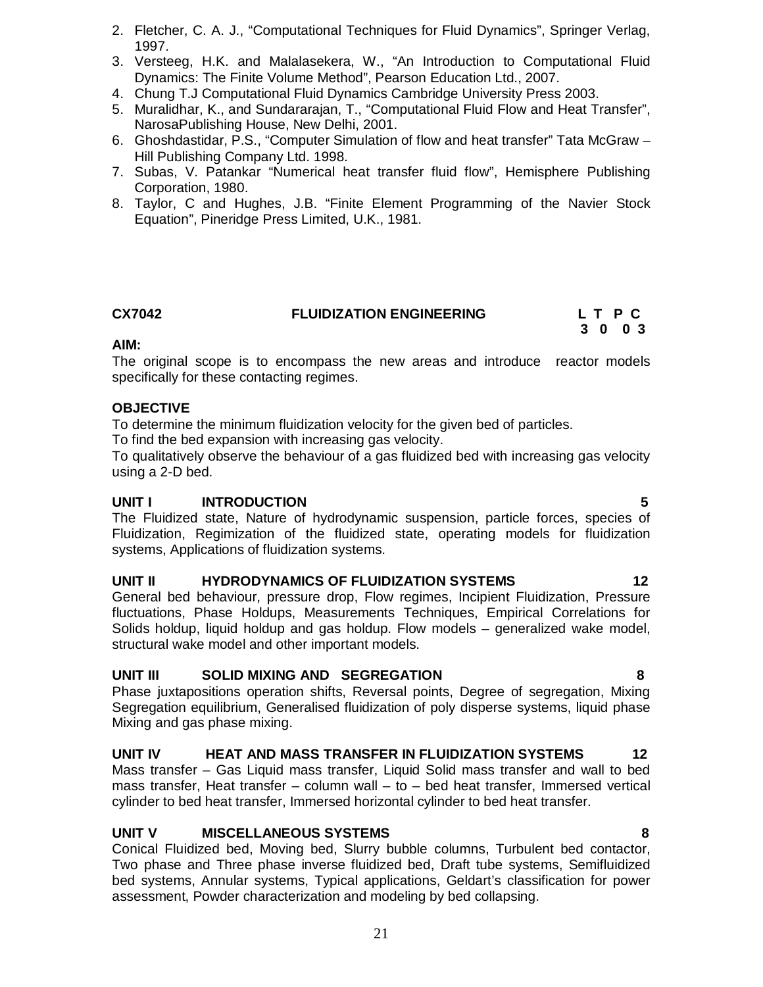- 2. Fletcher, C. A. J., "Computational Techniques for Fluid Dynamics", Springer Verlag, 1997.
- 3. Versteeg, H.K. and Malalasekera, W., "An Introduction to Computational Fluid Dynamics: The Finite Volume Method", Pearson Education Ltd., 2007.
- 4. Chung T.J Computational Fluid Dynamics Cambridge University Press 2003.
- 5. Muralidhar, K., and Sundararajan, T., "Computational Fluid Flow and Heat Transfer", NarosaPublishing House, New Delhi, 2001.
- 6. Ghoshdastidar, P.S., "Computer Simulation of flow and heat transfer" Tata McGraw Hill Publishing Company Ltd. 1998.
- 7. Subas, V. Patankar "Numerical heat transfer fluid flow", Hemisphere Publishing Corporation, 1980.
- 8. Taylor, C and Hughes, J.B. "Finite Element Programming of the Navier Stock Equation", Pineridge Press Limited, U.K., 1981.

# **CX7042 FLUIDIZATION ENGINEERING L T P C**

# **3 0 0 3**

### **AIM:**

The original scope is to encompass the new areas and introduce reactor models specifically for these contacting regimes.

#### **OBJECTIVE**

To determine the minimum fluidization velocity for the given bed of particles.

To find the bed expansion with increasing gas velocity.

To qualitatively observe the behaviour of a gas fluidized bed with increasing gas velocity using a 2-D bed.

#### **UNIT I INTRODUCTION****5**

The Fluidized state, Nature of hydrodynamic suspension, particle forces, species of Fluidization, Regimization of the fluidized state, operating models for fluidization systems, Applications of fluidization systems.

### **UNIT II HYDRODYNAMICS OF FLUIDIZATION SYSTEMS 12**

General bed behaviour, pressure drop, Flow regimes, Incipient Fluidization, Pressure fluctuations, Phase Holdups, Measurements Techniques, Empirical Correlations for Solids holdup, liquid holdup and gas holdup. Flow models – generalized wake model, structural wake model and other important models.

### **UNIT III SOLID MIXING AND SEGREGATION 8**

Phase juxtapositions operation shifts, Reversal points, Degree of segregation, Mixing Segregation equilibrium, Generalised fluidization of poly disperse systems, liquid phase Mixing and gas phase mixing.

### **UNIT IV HEAT AND MASS TRANSFER IN FLUIDIZATION SYSTEMS 12**

Mass transfer – Gas Liquid mass transfer, Liquid Solid mass transfer and wall to bed mass transfer, Heat transfer – column wall – to – bed heat transfer, Immersed vertical cylinder to bed heat transfer, Immersed horizontal cylinder to bed heat transfer.

### **UNIT V MISCELLANEOUS SYSTEMS 8**

Conical Fluidized bed, Moving bed, Slurry bubble columns, Turbulent bed contactor, Two phase and Three phase inverse fluidized bed, Draft tube systems, Semifluidized bed systems, Annular systems, Typical applications, Geldart's classification for power assessment, Powder characterization and modeling by bed collapsing.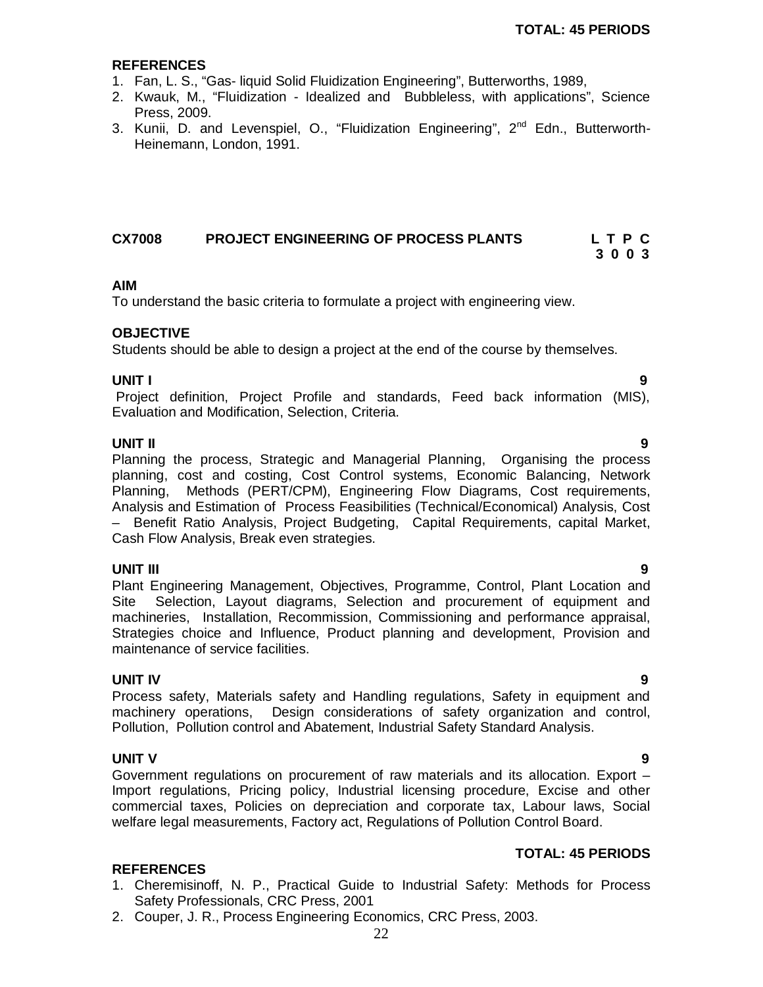#### **REFERENCES**

- 1. Fan, L. S., "Gas- liquid Solid Fluidization Engineering", Butterworths, 1989,
- 2. Kwauk, M., "Fluidization Idealized and Bubbleless, with applications", Science Press, 2009.
- 3. Kunii, D. and Levenspiel, O., "Fluidization Engineering", 2<sup>nd</sup> Edn., Butterworth-Heinemann, London, 1991.

# **CX7008** PROJECT ENGINEERING OF PROCESS PLANTS L T P C<br>3 0 0 3  **3 0 0 3**

# **AIM**

To understand the basic criteria to formulate a project with engineering view.

### **OBJECTIVE**

Students should be able to design a project at the end of the course by themselves.

#### **UNIT I 9**

Project definition, Project Profile and standards, Feed back information (MIS), Evaluation and Modification, Selection, Criteria.

#### **UNIT II 9**

Planning the process, Strategic and Managerial Planning, Organising the process planning, cost and costing, Cost Control systems, Economic Balancing, Network Planning, Methods (PERT/CPM), Engineering Flow Diagrams, Cost requirements, Analysis and Estimation of Process Feasibilities (Technical/Economical) Analysis, Cost – Benefit Ratio Analysis, Project Budgeting, Capital Requirements, capital Market, Cash Flow Analysis, Break even strategies.

# **UNIT III 9**

Plant Engineering Management, Objectives, Programme, Control, Plant Location and Site Selection, Layout diagrams, Selection and procurement of equipment and machineries, Installation, Recommission, Commissioning and performance appraisal, Strategies choice and Influence, Product planning and development, Provision and maintenance of service facilities.

### **UNIT IV 9**

Process safety, Materials safety and Handling regulations, Safety in equipment and machinery operations, Design considerations of safety organization and control, Pollution, Pollution control and Abatement, Industrial Safety Standard Analysis.

**UNIT V 9** Government regulations on procurement of raw materials and its allocation. Export – Import regulations, Pricing policy, Industrial licensing procedure, Excise and other commercial taxes, Policies on depreciation and corporate tax, Labour laws, Social welfare legal measurements, Factory act, Regulations of Pollution Control Board.

### **TOTAL: 45 PERIODS**

- 1. Cheremisinoff, N. P., Practical Guide to Industrial Safety: Methods for Process Safety Professionals, CRC Press, 2001
- 2. Couper, J. R., Process Engineering Economics, CRC Press, 2003.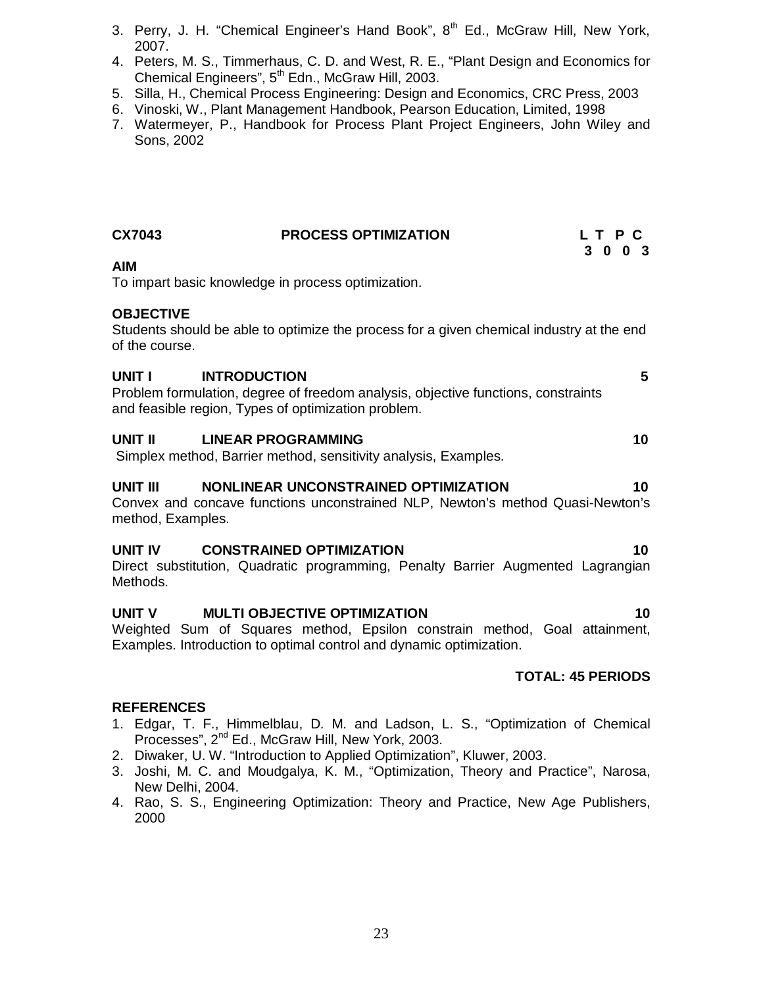- 3. Perry, J. H. "Chemical Engineer's Hand Book",  $8<sup>th</sup>$  Ed., McGraw Hill, New York, 2007.
- 4. Peters, M. S., Timmerhaus, C. D. and West, R. E., "Plant Design and Economics for Chemical Engineers", 5<sup>th</sup> Edn., McGraw Hill, 2003.
- 5. Silla, H., Chemical Process Engineering: Design and Economics, CRC Press, 2003
- 6. Vinoski, W., Plant Management Handbook, Pearson Education, Limited, 1998
- 7. Watermeyer, P., Handbook for Process Plant Project Engineers, John Wiley and Sons, 2002

| <b>CX7043</b>                      | <b>PROCESS OPTIMIZATION</b>                                                                                                                                     | L T P C<br>3 0 0 3 |
|------------------------------------|-----------------------------------------------------------------------------------------------------------------------------------------------------------------|--------------------|
| <b>AIM</b>                         | To impart basic knowledge in process optimization.                                                                                                              |                    |
| <b>OBJECTIVE</b><br>of the course. | Students should be able to optimize the process for a given chemical industry at the end                                                                        |                    |
| UNIT I                             | <b>INTRODUCTION</b><br>Problem formulation, degree of freedom analysis, objective functions, constraints<br>and feasible region, Types of optimization problem. | 5 <sup>5</sup>     |
| UNIT II                            | <b>LINEAR PROGRAMMING</b><br>Simplex method, Barrier method, sensitivity analysis, Examples.                                                                    | 10 <sup>°</sup>    |
| UNIT III<br>method, Examples.      | NONLINEAR UNCONSTRAINED OPTIMIZATION<br>Convex and concave functions unconstrained NLP, Newton's method Quasi-Newton's                                          | 10                 |
| UNIT IV<br>Methods.                | <b>CONSTRAINED OPTIMIZATION</b><br>Direct substitution, Quadratic programming, Penalty Barrier Augmented Lagrangian                                             | 10                 |
| <b>UNIT V</b><br>Weighted          | <b>MULTI OBJECTIVE OPTIMIZATION</b><br>Sum of Squares method, Epsilon constrain method, Goal attainment,                                                        | 10                 |

Weighted Sum of Squares method, Epsilon constrain method, Goal attainment, Examples. Introduction to optimal control and dynamic optimization.

# **TOTAL: 45 PERIODS**

- 1. Edgar, T. F., Himmelblau, D. M. and Ladson, L. S., "Optimization of Chemical Processes", 2<sup>nd</sup> Ed., McGraw Hill, New York, 2003.
- 2. Diwaker, U. W. "Introduction to Applied Optimization", Kluwer, 2003.
- 3. Joshi, M. C. and Moudgalya, K. M., "Optimization, Theory and Practice", Narosa, New Delhi, 2004.
- 4. Rao, S. S., Engineering Optimization: Theory and Practice, New Age Publishers, 2000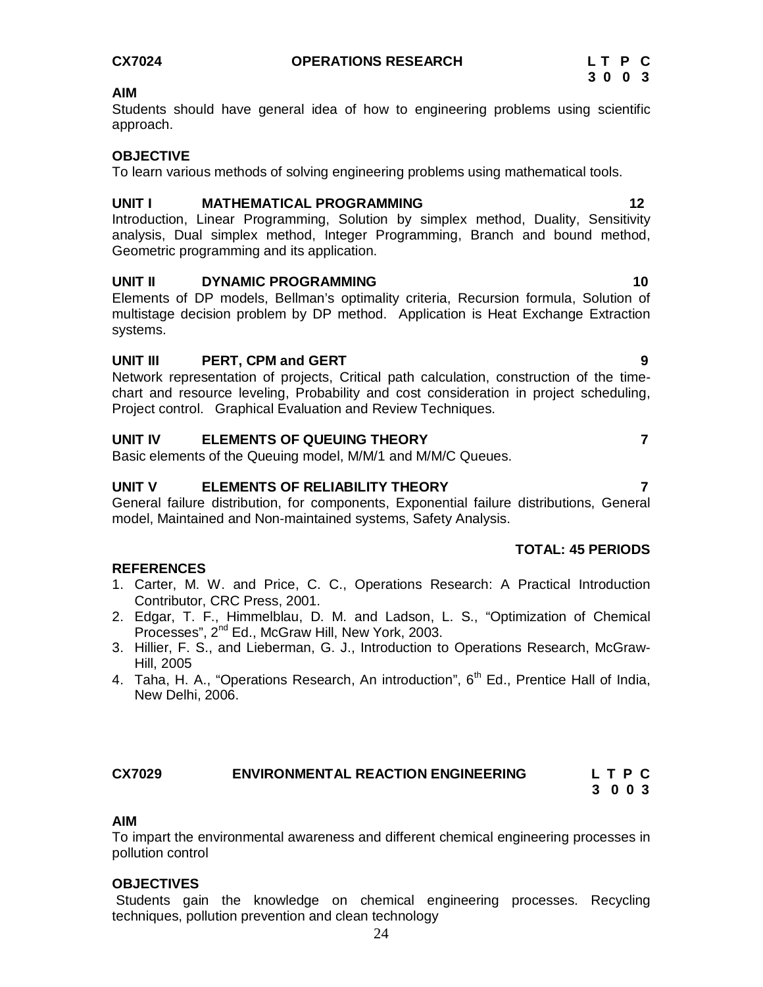Students should have general idea of how to engineering problems using scientific approach.

#### **OBJECTIVE**

To learn various methods of solving engineering problems using mathematical tools.

#### **UNIT I MATHEMATICAL PROGRAMMING 12**

Introduction, Linear Programming, Solution by simplex method, Duality, Sensitivity analysis, Dual simplex method, Integer Programming, Branch and bound method, Geometric programming and its application.

#### UNIT II DYNAMIC PROGRAMMING 10

Elements of DP models, Bellman's optimality criteria, Recursion formula, Solution of multistage decision problem by DP method. Application is Heat Exchange Extraction systems.

# **UNIT III** PERT, CPM and GERT **1998 9**

Network representation of projects, Critical path calculation, construction of the timechart and resource leveling, Probability and cost consideration in project scheduling, Project control. Graphical Evaluation and Review Techniques.

# **UNIT IV ELEMENTS OF QUEUING THEORY 7**

Basic elements of the Queuing model, M/M/1 and M/M/C Queues.

# **UNIT V ELEMENTS OF RELIABILITY THEORY 7**

General failure distribution, for components, Exponential failure distributions, General model, Maintained and Non-maintained systems, Safety Analysis.

### **TOTAL: 45 PERIODS**

### **REFERENCES**

- 1. Carter, M. W. and Price, C. C., Operations Research: A Practical Introduction Contributor, CRC Press, 2001.
- 2. Edgar, T. F., Himmelblau, D. M. and Ladson, L. S., "Optimization of Chemical Processes", 2<sup>nd</sup> Ed., McGraw Hill, New York, 2003.
- 3. Hillier, F. S., and Lieberman, G. J., Introduction to Operations Research, McGraw-Hill, 2005
- 4. Taha, H. A., "Operations Research, An introduction", 6<sup>th</sup> Ed., Prentice Hall of India, New Delhi, 2006.

# **CX7029 ENVIRONMENTAL REACTION ENGINEERING L T P C**

 **3 0 0 3**

### **AIM**

To impart the environmental awareness and different chemical engineering processes in pollution control

### **OBJECTIVES**

Students gain the knowledge on chemical engineering processes. Recycling techniques, pollution prevention and clean technology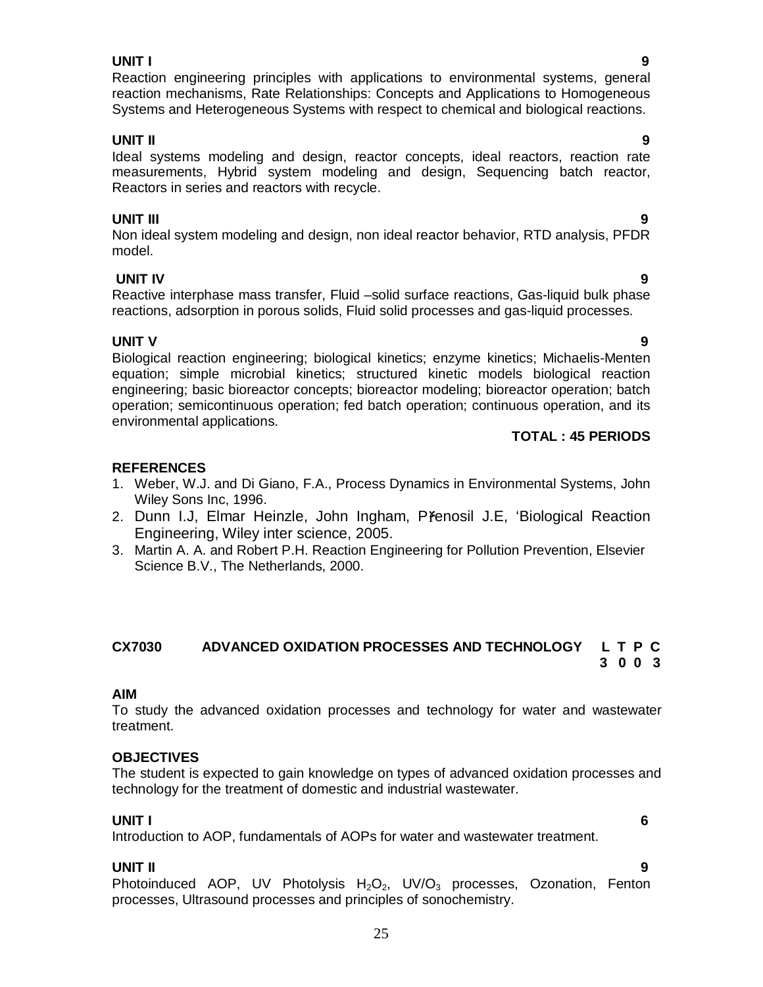#### **UNIT I 9**

Reaction engineering principles with applications to environmental systems, general reaction mechanisms, Rate Relationships: Concepts and Applications to Homogeneous Systems and Heterogeneous Systems with respect to chemical and biological reactions.

# **UNIT II 9**

Ideal systems modeling and design, reactor concepts, ideal reactors, reaction rate measurements, Hybrid system modeling and design, Sequencing batch reactor, Reactors in series and reactors with recycle.

# **UNIT III 9**

Non ideal system modeling and design, non ideal reactor behavior, RTD analysis, PFDR model.

**UNIT IV 9** Reactive interphase mass transfer, Fluid –solid surface reactions, Gas-liquid bulk phase reactions, adsorption in porous solids, Fluid solid processes and gas-liquid processes.

**UNIT V** 9 Biological reaction engineering; biological kinetics; enzyme kinetics; Michaelis-Menten equation; simple microbial kinetics; structured kinetic models biological reaction engineering; basic bioreactor concepts; bioreactor modeling; bioreactor operation; batch operation; semicontinuous operation; fed batch operation; continuous operation, and its environmental applications.

# **TOTAL : 45 PERIODS**

# **REFERENCES**

- 1. Weber, W.J. and Di Giano, F.A., Process Dynamics in Environmental Systems, John Wiley Sons Inc, 1996.
- 2. Dunn I.J, Elmar Heinzle, John Ingham, Přenosil J.E, 'Biological Reaction Engineering, Wiley inter science, 2005.
- 3. Martin A. A. and Robert P.H. Reaction Engineering for Pollution Prevention, Elsevier Science B.V., The Netherlands, 2000.

#### **CX7030 ADVANCED OXIDATION PROCESSES AND TECHNOLOGY L T P C 3 0 0 3**

### **AIM**

To study the advanced oxidation processes and technology for water and wastewater treatment.

### **OBJECTIVES**

The student is expected to gain knowledge on types of advanced oxidation processes and technology for the treatment of domestic and industrial wastewater.

### **UNIT I 6**

Introduction to AOP, fundamentals of AOPs for water and wastewater treatment.

### **UNIT II 9**

Photoinduced AOP, UV Photolysis  $H_2O_2$ , UV/O<sub>3</sub> processes, Ozonation, Fenton processes, Ultrasound processes and principles of sonochemistry.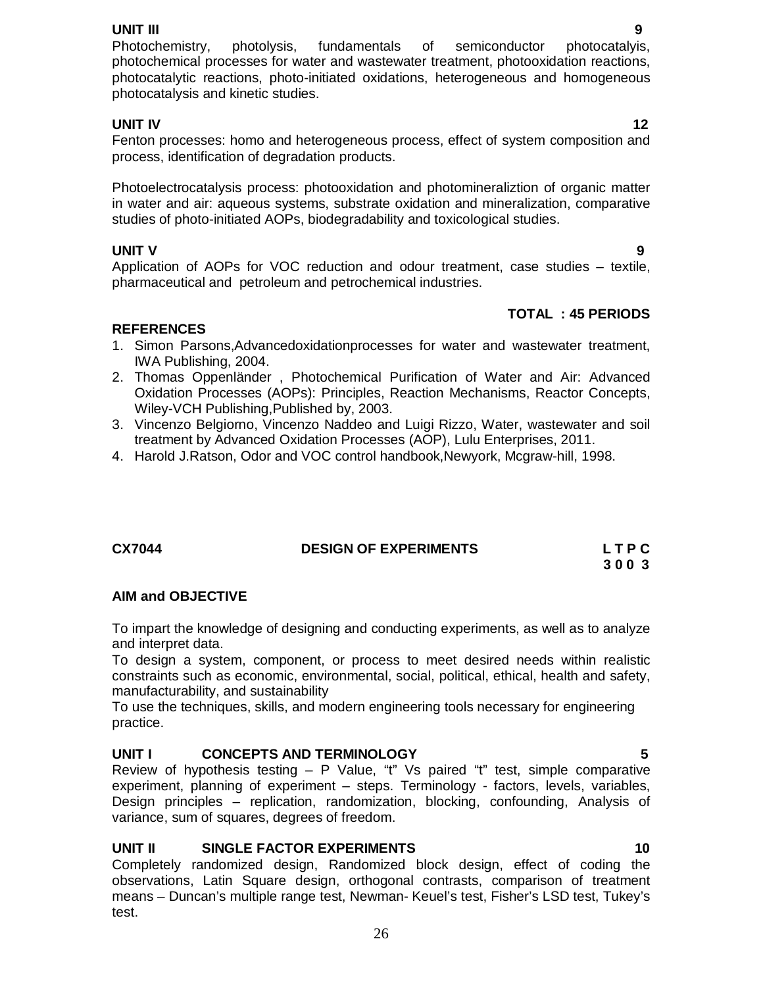**UNIT III 9** Photochemistry, photolysis, fundamentals of semiconductor photocatalyis, photochemical processes for water and wastewater treatment, photooxidation reactions, photocatalytic reactions, photo-initiated oxidations, heterogeneous and homogeneous photocatalysis and kinetic studies.

# **UNIT IV** 12

Fenton processes: homo and heterogeneous process, effect of system composition and process, identification of degradation products.

Photoelectrocatalysis process: photooxidation and photomineraliztion of organic matter in water and air: aqueous systems, substrate oxidation and mineralization, comparative studies of photo-initiated AOPs, biodegradability and toxicological studies.

**UNIT V** 9 Application of AOPs for VOC reduction and odour treatment, case studies – textile, pharmaceutical and petroleum and petrochemical industries.

# **TOTAL : 45 PERIODS**

# **REFERENCES**

- 1. Simon Parsons,Advancedoxidationprocesses for water and wastewater treatment, IWA Publishing, 2004.
- 2. Thomas Oppenländer , Photochemical Purification of Water and Air: Advanced Oxidation Processes (AOPs): Principles, Reaction Mechanisms, Reactor Concepts, Wiley-VCH Publishing,Published by, 2003.
- 3. Vincenzo Belgiorno, Vincenzo Naddeo and Luigi Rizzo, Water, wastewater and soil treatment by Advanced Oxidation Processes (AOP), Lulu Enterprises, 2011.
- 4. Harold J.Ratson, Odor and VOC control handbook,Newyork, Mcgraw-hill, 1998.

# **DESIGN OF EXPERIMENTS L T P C**

 **3 0 0 3**

# **AIM and OBJECTIVE**

To impart the knowledge of designing and conducting experiments, as well as to analyze and interpret data.

To design a system, component, or process to meet desired needs within realistic constraints such as economic, environmental, social, political, ethical, health and safety, manufacturability, and sustainability

To use the techniques, skills, and modern engineering tools necessary for engineering practice.

# **UNIT I CONCEPTS AND TERMINOLOGY 5**

Review of hypothesis testing – P Value, "t" Vs paired "t" test, simple comparative experiment, planning of experiment – steps. Terminology - factors, levels, variables, Design principles – replication, randomization, blocking, confounding, Analysis of variance, sum of squares, degrees of freedom.

# **UNIT II SINGLE FACTOR EXPERIMENTS 10**

Completely randomized design, Randomized block design, effect of coding the observations, Latin Square design, orthogonal contrasts, comparison of treatment means – Duncan's multiple range test, Newman- Keuel's test, Fisher's LSD test, Tukey's test.

26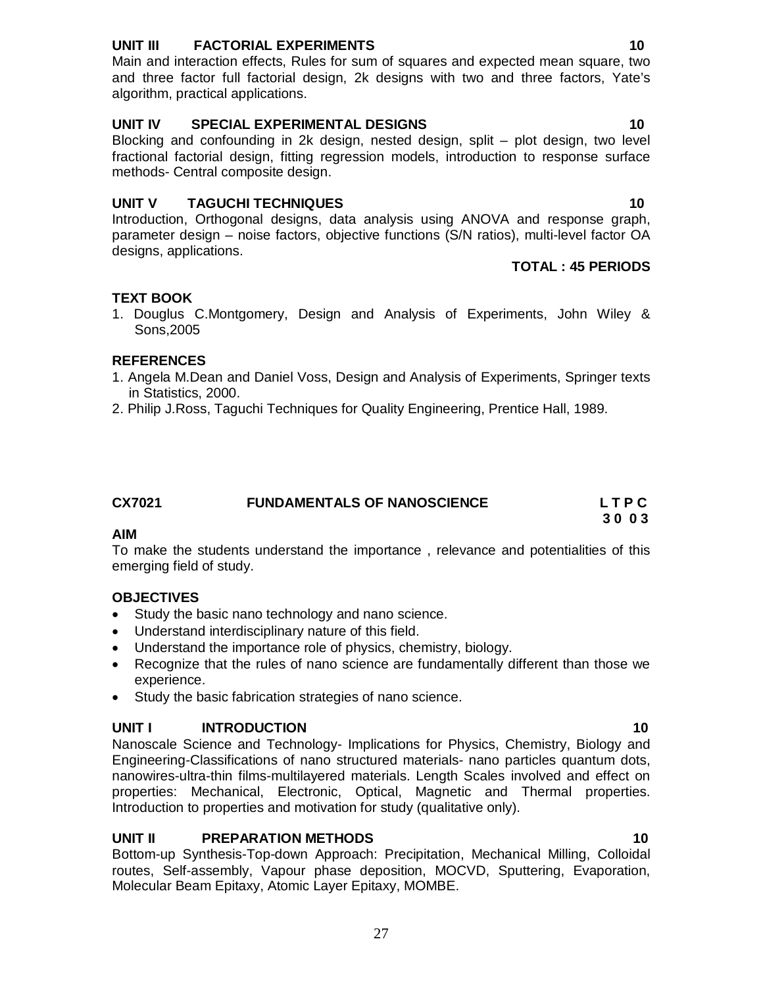# 27

# **UNIT III FACTORIAL EXPERIMENTS 10**

Main and interaction effects, Rules for sum of squares and expected mean square, two and three factor full factorial design, 2k designs with two and three factors, Yate's algorithm, practical applications.

### **UNIT IV SPECIAL EXPERIMENTAL DESIGNS 10** 10

Blocking and confounding in 2k design, nested design, split – plot design, two level fractional factorial design, fitting regression models, introduction to response surface methods- Central composite design.

### **UNIT V TAGUCHI TECHNIQUES 10**

Introduction, Orthogonal designs, data analysis using ANOVA and response graph, parameter design – noise factors, objective functions (S/N ratios), multi-level factor OA designs, applications.

### **TOTAL : 45 PERIODS**

# **TEXT BOOK**

1. Douglus C.Montgomery, Design and Analysis of Experiments, John Wiley & Sons,2005

### **REFERENCES**

- 1. Angela M.Dean and Daniel Voss, Design and Analysis of Experiments, Springer texts in Statistics, 2000.
- 2. Philip J.Ross, Taguchi Techniques for Quality Engineering, Prentice Hall, 1989.

| CX7021 | <b>FUNDAMENTALS OF NANOSCIENCE</b> | <b>LTPC</b> |
|--------|------------------------------------|-------------|
|        |                                    | 3003        |

### **AIM**

To make the students understand the importance , relevance and potentialities of this emerging field of study.

# **OBJECTIVES**

- Study the basic nano technology and nano science.
- Understand interdisciplinary nature of this field.
- Understand the importance role of physics, chemistry, biology.
- Recognize that the rules of nano science are fundamentally different than those we experience.
- Study the basic fabrication strategies of nano science.

# **UNIT I INTRODUCTION 10**

Nanoscale Science and Technology- Implications for Physics, Chemistry, Biology and Engineering-Classifications of nano structured materials- nano particles quantum dots, nanowires-ultra-thin films-multilayered materials. Length Scales involved and effect on properties: Mechanical, Electronic, Optical, Magnetic and Thermal properties. Introduction to properties and motivation for study (qualitative only).

# **UNIT II PREPARATION METHODS 10**

Bottom-up Synthesis-Top-down Approach: Precipitation, Mechanical Milling, Colloidal routes, Self-assembly, Vapour phase deposition, MOCVD, Sputtering, Evaporation, Molecular Beam Epitaxy, Atomic Layer Epitaxy, MOMBE.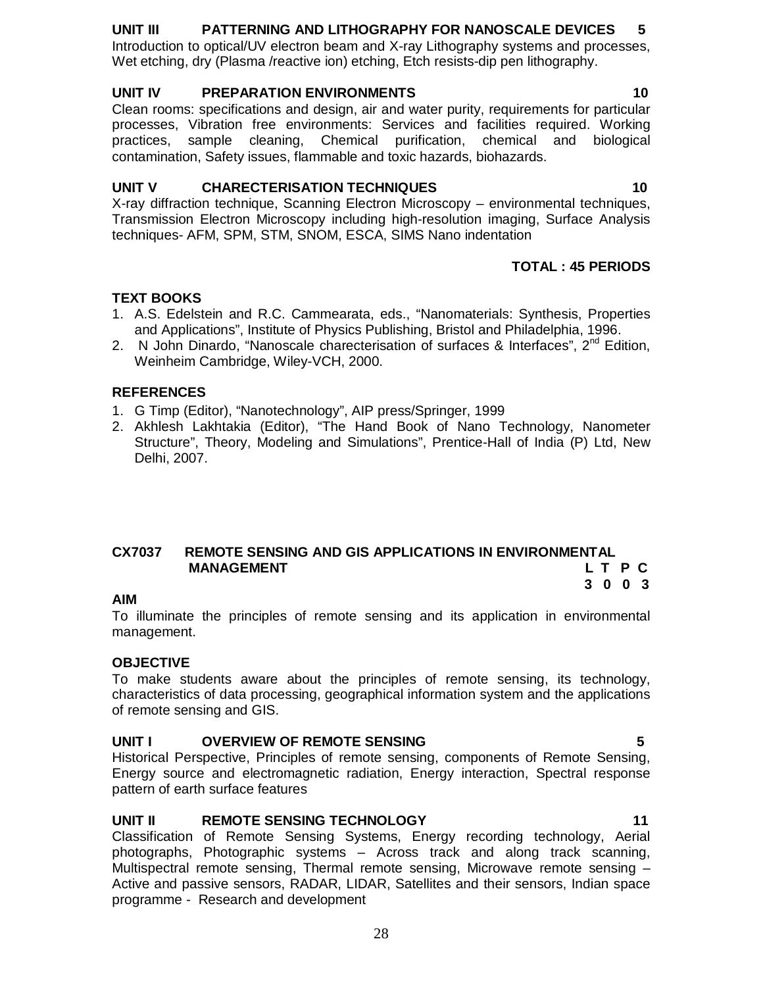# **UNIT III PATTERNING AND LITHOGRAPHY FOR NANOSCALE DEVICES 5**

Introduction to optical/UV electron beam and X-ray Lithography systems and processes, Wet etching, dry (Plasma /reactive ion) etching, Etch resists-dip pen lithography.

## **UNIT IV PREPARATION ENVIRONMENTS 10**

Clean rooms: specifications and design, air and water purity, requirements for particular processes, Vibration free environments: Services and facilities required. Working practices, sample cleaning, Chemical purification, chemical and biological contamination, Safety issues, flammable and toxic hazards, biohazards.

# **UNIT V CHARECTERISATION TECHNIQUES 10**

X-ray diffraction technique, Scanning Electron Microscopy – environmental techniques, Transmission Electron Microscopy including high-resolution imaging, Surface Analysis techniques- AFM, SPM, STM, SNOM, ESCA, SIMS Nano indentation

### **TOTAL : 45 PERIODS**

# **TEXT BOOKS**

- 1. A.S. Edelstein and R.C. Cammearata, eds., "Nanomaterials: Synthesis, Properties and Applications", Institute of Physics Publishing, Bristol and Philadelphia, 1996.
- 2. N John Dinardo, "Nanoscale charecterisation of surfaces & Interfaces",  $2<sup>nd</sup>$  Edition, Weinheim Cambridge, Wiley-VCH, 2000.

### **REFERENCES**

- 1. G Timp (Editor), "Nanotechnology", AIP press/Springer, 1999
- 2. Akhlesh Lakhtakia (Editor), "The Hand Book of Nano Technology, Nanometer Structure", Theory, Modeling and Simulations", Prentice-Hall of India (P) Ltd, New Delhi, 2007.

#### **CX7037 REMOTE SENSING AND GIS APPLICATIONS IN ENVIRONMENTAL MANAGEMENT** L T P C  **3 0 0 3**

### **AIM**

To illuminate the principles of remote sensing and its application in environmental management.

### **OBJECTIVE**

To make students aware about the principles of remote sensing, its technology, characteristics of data processing, geographical information system and the applications of remote sensing and GIS.

# **UNIT I OVERVIEW OF REMOTE SENSING 5**

Historical Perspective, Principles of remote sensing, components of Remote Sensing, Energy source and electromagnetic radiation, Energy interaction, Spectral response pattern of earth surface features

### **UNIT II REMOTE SENSING TECHNOLOGY 11**

Classification of Remote Sensing Systems, Energy recording technology, Aerial photographs, Photographic systems – Across track and along track scanning, Multispectral remote sensing, Thermal remote sensing, Microwave remote sensing -Active and passive sensors, RADAR, LIDAR, Satellites and their sensors, Indian space programme - Research and development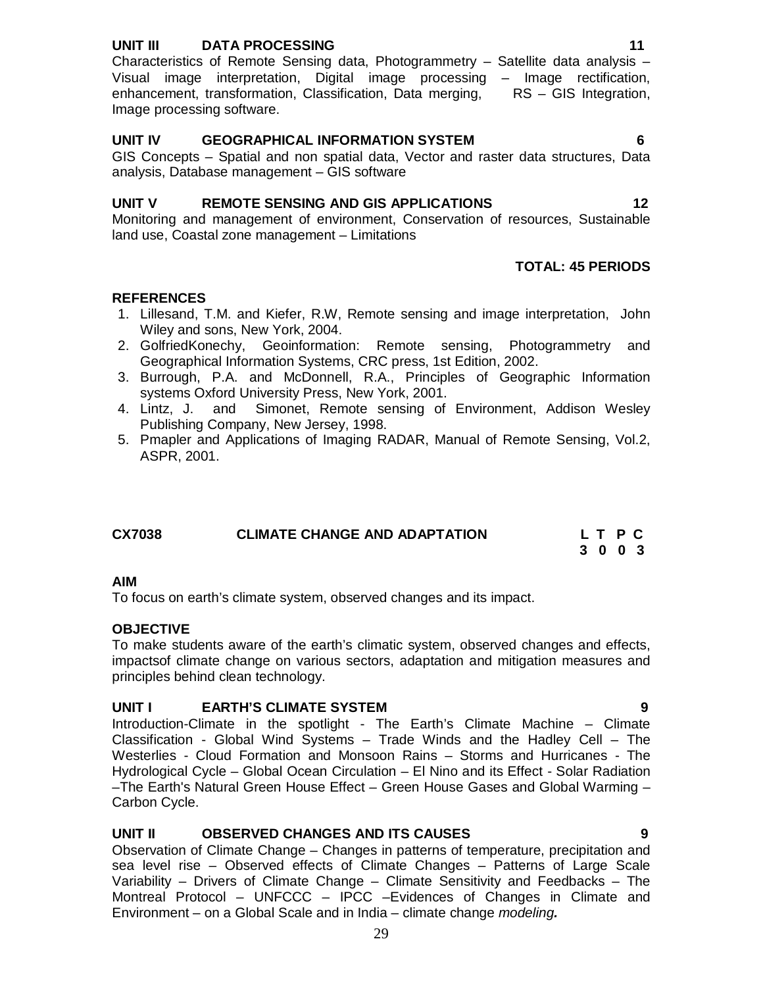### **UNIT III DATA PROCESSING 11**

Characteristics of Remote Sensing data, Photogrammetry – Satellite data analysis – Visual image interpretation, Digital image processing – Image rectification, enhancement, transformation, Classification, Data merging, RS – GIS Integration, Image processing software.

## **UNIT IV GEOGRAPHICAL INFORMATION SYSTEM 6**

GIS Concepts – Spatial and non spatial data, Vector and raster data structures, Data analysis, Database management – GIS software

### **UNIT V REMOTE SENSING AND GIS APPLICATIONS 12**

Monitoring and management of environment, Conservation of resources, Sustainable land use, Coastal zone management – Limitations

### **TOTAL: 45 PERIODS**

### **REFERENCES**

- 1. Lillesand, T.M. and Kiefer, R.W, Remote sensing and image interpretation, John Wiley and sons, New York, 2004.
- 2. GolfriedKonechy, Geoinformation: Remote sensing, Photogrammetry and Geographical Information Systems, CRC press, 1st Edition, 2002.
- 3. Burrough, P.A. and McDonnell, R.A., Principles of Geographic Information systems Oxford University Press, New York, 2001.
- 4. Lintz, J. and Simonet, Remote sensing of Environment, Addison Wesley Publishing Company, New Jersey, 1998.
- 5. Pmapler and Applications of Imaging RADAR, Manual of Remote Sensing, Vol.2, ASPR, 2001.

| <b>CX7038</b> | <b>CLIMATE CHANGE AND ADAPTATION</b> | LT PC   |
|---------------|--------------------------------------|---------|
|               |                                      | 3 0 0 3 |

#### **AIM**

To focus on earth's climate system, observed changes and its impact.

### **OBJECTIVE**

To make students aware of the earth's climatic system, observed changes and effects, impactsof climate change on various sectors, adaptation and mitigation measures and principles behind clean technology.

### **UNIT I EARTH'S CLIMATE SYSTEM 9**

Introduction-Climate in the spotlight - The Earth's Climate Machine – Climate Classification - Global Wind Systems – Trade Winds and the Hadley Cell – The Westerlies - Cloud Formation and Monsoon Rains – Storms and Hurricanes - The Hydrological Cycle – Global Ocean Circulation – El Nino and its Effect - Solar Radiation –The Earth's Natural Green House Effect – Green House Gases and Global Warming – Carbon Cycle.

### **UNIT II OBSERVED CHANGES AND ITS CAUSES 9**

Observation of Climate Change – Changes in patterns of temperature, precipitation and sea level rise – Observed effects of Climate Changes – Patterns of Large Scale Variability – Drivers of Climate Change – Climate Sensitivity and Feedbacks – The Montreal Protocol – UNFCCC – IPCC –Evidences of Changes in Climate and Environment – on a Global Scale and in India – climate change *modeling.*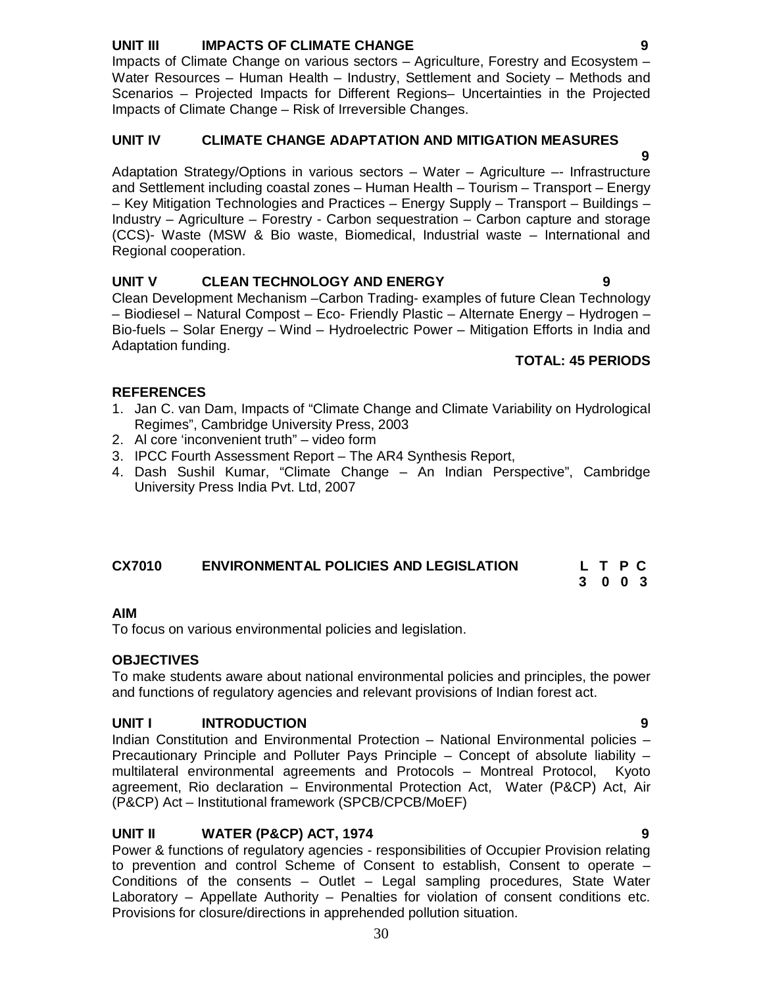# **UNIT III IMPACTS OF CLIMATE CHANGE 9**

Impacts of Climate Change on various sectors – Agriculture, Forestry and Ecosystem – Water Resources – Human Health – Industry, Settlement and Society – Methods and Scenarios – Projected Impacts for Different Regions– Uncertainties in the Projected Impacts of Climate Change – Risk of Irreversible Changes.

# **UNIT IV CLIMATE CHANGE ADAPTATION AND MITIGATION MEASURES**

 **9** Adaptation Strategy/Options in various sectors – Water – Agriculture –- Infrastructure and Settlement including coastal zones – Human Health – Tourism – Transport – Energy – Key Mitigation Technologies and Practices – Energy Supply – Transport – Buildings – Industry – Agriculture – Forestry - Carbon sequestration – Carbon capture and storage (CCS)- Waste (MSW & Bio waste, Biomedical, Industrial waste – International and Regional cooperation.

# **UNIT V CLEAN TECHNOLOGY AND ENERGY 9**

Clean Development Mechanism –Carbon Trading- examples of future Clean Technology – Biodiesel – Natural Compost – Eco- Friendly Plastic – Alternate Energy – Hydrogen – Bio-fuels – Solar Energy – Wind – Hydroelectric Power – Mitigation Efforts in India and Adaptation funding.

# **TOTAL: 45 PERIODS**

### **REFERENCES**

- 1. Jan C. van Dam, Impacts of "Climate Change and Climate Variability on Hydrological Regimes", Cambridge University Press, 2003
- 2. Al core 'inconvenient truth" video form
- 3. IPCC Fourth Assessment Report The AR4 Synthesis Report,
- 4. Dash Sushil Kumar, "Climate Change An Indian Perspective", Cambridge University Press India Pvt. Ltd, 2007

### **CX7010 ENVIRONMENTAL POLICIES AND LEGISLATION L T P C**

### **AIM**

To focus on various environmental policies and legislation.

### **OBJECTIVES**

To make students aware about national environmental policies and principles, the power and functions of regulatory agencies and relevant provisions of Indian forest act.

# **UNIT I INTRODUCTION 9**

Indian Constitution and Environmental Protection – National Environmental policies – Precautionary Principle and Polluter Pays Principle – Concept of absolute liability – multilateral environmental agreements and Protocols – Montreal Protocol, Kyoto agreement, Rio declaration – Environmental Protection Act, Water (P&CP) Act, Air (P&CP) Act – Institutional framework (SPCB/CPCB/MoEF)

# **UNIT II WATER (P&CP) ACT, 1974 9**

Power & functions of regulatory agencies - responsibilities of Occupier Provision relating to prevention and control Scheme of Consent to establish, Consent to operate – Conditions of the consents – Outlet – Legal sampling procedures, State Water Laboratory – Appellate Authority – Penalties for violation of consent conditions etc. Provisions for closure/directions in apprehended pollution situation.

 **3 0 0 3**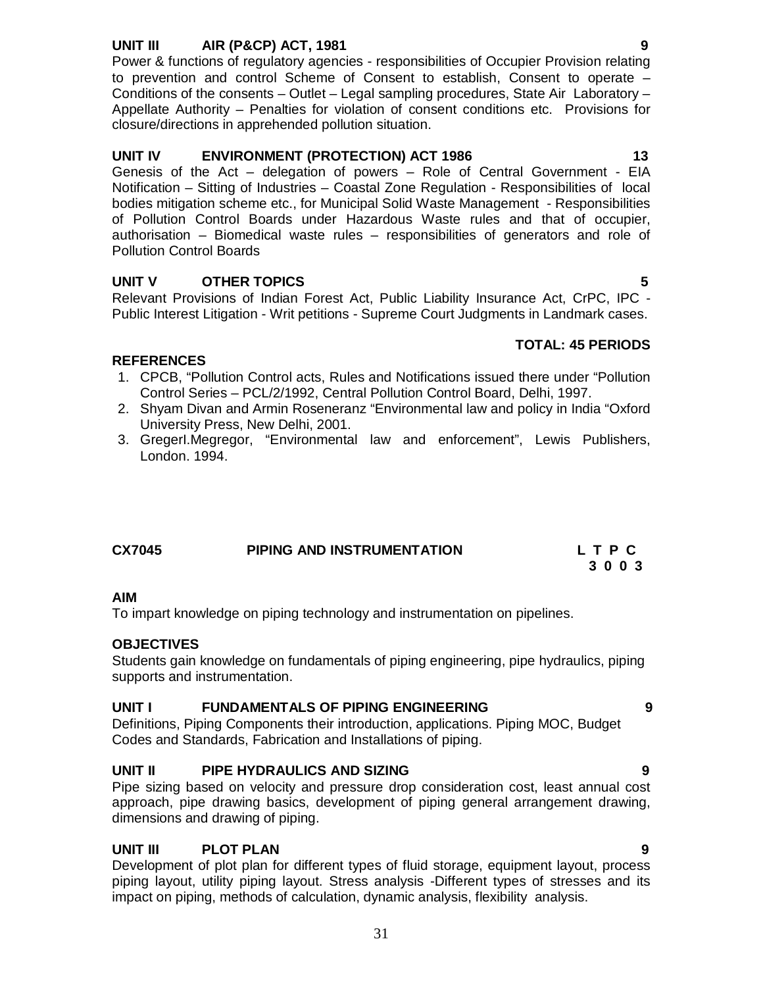# **UNIT III AIR (P&CP) ACT, 1981 9**

Power & functions of regulatory agencies - responsibilities of Occupier Provision relating to prevention and control Scheme of Consent to establish, Consent to operate – Conditions of the consents – Outlet – Legal sampling procedures, State Air Laboratory – Appellate Authority – Penalties for violation of consent conditions etc. Provisions for closure/directions in apprehended pollution situation.

### UNIT IV **ENVIRONMENT (PROTECTION) ACT 1986** 13

Genesis of the Act – delegation of powers – Role of Central Government - EIA Notification – Sitting of Industries – Coastal Zone Regulation - Responsibilities of local bodies mitigation scheme etc., for Municipal Solid Waste Management - Responsibilities of Pollution Control Boards under Hazardous Waste rules and that of occupier, authorisation – Biomedical waste rules – responsibilities of generators and role of Pollution Control Boards

### **UNIT V OTHER TOPICS 5**

Relevant Provisions of Indian Forest Act, Public Liability Insurance Act, CrPC, IPC - Public Interest Litigation - Writ petitions - Supreme Court Judgments in Landmark cases.

#### **TOTAL: 45 PERIODS**

# **REFERENCES**

- 1. CPCB, "Pollution Control acts, Rules and Notifications issued there under "Pollution Control Series – PCL/2/1992, Central Pollution Control Board, Delhi, 1997.
- 2. Shyam Divan and Armin Roseneranz "Environmental law and policy in India "Oxford University Press, New Delhi, 2001.
- 3. GregerI.Megregor, "Environmental law and enforcement", Lewis Publishers, London. 1994.

| <b>CX7045</b> | PIPING AND INSTRUMENTATION | LTPC |
|---------------|----------------------------|------|
|               |                            | 3003 |

### **AIM**

To impart knowledge on piping technology and instrumentation on pipelines.

### **OBJECTIVES**

Students gain knowledge on fundamentals of piping engineering, pipe hydraulics, piping supports and instrumentation.

### **UNIT I FUNDAMENTALS OF PIPING ENGINEERING 9**

Definitions, Piping Components their introduction, applications. Piping MOC, Budget Codes and Standards, Fabrication and Installations of piping.

### **UNIT II PIPE HYDRAULICS AND SIZING 9**

Pipe sizing based on velocity and pressure drop consideration cost, least annual cost approach, pipe drawing basics, development of piping general arrangement drawing, dimensions and drawing of piping.

### **UNIT III PLOT PLAN 9**

Development of plot plan for different types of fluid storage, equipment layout, process piping layout, utility piping layout. Stress analysis -Different types of stresses and its impact on piping, methods of calculation, dynamic analysis, flexibility analysis.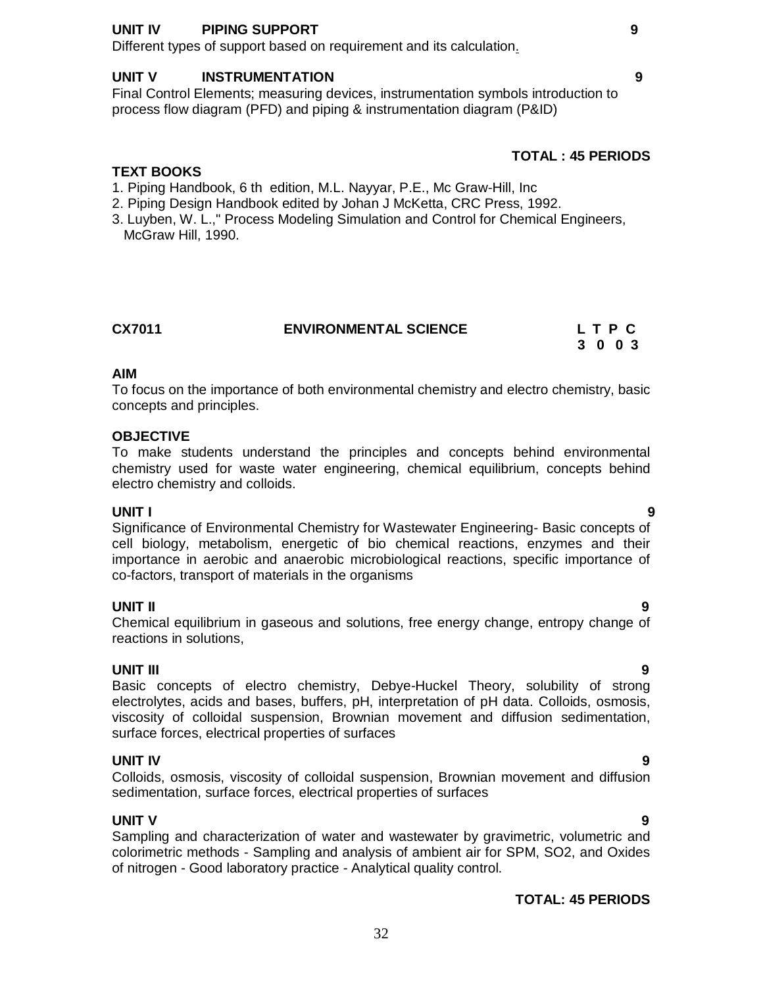### **UNIT IV PIPING SUPPORT 9**

Different types of support based on requirement and its calculation.

#### **UNIT V INSTRUMENTATION 9**

Final Control Elements; measuring devices, instrumentation symbols introduction to process flow diagram (PFD) and piping & instrumentation diagram (P&ID)

# **TOTAL : 45 PERIODS**

## **TEXT BOOKS**

- 1. Piping Handbook, 6 th edition, M.L. Nayyar, P.E., Mc Graw-Hill, Inc
- 2. Piping Design Handbook edited by Johan J McKetta, CRC Press, 1992.
- 3. Luyben, W. L.," Process Modeling Simulation and Control for Chemical Engineers, McGraw Hill, 1990.

| CX7011 | <b>ENVIRONMENTAL SCIENCE</b> | LTPC    |  |  |
|--------|------------------------------|---------|--|--|
|        |                              | 3 0 0 3 |  |  |

#### **AIM**

To focus on the importance of both environmental chemistry and electro chemistry, basic concepts and principles.

#### **OBJECTIVE**

To make students understand the principles and concepts behind environmental chemistry used for waste water engineering, chemical equilibrium, concepts behind electro chemistry and colloids.

#### **UNIT I 9**

Significance of Environmental Chemistry for Wastewater Engineering- Basic concepts of cell biology, metabolism, energetic of bio chemical reactions, enzymes and their importance in aerobic and anaerobic microbiological reactions, specific importance of co-factors, transport of materials in the organisms

#### **UNIT II 9**

Chemical equilibrium in gaseous and solutions, free energy change, entropy change of reactions in solutions,

#### **UNIT III 9**

Basic concepts of electro chemistry, Debye-Huckel Theory, solubility of strong electrolytes, acids and bases, buffers, pH, interpretation of pH data. Colloids, osmosis, viscosity of colloidal suspension, Brownian movement and diffusion sedimentation, surface forces, electrical properties of surfaces

#### **UNIT IV 9**

Colloids, osmosis, viscosity of colloidal suspension, Brownian movement and diffusion sedimentation, surface forces, electrical properties of surfaces

# **UNIT V 9**

Sampling and characterization of water and wastewater by gravimetric, volumetric and colorimetric methods - Sampling and analysis of ambient air for SPM, SO2, and Oxides of nitrogen - Good laboratory practice - Analytical quality control.

# **TOTAL: 45 PERIODS**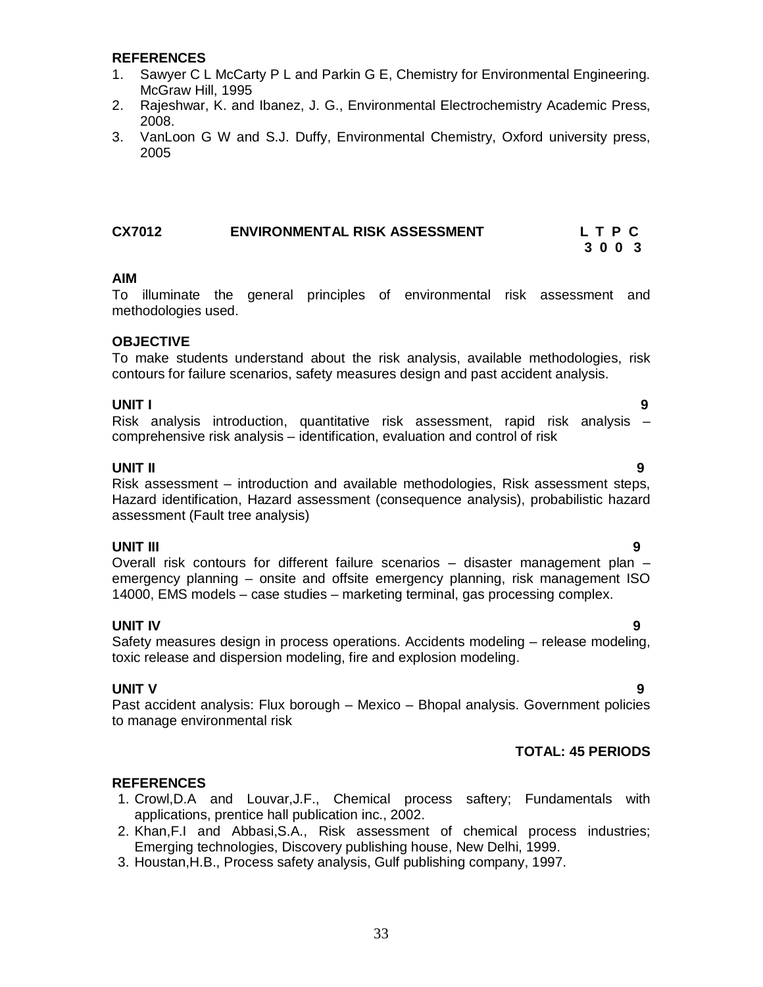#### **REFERENCES**

- 1. Sawyer C L McCarty P L and Parkin G E, Chemistry for Environmental Engineering. McGraw Hill, 1995
- 2. Rajeshwar, K. and Ibanez, J. G., Environmental Electrochemistry Academic Press, 2008.
- 3. VanLoon G W and S.J. Duffy, Environmental Chemistry, Oxford university press, 2005

## **CX7012 ENVIRONMENTAL RISK ASSESSMENT L T P C**

#### **AIM**

To illuminate the general principles of environmental risk assessment and methodologies used.

#### **OBJECTIVE**

To make students understand about the risk analysis, available methodologies, risk contours for failure scenarios, safety measures design and past accident analysis.

#### **UNIT I 9**

Risk analysis introduction, quantitative risk assessment, rapid risk analysis – comprehensive risk analysis – identification, evaluation and control of risk

#### **UNIT II 9**

Risk assessment – introduction and available methodologies, Risk assessment steps, Hazard identification, Hazard assessment (consequence analysis), probabilistic hazard assessment (Fault tree analysis)

#### **UNIT III 9**

Overall risk contours for different failure scenarios – disaster management plan – emergency planning – onsite and offsite emergency planning, risk management ISO 14000, EMS models – case studies – marketing terminal, gas processing complex.

#### **UNIT IV 9**

Safety measures design in process operations. Accidents modeling – release modeling, toxic release and dispersion modeling, fire and explosion modeling.

#### **UNIT V 9**

Past accident analysis: Flux borough – Mexico – Bhopal analysis. Government policies to manage environmental risk

### **TOTAL: 45 PERIODS**

### **REFERENCES**

- 1. Crowl,D.A and Louvar,J.F., Chemical process saftery; Fundamentals with applications, prentice hall publication inc., 2002.
- 2. Khan,F.I and Abbasi,S.A., Risk assessment of chemical process industries; Emerging technologies, Discovery publishing house, New Delhi, 1999.
- 3. Houstan,H.B., Process safety analysis, Gulf publishing company, 1997.

# **3 0 0 3**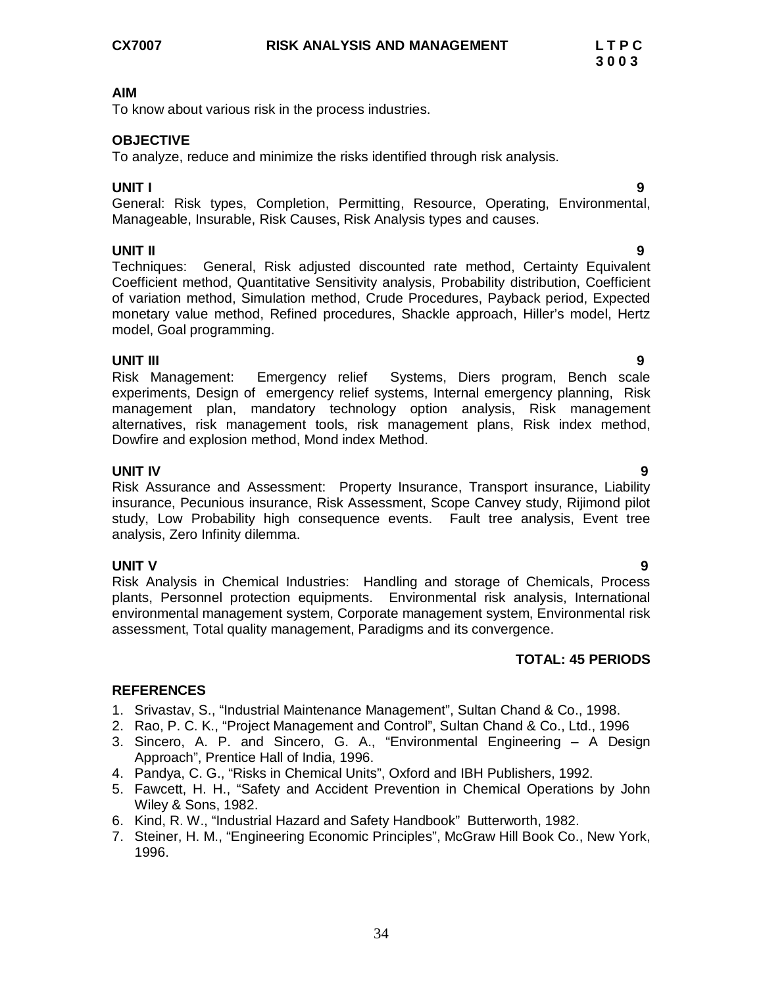To know about various risk in the process industries.

## **OBJECTIVE**

To analyze, reduce and minimize the risks identified through risk analysis.

**UNIT I 9** General: Risk types, Completion, Permitting, Resource, Operating, Environmental, Manageable, Insurable, Risk Causes, Risk Analysis types and causes.

**UNIT II 9** Techniques: General, Risk adjusted discounted rate method, Certainty Equivalent Coefficient method, Quantitative Sensitivity analysis, Probability distribution, Coefficient of variation method, Simulation method, Crude Procedures, Payback period, Expected monetary value method, Refined procedures, Shackle approach, Hiller's model, Hertz model, Goal programming.

**UNIT III 9** Risk Management: Emergency relief Systems, Diers program, Bench scale experiments, Design of emergency relief systems, Internal emergency planning, Risk management plan, mandatory technology option analysis, Risk management alternatives, risk management tools, risk management plans, Risk index method, Dowfire and explosion method, Mond index Method.

# **UNIT IV 9**

Risk Assurance and Assessment: Property Insurance, Transport insurance, Liability insurance, Pecunious insurance, Risk Assessment, Scope Canvey study, Rijimond pilot study, Low Probability high consequence events. Fault tree analysis, Event tree analysis, Zero Infinity dilemma.

### **UNIT V 9**

Risk Analysis in Chemical Industries: Handling and storage of Chemicals, Process plants, Personnel protection equipments. Environmental risk analysis, International environmental management system, Corporate management system, Environmental risk assessment, Total quality management, Paradigms and its convergence.

### **TOTAL: 45 PERIODS**

### **REFERENCES**

- 1. Srivastav, S., "Industrial Maintenance Management", Sultan Chand & Co., 1998.
- 2. Rao, P. C. K., "Project Management and Control", Sultan Chand & Co., Ltd., 1996
- 3. Sincero, A. P. and Sincero, G. A., "Environmental Engineering A Design Approach", Prentice Hall of India, 1996.
- 4. Pandya, C. G., "Risks in Chemical Units", Oxford and IBH Publishers, 1992.
- 5. Fawcett, H. H., "Safety and Accident Prevention in Chemical Operations by John Wiley & Sons, 1982.
- 6. Kind, R. W., "Industrial Hazard and Safety Handbook" Butterworth, 1982.
- 7. Steiner, H. M., "Engineering Economic Principles", McGraw Hill Book Co., New York, 1996.

#### 34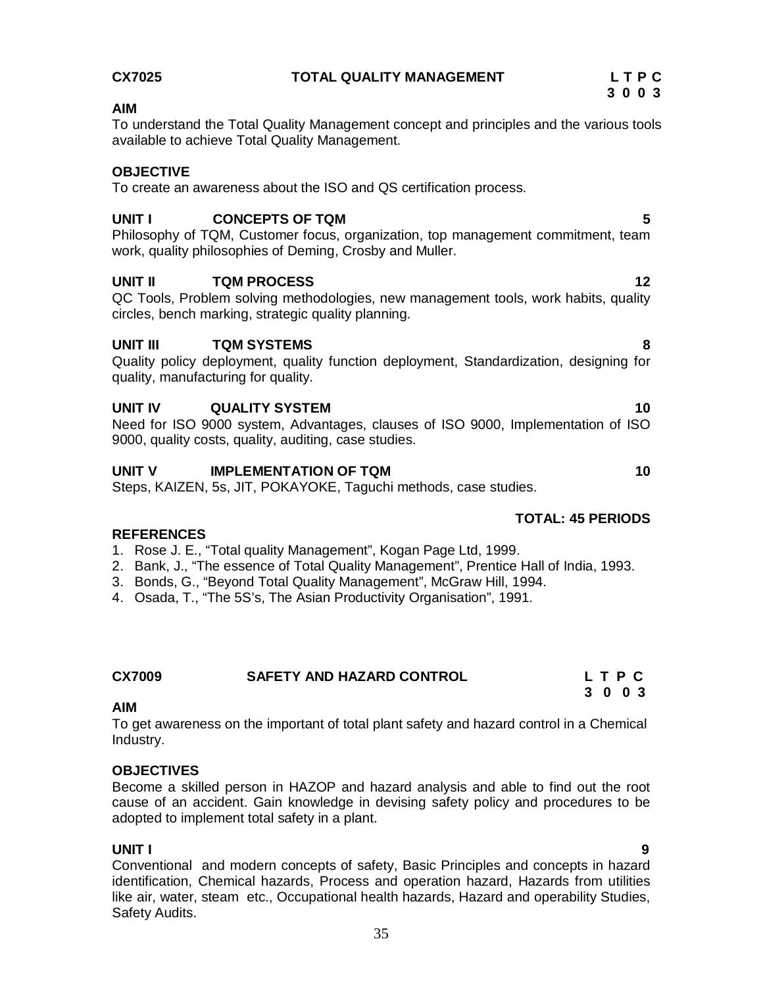To understand the Total Quality Management concept and principles and the various tools available to achieve Total Quality Management.

#### **OBJECTIVE**

To create an awareness about the ISO and QS certification process.

#### **UNIT I CONCEPTS OF TQM 5**

Philosophy of TQM, Customer focus, organization, top management commitment, team work, quality philosophies of Deming, Crosby and Muller.

#### **UNIT II** TQM PROCESS 12

QC Tools, Problem solving methodologies, new management tools, work habits, quality circles, bench marking, strategic quality planning.

#### **UNIT III TQM SYSTEMS 8**

Quality policy deployment, quality function deployment, Standardization, designing for quality, manufacturing for quality.

#### **UNIT IV GUALITY SYSTEM 10**

Need for ISO 9000 system, Advantages, clauses of ISO 9000, Implementation of ISO 9000, quality costs, quality, auditing, case studies.

#### **UNIT V IMPLEMENTATION OF TQM 10**

Steps, KAIZEN, 5s, JIT, POKAYOKE, Taguchi methods, case studies.

### **TOTAL: 45 PERIODS**

#### **REFERENCES**

- 1. Rose J. E., "Total quality Management", Kogan Page Ltd, 1999.
- 2. Bank, J., "The essence of Total Quality Management", Prentice Hall of India, 1993.
- 3. Bonds, G., "Beyond Total Quality Management", McGraw Hill, 1994.
- 4. Osada, T., "The 5S's, The Asian Productivity Organisation", 1991.

| CX7009 | <b>SAFETY AND HAZARD CONTROL</b> | LTPC    |
|--------|----------------------------------|---------|
|        |                                  | 3 0 0 3 |

#### **AIM**

To get awareness on the important of total plant safety and hazard control in a Chemical Industry.

#### **OBJECTIVES**

Become a skilled person in HAZOP and hazard analysis and able to find out the root cause of an accident. Gain knowledge in devising safety policy and procedures to be adopted to implement total safety in a plant.

#### **UNIT I 9**

Conventional and modern concepts of safety, Basic Principles and concepts in hazard identification, Chemical hazards, Process and operation hazard, Hazards from utilities like air, water, steam etc., Occupational health hazards, Hazard and operability Studies, Safety Audits.

#### **CX7025 TOTAL QUALITY MANAGEMENT L T P C 3 0 0 3**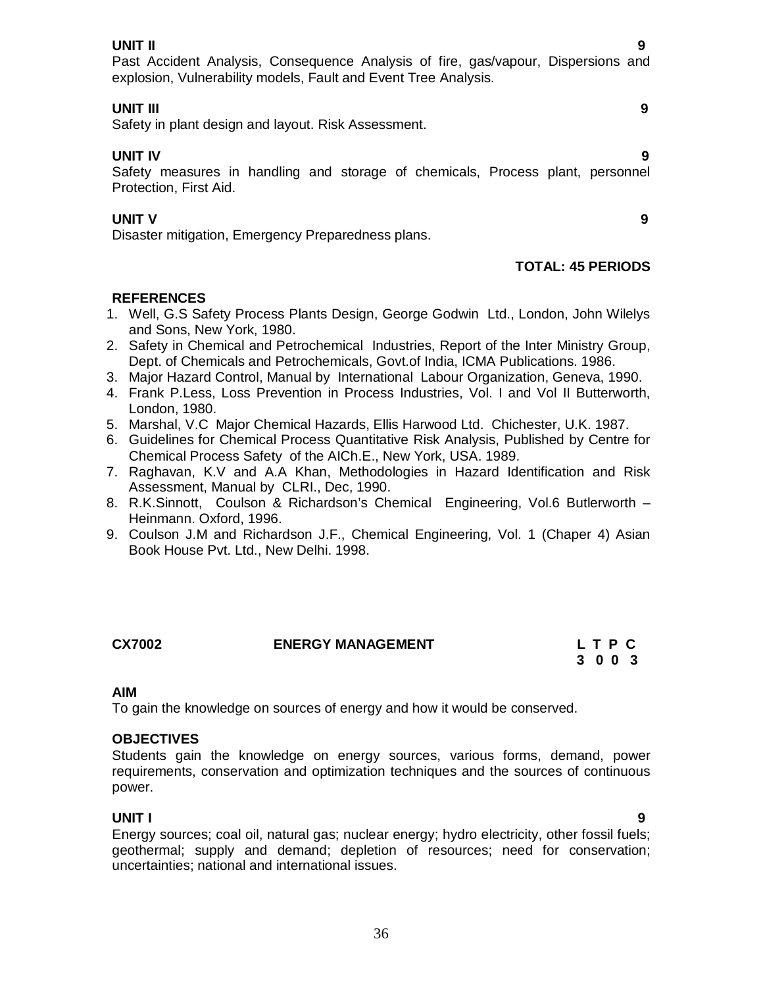#### **UNIT II 9**

Past Accident Analysis, Consequence Analysis of fire, gas/vapour, Dispersions and explosion, Vulnerability models, Fault and Event Tree Analysis.

### **UNIT III 9**

Safety in plant design and layout. Risk Assessment.

## **UNIT IV 9**

Safety measures in handling and storage of chemicals, Process plant, personnel Protection, First Aid.

#### **UNIT V 9**

Disaster mitigation, Emergency Preparedness plans.

#### **TOTAL: 45 PERIODS**

### **REFERENCES**

- 1. Well, G.S Safety Process Plants Design, George Godwin Ltd., London, John Wilelys and Sons, New York, 1980.
- 2. Safety in Chemical and Petrochemical Industries, Report of the Inter Ministry Group, Dept. of Chemicals and Petrochemicals, Govt.of India, ICMA Publications. 1986.
- 3. Major Hazard Control, Manual by International Labour Organization, Geneva, 1990.
- 4. Frank P.Less, Loss Prevention in Process Industries, Vol. I and Vol II Butterworth, London, 1980.
- 5. Marshal, V.C Major Chemical Hazards, Ellis Harwood Ltd. Chichester, U.K. 1987.
- 6. Guidelines for Chemical Process Quantitative Risk Analysis, Published by Centre for Chemical Process Safety of the AICh.E., New York, USA. 1989.
- 7. Raghavan, K.V and A.A Khan, Methodologies in Hazard Identification and Risk Assessment, Manual by CLRI., Dec, 1990.
- 8. R.K.Sinnott, Coulson & Richardson's Chemical Engineering, Vol.6 Butlerworth Heinmann. Oxford, 1996.
- 9. Coulson J.M and Richardson J.F., Chemical Engineering, Vol. 1 (Chaper 4) Asian Book House Pvt. Ltd., New Delhi. 1998.

### **CX7002 ENERGY MANAGEMENT L T P C**

# **3 0 0 3**

# **AIM**

To gain the knowledge on sources of energy and how it would be conserved.

# **OBJECTIVES**

Students gain the knowledge on energy sources, various forms, demand, power requirements, conservation and optimization techniques and the sources of continuous power.

### **UNIT I 9**

Energy sources; coal oil, natural gas; nuclear energy; hydro electricity, other fossil fuels; geothermal; supply and demand; depletion of resources; need for conservation; uncertainties; national and international issues.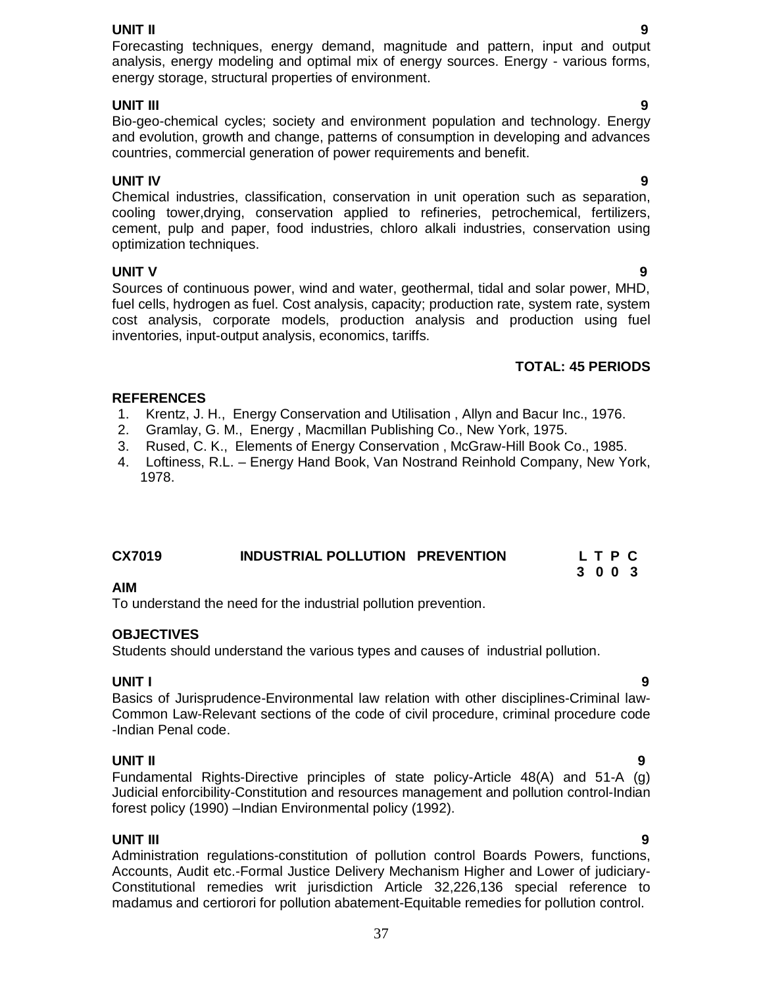#### **UNIT II 9**

Forecasting techniques, energy demand, magnitude and pattern, input and output analysis, energy modeling and optimal mix of energy sources. Energy - various forms, energy storage, structural properties of environment.

#### **UNIT III 9**

Bio-geo-chemical cycles; society and environment population and technology. Energy and evolution, growth and change, patterns of consumption in developing and advances countries, commercial generation of power requirements and benefit.

#### **UNIT IV 9**

Chemical industries, classification, conservation in unit operation such as separation, cooling tower,drying, conservation applied to refineries, petrochemical, fertilizers, cement, pulp and paper, food industries, chloro alkali industries, conservation using optimization techniques.

# **UNIT V 9**

Sources of continuous power, wind and water, geothermal, tidal and solar power, MHD, fuel cells, hydrogen as fuel. Cost analysis, capacity; production rate, system rate, system cost analysis, corporate models, production analysis and production using fuel inventories, input-output analysis, economics, tariffs.

# **TOTAL: 45 PERIODS**

### **REFERENCES**

- 1. Krentz, J. H., Energy Conservation and Utilisation , Allyn and Bacur Inc., 1976.
- 2. Gramlay, G. M., Energy , Macmillan Publishing Co., New York, 1975.
- 3. Rused, C. K., Elements of Energy Conservation , McGraw-Hill Book Co., 1985.
- 4. Loftiness, R.L. Energy Hand Book, Van Nostrand Reinhold Company, New York, 1978.

| <b>CX7019</b> | INDUSTRIAL POLLUTION PREVENTION |         | LTPC |  |
|---------------|---------------------------------|---------|------|--|
|               |                                 | 3 0 0 3 |      |  |

### **AIM**

To understand the need for the industrial pollution prevention.

### **OBJECTIVES**

Students should understand the various types and causes of industrial pollution.

### **UNIT I 9**

Basics of Jurisprudence-Environmental law relation with other disciplines-Criminal law-Common Law-Relevant sections of the code of civil procedure, criminal procedure code -Indian Penal code.

**UNIT II 9** Fundamental Rights-Directive principles of state policy-Article 48(A) and 51-A (g) Judicial enforcibility-Constitution and resources management and pollution control-Indian forest policy (1990) –Indian Environmental policy (1992).

### **UNIT III 9**

Administration regulations-constitution of pollution control Boards Powers, functions, Accounts, Audit etc.-Formal Justice Delivery Mechanism Higher and Lower of judiciary-Constitutional remedies writ jurisdiction Article 32,226,136 special reference to madamus and certiorori for pollution abatement-Equitable remedies for pollution control.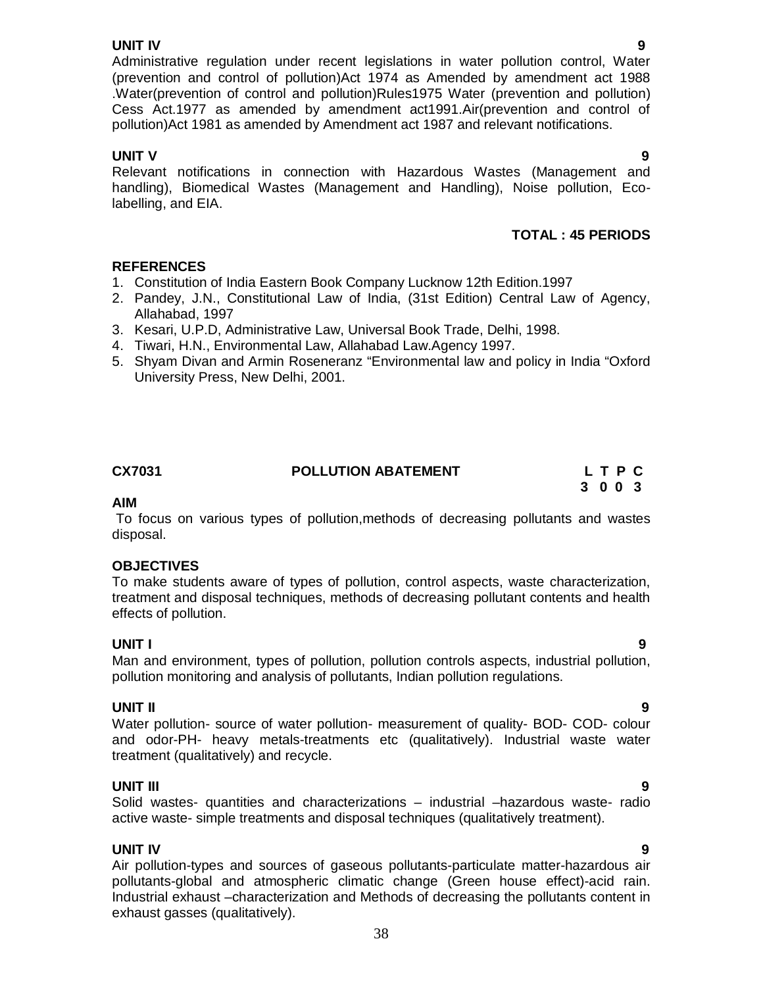**UNIT IV 9**  Administrative regulation under recent legislations in water pollution control, Water (prevention and control of pollution)Act 1974 as Amended by amendment act 1988 .Water(prevention of control and pollution)Rules1975 Water (prevention and pollution) Cess Act.1977 as amended by amendment act1991.Air(prevention and control of pollution)Act 1981 as amended by Amendment act 1987 and relevant notifications.

# **UNIT V** 9

Relevant notifications in connection with Hazardous Wastes (Management and handling), Biomedical Wastes (Management and Handling), Noise pollution, Ecolabelling, and EIA.

# **TOTAL : 45 PERIODS**

# **REFERENCES**

- 1. Constitution of India Eastern Book Company Lucknow 12th Edition.1997
- 2. Pandey, J.N., Constitutional Law of India, (31st Edition) Central Law of Agency, Allahabad, 1997
- 3. Kesari, U.P.D, Administrative Law, Universal Book Trade, Delhi, 1998.
- 4. Tiwari, H.N., Environmental Law, Allahabad Law.Agency 1997.
- 5. Shyam Divan and Armin Roseneranz "Environmental law and policy in India "Oxford University Press, New Delhi, 2001.

| CX7031 | <b>POLLUTION ABATEMENT</b> | LTPC |
|--------|----------------------------|------|
|        |                            | 3003 |

#### **AIM**

To focus on various types of pollution,methods of decreasing pollutants and wastes disposal.

### **OBJECTIVES**

To make students aware of types of pollution, control aspects, waste characterization, treatment and disposal techniques, methods of decreasing pollutant contents and health effects of pollution.

### **UNIT I 9**

Man and environment, types of pollution, pollution controls aspects, industrial pollution, pollution monitoring and analysis of pollutants, Indian pollution regulations.

**UNIT II 9** Water pollution- source of water pollution- measurement of quality- BOD- COD- colour and odor-PH- heavy metals-treatments etc (qualitatively). Industrial waste water treatment (qualitatively) and recycle.

**UNIT III 9** Solid wastes- quantities and characterizations – industrial –hazardous waste- radio active waste- simple treatments and disposal techniques (qualitatively treatment).

### **UNIT IV 9**

Air pollution-types and sources of gaseous pollutants-particulate matter-hazardous air pollutants-global and atmospheric climatic change (Green house effect)-acid rain. Industrial exhaust –characterization and Methods of decreasing the pollutants content in exhaust gasses (qualitatively).

# 38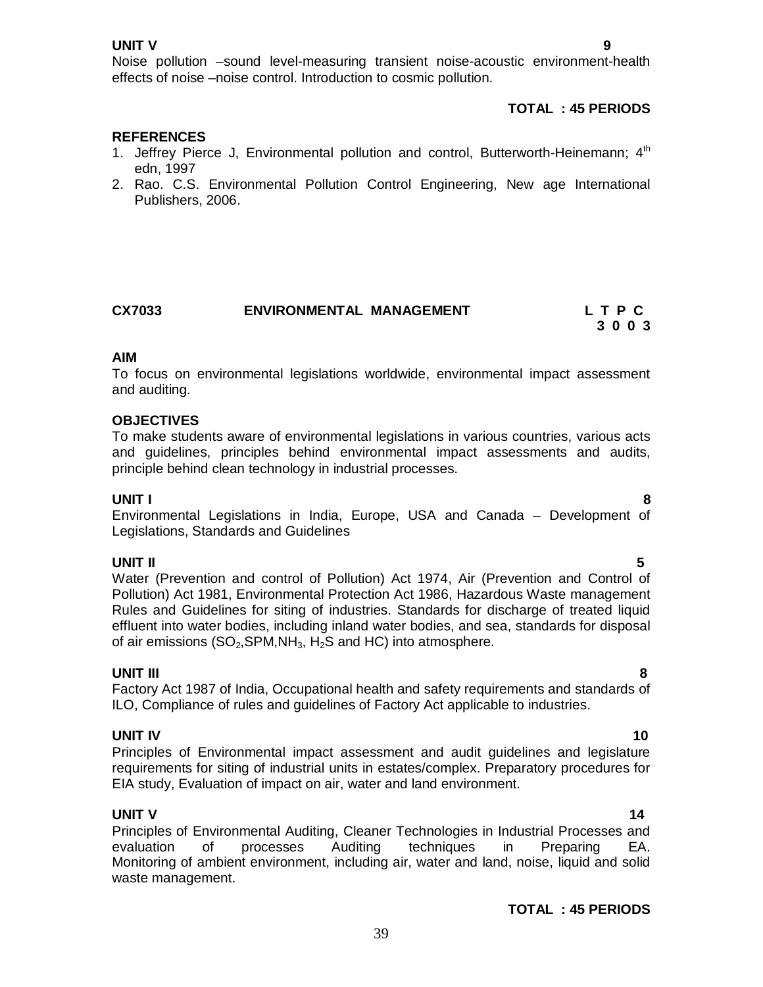Noise pollution –sound level-measuring transient noise-acoustic environment-health effects of noise –noise control. Introduction to cosmic pollution.

# **TOTAL : 45 PERIODS**

# **REFERENCES**

- 1. Jeffrey Pierce J, Environmental pollution and control, Butterworth-Heinemann;  $4<sup>th</sup>$ edn, 1997
- 2. Rao. C.S. Environmental Pollution Control Engineering, New age International Publishers, 2006.

| CX7033 | <b>ENVIRONMENTAL MANAGEMENT</b> | LTPC |
|--------|---------------------------------|------|
|        |                                 | 3003 |

#### **AIM**

To focus on environmental legislations worldwide, environmental impact assessment and auditing.

### **OBJECTIVES**

To make students aware of environmental legislations in various countries, various acts and guidelines, principles behind environmental impact assessments and audits, principle behind clean technology in industrial processes.

#### **UNIT I 8**

Environmental Legislations in India, Europe, USA and Canada – Development of Legislations, Standards and Guidelines

**UNIT II 5** Water (Prevention and control of Pollution) Act 1974, Air (Prevention and Control of Pollution) Act 1981, Environmental Protection Act 1986, Hazardous Waste management Rules and Guidelines for siting of industries. Standards for discharge of treated liquid effluent into water bodies, including inland water bodies, and sea, standards for disposal of air emissions  $(SO_2, SPM, NH_3, H_2S$  and HC) into atmosphere.

**UNIT III 8** Factory Act 1987 of India, Occupational health and safety requirements and standards of ILO, Compliance of rules and guidelines of Factory Act applicable to industries.

#### **UNIT IV** 10

Principles of Environmental impact assessment and audit guidelines and legislature requirements for siting of industrial units in estates/complex. Preparatory procedures for EIA study, Evaluation of impact on air, water and land environment.

#### **UNIT V** 14

Principles of Environmental Auditing, Cleaner Technologies in Industrial Processes and<br>evaluation of processes Auditing techniques in Preparing EA. evaluation of processes Auditing techniques in Preparing EA. Monitoring of ambient environment, including air, water and land, noise, liquid and solid waste management.

### **TOTAL : 45 PERIODS**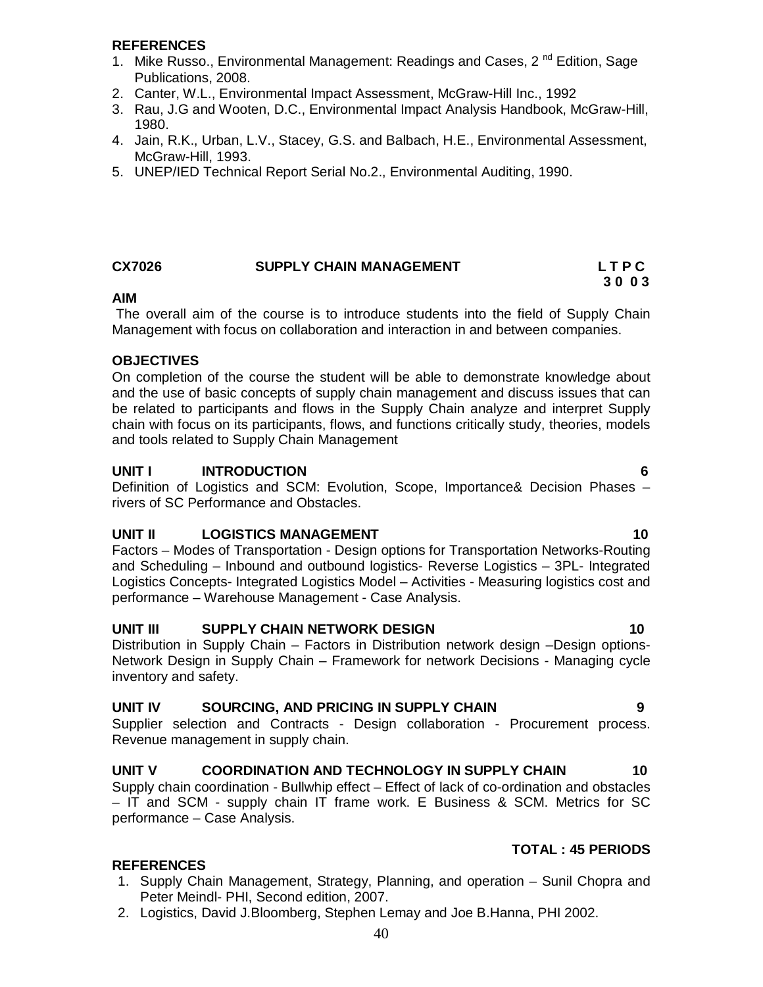### **REFERENCES**

- 1. Mike Russo., Environmental Management: Readings and Cases, 2<sup>nd</sup> Edition, Sage Publications, 2008.
- 2. Canter, W.L., Environmental Impact Assessment, McGraw-Hill Inc., 1992
- 3. Rau, J.G and Wooten, D.C., Environmental Impact Analysis Handbook, McGraw-Hill, 1980.
- 4. Jain, R.K., Urban, L.V., Stacey, G.S. and Balbach, H.E., Environmental Assessment, McGraw-Hill, 1993.
- 5. UNEP/IED Technical Report Serial No.2., Environmental Auditing, 1990.

#### **CX7026 SUPPLY CHAIN MANAGEMENT L T P C 3 0 0 3**

#### **AIM**

The overall aim of the course is to introduce students into the field of Supply Chain Management with focus on collaboration and interaction in and between companies.

#### **OBJECTIVES**

On completion of the course the student will be able to demonstrate knowledge about and the use of basic concepts of supply chain management and discuss issues that can be related to participants and flows in the Supply Chain analyze and interpret Supply chain with focus on its participants, flows, and functions critically study, theories, models and tools related to Supply Chain Management

#### **UNIT I INTRODUCTION 6**

Definition of Logistics and SCM: Evolution, Scope, Importance& Decision Phases – rivers of SC Performance and Obstacles.

### **UNIT II LOGISTICS MANAGEMENT** 10

Factors – Modes of Transportation - Design options for Transportation Networks-Routing and Scheduling – Inbound and outbound logistics- Reverse Logistics – 3PL- Integrated Logistics Concepts- Integrated Logistics Model – Activities - Measuring logistics cost and performance – Warehouse Management - Case Analysis.

### **UNIT III** SUPPLY CHAIN NETWORK DESIGN 10

Distribution in Supply Chain – Factors in Distribution network design –Design options-Network Design in Supply Chain – Framework for network Decisions - Managing cycle inventory and safety.

### **UNIT IV SOURCING, AND PRICING IN SUPPLY CHAIN 9**

Supplier selection and Contracts - Design collaboration - Procurement process. Revenue management in supply chain.

# UNIT V COORDINATION AND TECHNOLOGY IN SUPPLY CHAIN 40

Supply chain coordination - Bullwhip effect – Effect of lack of co-ordination and obstacles – IT and SCM - supply chain IT frame work. E Business & SCM. Metrics for SC performance – Case Analysis.

### **TOTAL : 45 PERIODS**

- 1. Supply Chain Management, Strategy, Planning, and operation Sunil Chopra and Peter Meindl- PHI, Second edition, 2007.
- 2. Logistics, David J.Bloomberg, Stephen Lemay and Joe B.Hanna, PHI 2002.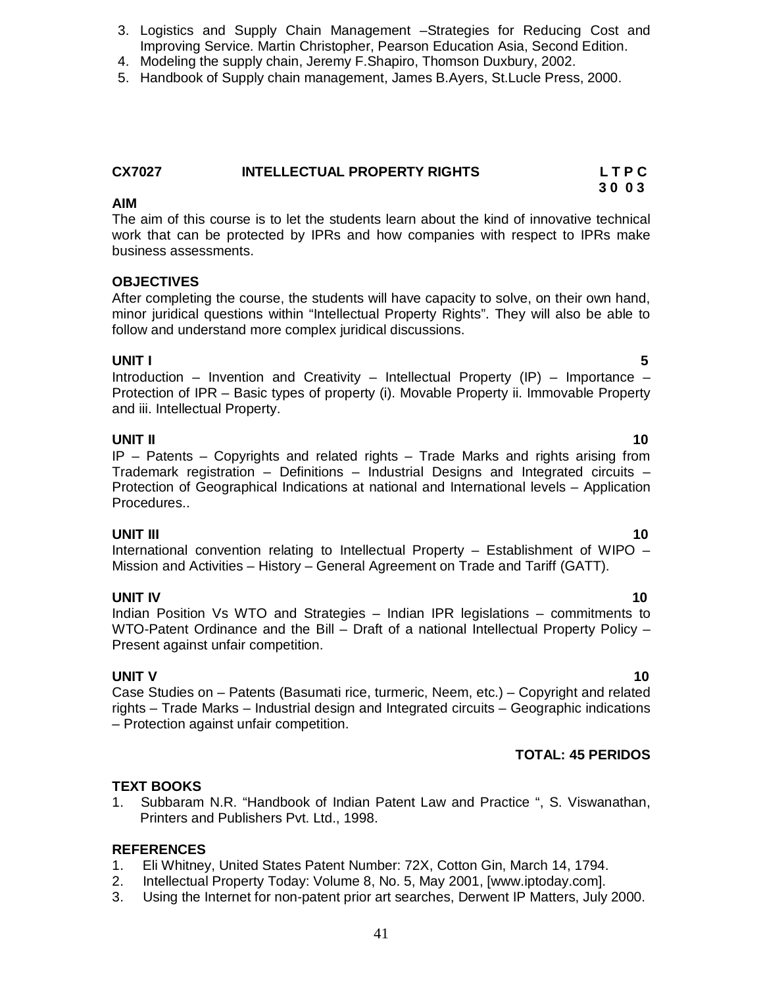- 3. Logistics and Supply Chain Management –Strategies for Reducing Cost and Improving Service. Martin Christopher, Pearson Education Asia, Second Edition.
- 4. Modeling the supply chain, Jeremy F.Shapiro, Thomson Duxbury, 2002.
- 5. Handbook of Supply chain management, James B.Ayers, St.Lucle Press, 2000.

#### **CX7027 INTELLECTUAL PROPERTY RIGHTS L T P C**

#### **AIM** The aim of this course is to let the students learn about the kind of innovative technical work that can be protected by IPRs and how companies with respect to IPRs make business assessments.

# **OBJECTIVES**

After completing the course, the students will have capacity to solve, on their own hand, minor juridical questions within "Intellectual Property Rights". They will also be able to follow and understand more complex juridical discussions.

**UNIT I 5** Introduction – Invention and Creativity – Intellectual Property (IP) – Importance – Protection of IPR – Basic types of property (i). Movable Property ii. Immovable Property and iii. Intellectual Property.

# **UNIT II** 10

IP – Patents – Copyrights and related rights – Trade Marks and rights arising from Trademark registration – Definitions – Industrial Designs and Integrated circuits – Protection of Geographical Indications at national and International levels – Application Procedures..

### **UNIT III** 10

International convention relating to Intellectual Property – Establishment of WIPO – Mission and Activities – History – General Agreement on Trade and Tariff (GATT).

**UNIT IV** 10 Indian Position Vs WTO and Strategies – Indian IPR legislations – commitments to WTO-Patent Ordinance and the Bill – Draft of a national Intellectual Property Policy – Present against unfair competition.

**UNIT V** 10 Case Studies on – Patents (Basumati rice, turmeric, Neem, etc.) – Copyright and related rights – Trade Marks – Industrial design and Integrated circuits – Geographic indications – Protection against unfair competition.

# **TOTAL: 45 PERIDOS**

### **TEXT BOOKS**

1. Subbaram N.R. "Handbook of Indian Patent Law and Practice ", S. Viswanathan, Printers and Publishers Pvt. Ltd., 1998.

# **REFERENCES**

- 1. Eli Whitney, United States Patent Number: 72X, Cotton Gin, March 14, 1794.
- 2. Intellectual Property Today: Volume 8, No. 5, May 2001, [www.iptoday.com].
- 3. Using the Internet for non-patent prior art searches, Derwent IP Matters, July 2000.

 **3 0 0 3**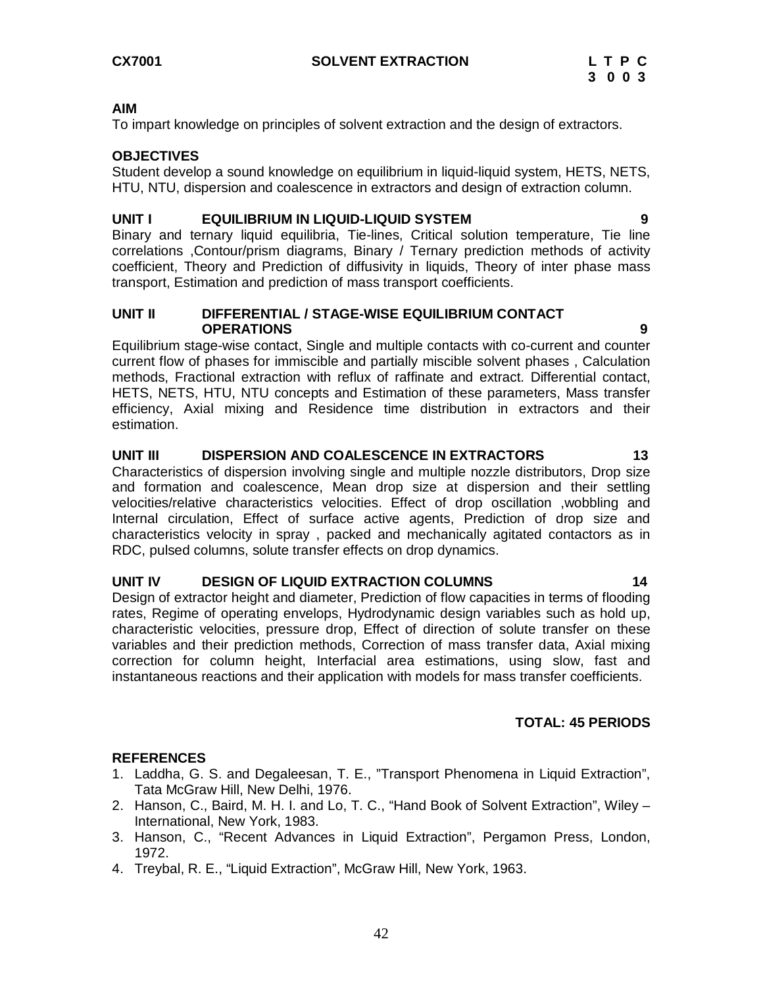To impart knowledge on principles of solvent extraction and the design of extractors.

### **OBJECTIVES**

Student develop a sound knowledge on equilibrium in liquid-liquid system, HETS, NETS, HTU, NTU, dispersion and coalescence in extractors and design of extraction column.

### **UNIT I EQUILIBRIUM IN LIQUID-LIQUID SYSTEM 9**

Binary and ternary liquid equilibria, Tie-lines, Critical solution temperature, Tie line correlations ,Contour/prism diagrams, Binary / Ternary prediction methods of activity coefficient, Theory and Prediction of diffusivity in liquids, Theory of inter phase mass transport, Estimation and prediction of mass transport coefficients.

#### **UNIT II DIFFERENTIAL / STAGE-WISE EQUILIBRIUM CONTACT OPERATIONS 9**

Equilibrium stage-wise contact, Single and multiple contacts with co-current and counter current flow of phases for immiscible and partially miscible solvent phases , Calculation methods, Fractional extraction with reflux of raffinate and extract. Differential contact, HETS, NETS, HTU, NTU concepts and Estimation of these parameters, Mass transfer efficiency, Axial mixing and Residence time distribution in extractors and their estimation.

# **UNIT III DISPERSION AND COALESCENCE IN EXTRACTORS 13**

Characteristics of dispersion involving single and multiple nozzle distributors, Drop size and formation and coalescence, Mean drop size at dispersion and their settling velocities/relative characteristics velocities. Effect of drop oscillation ,wobbling and Internal circulation, Effect of surface active agents, Prediction of drop size and characteristics velocity in spray , packed and mechanically agitated contactors as in RDC, pulsed columns, solute transfer effects on drop dynamics.

### **UNIT IV DESIGN OF LIQUID EXTRACTION COLUMNS 14**

Design of extractor height and diameter, Prediction of flow capacities in terms of flooding rates, Regime of operating envelops, Hydrodynamic design variables such as hold up, characteristic velocities, pressure drop, Effect of direction of solute transfer on these variables and their prediction methods, Correction of mass transfer data, Axial mixing correction for column height, Interfacial area estimations, using slow, fast and instantaneous reactions and their application with models for mass transfer coefficients.

# **TOTAL: 45 PERIODS**

- 1. Laddha, G. S. and Degaleesan, T. E., "Transport Phenomena in Liquid Extraction", Tata McGraw Hill, New Delhi, 1976.
- 2. Hanson, C., Baird, M. H. I. and Lo, T. C., "Hand Book of Solvent Extraction", Wiley International, New York, 1983.
- 3. Hanson, C., "Recent Advances in Liquid Extraction", Pergamon Press, London, 1972.
- 4. Treybal, R. E., "Liquid Extraction", McGraw Hill, New York, 1963.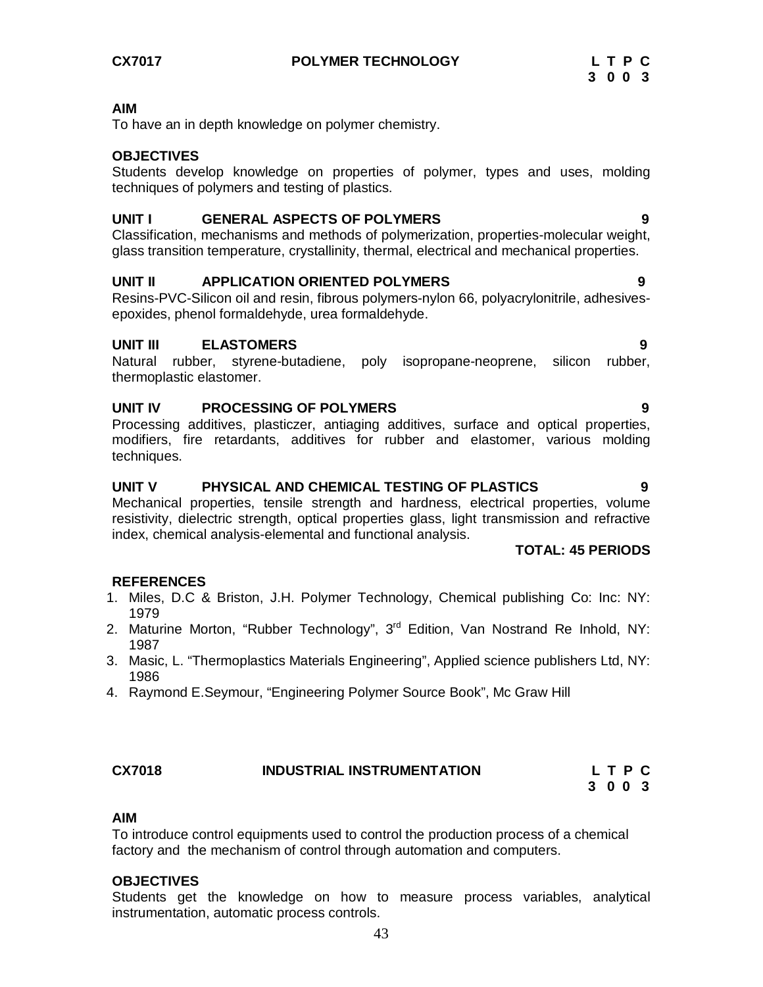**CX7017 POLYMER TECHNOLOGY L T P C** 

#### **AIM**

To have an in depth knowledge on polymer chemistry.

### **OBJECTIVES**

Students develop knowledge on properties of polymer, types and uses, molding techniques of polymers and testing of plastics.

### **UNIT I GENERAL ASPECTS OF POLYMERS 9**

Classification, mechanisms and methods of polymerization, properties-molecular weight, glass transition temperature, crystallinity, thermal, electrical and mechanical properties.

### **UNIT II APPLICATION ORIENTED POLYMERS**

Resins-PVC-Silicon oil and resin, fibrous polymers-nylon 66, polyacrylonitrile, adhesivesepoxides, phenol formaldehyde, urea formaldehyde.

### **UNIT III ELASTOMERS 9**

Natural rubber, styrene-butadiene, poly isopropane-neoprene, silicon rubber, thermoplastic elastomer.

#### **UNIT IV PROCESSING OF POLYMERS 9**

Processing additives, plasticzer, antiaging additives, surface and optical properties, modifiers, fire retardants, additives for rubber and elastomer, various molding techniques.

# **UNIT V PHYSICAL AND CHEMICAL TESTING OF PLASTICS 9**

Mechanical properties, tensile strength and hardness, electrical properties, volume resistivity, dielectric strength, optical properties glass, light transmission and refractive index, chemical analysis-elemental and functional analysis.

#### **TOTAL: 45 PERIODS**

#### **REFERENCES**

- 1. Miles, D.C & Briston, J.H. Polymer Technology, Chemical publishing Co: Inc: NY: 1979
- 2. Maturine Morton, "Rubber Technology", 3<sup>rd</sup> Edition, Van Nostrand Re Inhold, NY: 1987
- 3. Masic, L. "Thermoplastics Materials Engineering", Applied science publishers Ltd, NY: 1986
- 4. Raymond E.Seymour, "Engineering Polymer Source Book", Mc Graw Hill

#### **CX7018 INDUSTRIAL INSTRUMENTATION L T P C**

 **3 0 0 3**

### **AIM**

To introduce control equipments used to control the production process of a chemical factory and the mechanism of control through automation and computers.

#### **OBJECTIVES**

Students get the knowledge on how to measure process variables, analytical instrumentation, automatic process controls.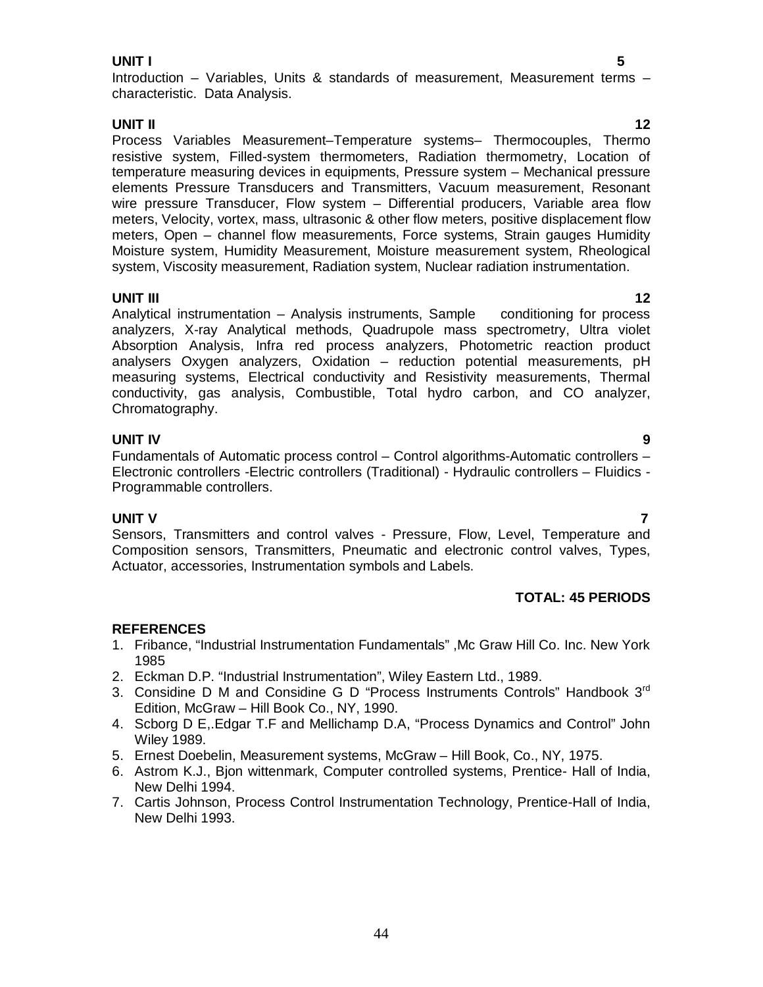#### **UNIT I 5**

## **UNIT II 12**

Process Variables Measurement–Temperature systems– Thermocouples, Thermo resistive system, Filled-system thermometers, Radiation thermometry, Location of temperature measuring devices in equipments, Pressure system – Mechanical pressure elements Pressure Transducers and Transmitters, Vacuum measurement, Resonant wire pressure Transducer, Flow system – Differential producers, Variable area flow meters, Velocity, vortex, mass, ultrasonic & other flow meters, positive displacement flow meters, Open – channel flow measurements, Force systems, Strain gauges Humidity Moisture system, Humidity Measurement, Moisture measurement system, Rheological system, Viscosity measurement, Radiation system, Nuclear radiation instrumentation.

**UNIT III 12** Analytical instrumentation – Analysis instruments, Sample conditioning for process analyzers, X-ray Analytical methods, Quadrupole mass spectrometry, Ultra violet Absorption Analysis, Infra red process analyzers, Photometric reaction product analysers Oxygen analyzers, Oxidation – reduction potential measurements, pH measuring systems, Electrical conductivity and Resistivity measurements, Thermal conductivity, gas analysis, Combustible, Total hydro carbon, and CO analyzer, Chromatography.

# **UNIT IV 9**

Fundamentals of Automatic process control – Control algorithms-Automatic controllers – Electronic controllers -Electric controllers (Traditional) - Hydraulic controllers – Fluidics - Programmable controllers.

### **UNIT V 7**

Sensors, Transmitters and control valves - Pressure, Flow, Level, Temperature and Composition sensors, Transmitters, Pneumatic and electronic control valves, Types, Actuator, accessories, Instrumentation symbols and Labels.

# **TOTAL: 45 PERIODS**

- 1. Fribance, "Industrial Instrumentation Fundamentals" ,Mc Graw Hill Co. Inc. New York 1985
- 2. Eckman D.P. "Industrial Instrumentation", Wiley Eastern Ltd., 1989.
- 3. Considine D M and Considine G D "Process Instruments Controls" Handbook 3<sup>rd</sup> Edition, McGraw – Hill Book Co., NY, 1990.
- 4. Scborg D E,.Edgar T.F and Mellichamp D.A, "Process Dynamics and Control" John Wiley 1989.
- 5. Ernest Doebelin, Measurement systems, McGraw Hill Book, Co., NY, 1975.
- 6. Astrom K.J., Bjon wittenmark, Computer controlled systems, Prentice- Hall of India, New Delhi 1994.
- 7. Cartis Johnson, Process Control Instrumentation Technology, Prentice-Hall of India, New Delhi 1993.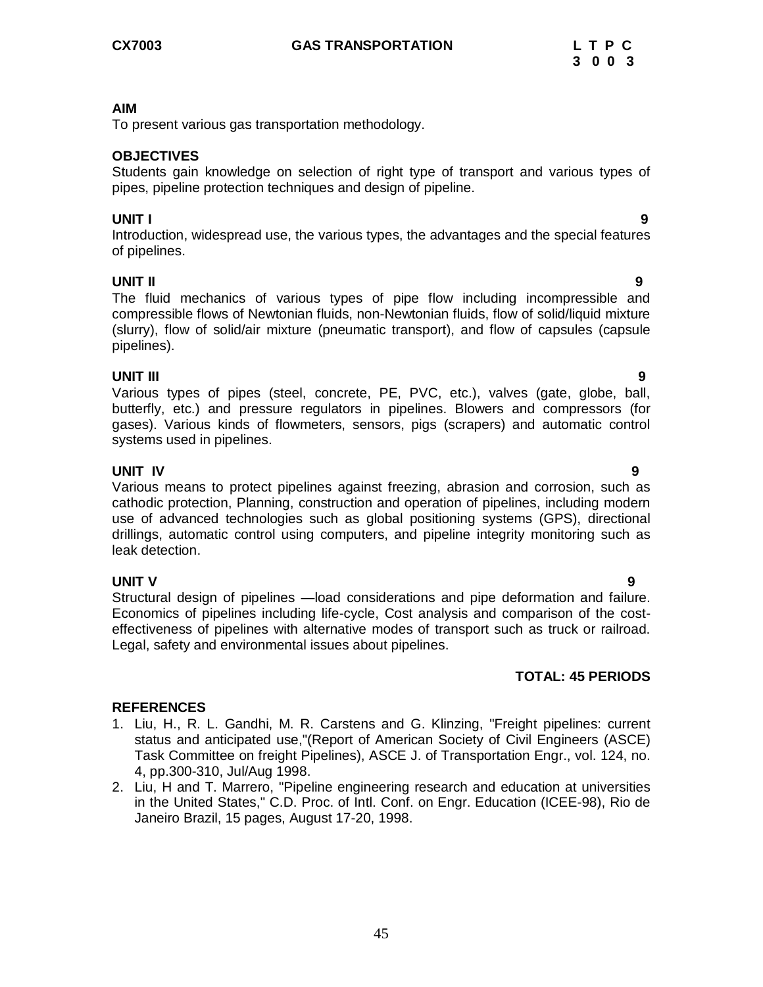To present various gas transportation methodology.

#### **OBJECTIVES**

Students gain knowledge on selection of right type of transport and various types of pipes, pipeline protection techniques and design of pipeline.

#### **UNIT I 9**

Introduction, widespread use, the various types, the advantages and the special features of pipelines.

### **UNIT II 9**

The fluid mechanics of various types of pipe flow including incompressible and compressible flows of Newtonian fluids, non-Newtonian fluids, flow of solid/liquid mixture (slurry), flow of solid/air mixture (pneumatic transport), and flow of capsules (capsule pipelines).

**UNIT III 9** Various types of pipes (steel, concrete, PE, PVC, etc.), valves (gate, globe, ball, butterfly, etc.) and pressure regulators in pipelines. Blowers and compressors (for gases). Various kinds of flowmeters, sensors, pigs (scrapers) and automatic control systems used in pipelines.

**UNIT IV 9** Various means to protect pipelines against freezing, abrasion and corrosion, such as cathodic protection, Planning, construction and operation of pipelines, including modern use of advanced technologies such as global positioning systems (GPS), directional drillings, automatic control using computers, and pipeline integrity monitoring such as leak detection.

### **UNIT V 9**

Structural design of pipelines —load considerations and pipe deformation and failure. Economics of pipelines including life-cycle, Cost analysis and comparison of the costeffectiveness of pipelines with alternative modes of transport such as truck or railroad. Legal, safety and environmental issues about pipelines.

### **TOTAL: 45 PERIODS**

- 1. Liu, H., R. L. Gandhi, M. R. Carstens and G. Klinzing, "Freight pipelines: current status and anticipated use,"(Report of American Society of Civil Engineers (ASCE) Task Committee on freight Pipelines), ASCE J. of Transportation Engr., vol. 124, no. 4, pp.300-310, Jul/Aug 1998.
- 2. Liu, H and T. Marrero, "Pipeline engineering research and education at universities in the United States," C.D. Proc. of Intl. Conf. on Engr. Education (ICEE-98), Rio de Janeiro Brazil, 15 pages, August 17-20, 1998.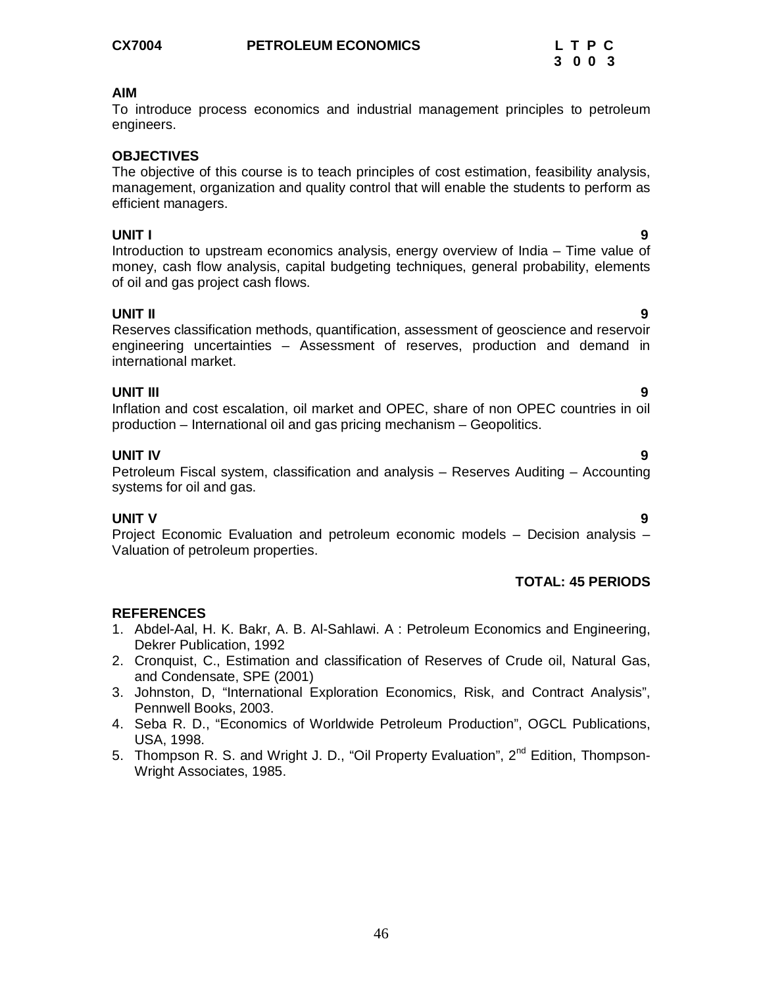To introduce process economics and industrial management principles to petroleum engineers.

## **OBJECTIVES**

The objective of this course is to teach principles of cost estimation, feasibility analysis, management, organization and quality control that will enable the students to perform as efficient managers.

### **UNIT I 9**

Introduction to upstream economics analysis, energy overview of India – Time value of money, cash flow analysis, capital budgeting techniques, general probability, elements of oil and gas project cash flows.

#### **UNIT II 9**

Reserves classification methods, quantification, assessment of geoscience and reservoir engineering uncertainties – Assessment of reserves, production and demand in international market.

#### **UNIT III 9**

Inflation and cost escalation, oil market and OPEC, share of non OPEC countries in oil production – International oil and gas pricing mechanism – Geopolitics.

### **UNIT IV 9**

Petroleum Fiscal system, classification and analysis – Reserves Auditing – Accounting systems for oil and gas.

### **UNIT V 9**

Project Economic Evaluation and petroleum economic models – Decision analysis – Valuation of petroleum properties.

### **TOTAL: 45 PERIODS**

- 1. Abdel-Aal, H. K. Bakr, A. B. Al-Sahlawi. A : Petroleum Economics and Engineering, Dekrer Publication, 1992
- 2. Cronquist, C., Estimation and classification of Reserves of Crude oil, Natural Gas, and Condensate, SPE (2001)
- 3. Johnston, D, "International Exploration Economics, Risk, and Contract Analysis", Pennwell Books, 2003.
- 4. Seba R. D., "Economics of Worldwide Petroleum Production", OGCL Publications, USA, 1998.
- 5. Thompson R. S. and Wright J. D., "Oil Property Evaluation", 2<sup>nd</sup> Edition, Thompson-Wright Associates, 1985.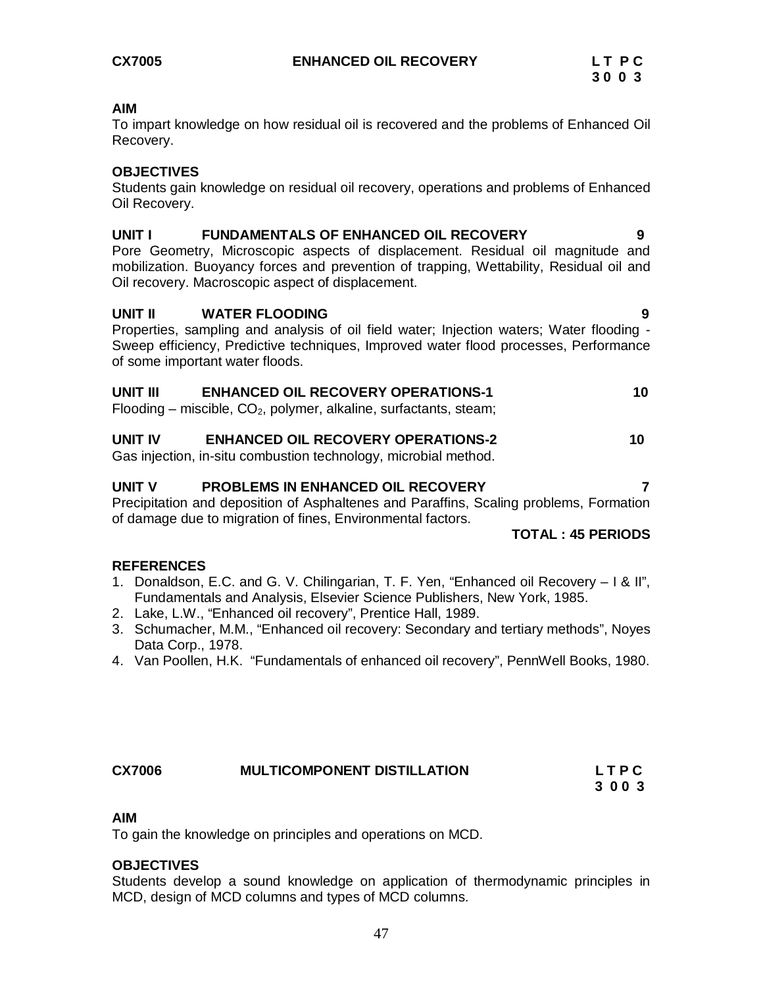To impart knowledge on how residual oil is recovered and the problems of Enhanced Oil Recovery.

#### **OBJECTIVES**

Students gain knowledge on residual oil recovery, operations and problems of Enhanced Oil Recovery.

### **UNIT I FUNDAMENTALS OF ENHANCED OIL RECOVERY 9**

Pore Geometry, Microscopic aspects of displacement. Residual oil magnitude and mobilization. Buoyancy forces and prevention of trapping, Wettability, Residual oil and Oil recovery. Macroscopic aspect of displacement.

#### **UNIT II WATER FLOODING 9**

Properties, sampling and analysis of oil field water; Injection waters; Water flooding - Sweep efficiency, Predictive techniques, Improved water flood processes, Performance of some important water floods.

#### **UNIT III ENHANCED OIL RECOVERY OPERATIONS-1 10** Flooding – miscible,  $CO<sub>2</sub>$ , polymer, alkaline, surfactants, steam;

# **UNIT IV ENHANCED OIL RECOVERY OPERATIONS-2 10**

Gas injection, in-situ combustion technology, microbial method.

#### **UNIT V PROBLEMS IN ENHANCED OIL RECOVERY 7**

Precipitation and deposition of Asphaltenes and Paraffins, Scaling problems, Formation of damage due to migration of fines, Environmental factors.

#### **TOTAL : 45 PERIODS**

#### **REFERENCES**

- 1. Donaldson, E.C. and G. V. Chilingarian, T. F. Yen, "Enhanced oil Recovery I & II", Fundamentals and Analysis, Elsevier Science Publishers, New York, 1985.
- 2. Lake, L.W., "Enhanced oil recovery", Prentice Hall, 1989.
- 3. Schumacher, M.M., "Enhanced oil recovery: Secondary and tertiary methods", Noyes Data Corp., 1978.
- 4. Van Poollen, H.K. "Fundamentals of enhanced oil recovery", PennWell Books, 1980.

| <b>CX7006</b> | <b>MULTICOMPONENT DISTILLATION</b> | <b>LTPC</b> |
|---------------|------------------------------------|-------------|
|               |                                    | 3003        |

# **AIM**

To gain the knowledge on principles and operations on MCD.

#### **OBJECTIVES**

Students develop a sound knowledge on application of thermodynamic principles in MCD, design of MCD columns and types of MCD columns.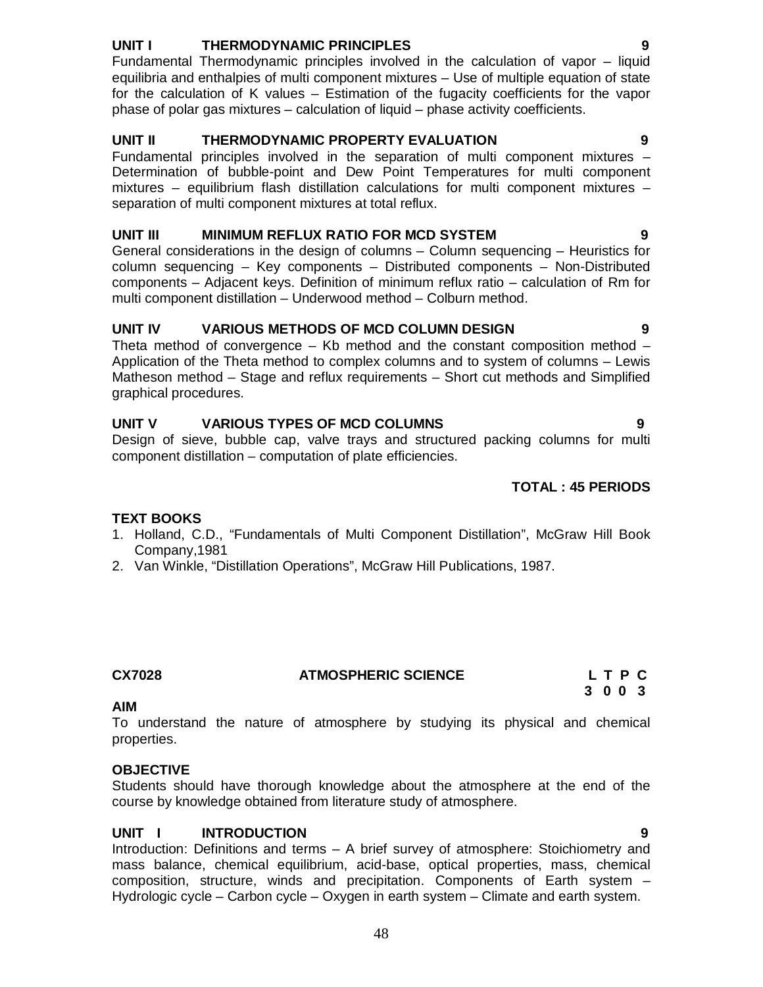# **UNIT I THERMODYNAMIC PRINCIPLES 9**

Fundamental Thermodynamic principles involved in the calculation of vapor – liquid equilibria and enthalpies of multi component mixtures – Use of multiple equation of state for the calculation of K values – Estimation of the fugacity coefficients for the vapor phase of polar gas mixtures – calculation of liquid – phase activity coefficients.

# **UNIT II THERMODYNAMIC PROPERTY EVALUATION 9**

Fundamental principles involved in the separation of multi component mixtures – Determination of bubble-point and Dew Point Temperatures for multi component mixtures – equilibrium flash distillation calculations for multi component mixtures – separation of multi component mixtures at total reflux.

### **UNIT III MINIMUM REFLUX RATIO FOR MCD SYSTEM 9**

General considerations in the design of columns – Column sequencing – Heuristics for column sequencing – Key components – Distributed components – Non-Distributed components – Adjacent keys. Definition of minimum reflux ratio – calculation of Rm for multi component distillation – Underwood method – Colburn method.

### **UNIT IV VARIOUS METHODS OF MCD COLUMN DESIGN 9**

Theta method of convergence  $-$  Kb method and the constant composition method  $-$ Application of the Theta method to complex columns and to system of columns – Lewis Matheson method – Stage and reflux requirements – Short cut methods and Simplified graphical procedures.

# **UNIT V VARIOUS TYPES OF MCD COLUMNS 9**

Design of sieve, bubble cap, valve trays and structured packing columns for multi component distillation – computation of plate efficiencies.

### **TOTAL : 45 PERIODS**

### **TEXT BOOKS**

- 1. Holland, C.D., "Fundamentals of Multi Component Distillation", McGraw Hill Book Company,1981
- 2. Van Winkle, "Distillation Operations", McGraw Hill Publications, 1987.

### **CX7028 ATMOSPHERIC SCIENCE L T P C**

 **3 0 0 3**

#### **AIM**

To understand the nature of atmosphere by studying its physical and chemical properties.

### **OBJECTIVE**

Students should have thorough knowledge about the atmosphere at the end of the course by knowledge obtained from literature study of atmosphere.

### **UNIT I INTRODUCTION 9**

Introduction: Definitions and terms – A brief survey of atmosphere: Stoichiometry and mass balance, chemical equilibrium, acid-base, optical properties, mass, chemical composition, structure, winds and precipitation. Components of Earth system – Hydrologic cycle – Carbon cycle – Oxygen in earth system – Climate and earth system.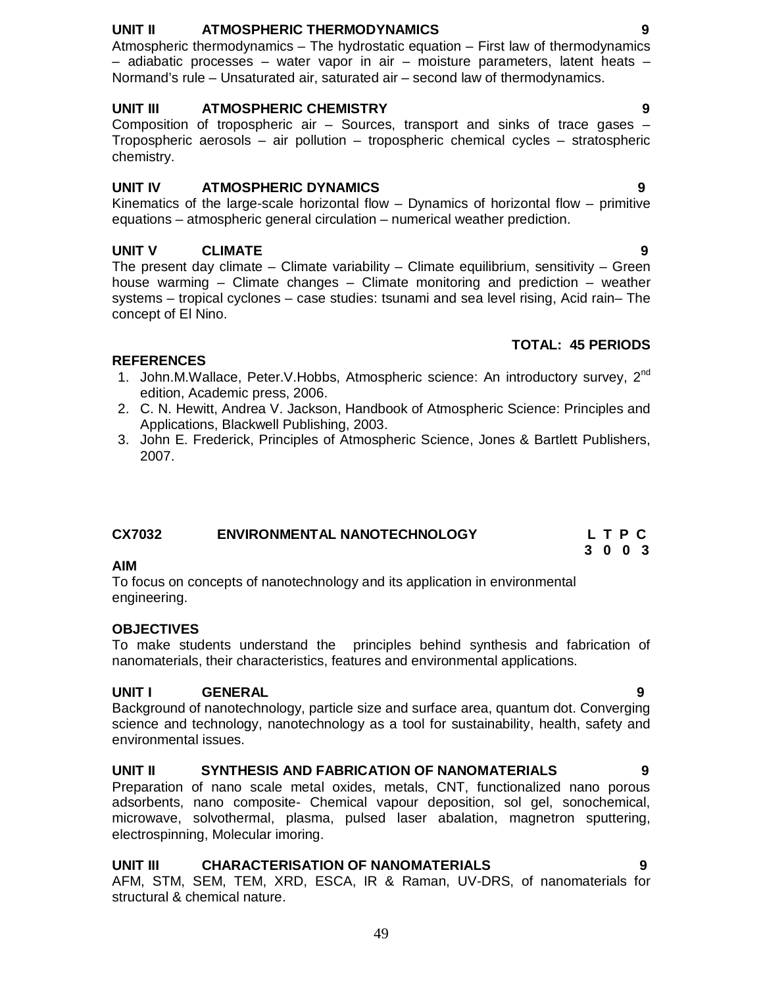# **UNIT II ATMOSPHERIC THERMODYNAMICS 9**

Atmospheric thermodynamics – The hydrostatic equation – First law of thermodynamics – adiabatic processes – water vapor in air – moisture parameters, latent heats – Normand's rule – Unsaturated air, saturated air – second law of thermodynamics.

## **UNIT III ATMOSPHERIC CHEMISTRY 9**

Composition of tropospheric air – Sources, transport and sinks of trace gases – Tropospheric aerosols – air pollution – tropospheric chemical cycles – stratospheric chemistry.

# **UNIT IV ATMOSPHERIC DYNAMICS 9**

Kinematics of the large-scale horizontal flow – Dynamics of horizontal flow – primitive equations – atmospheric general circulation – numerical weather prediction.

# **UNIT V CLIMATE 9**

The present day climate – Climate variability – Climate equilibrium, sensitivity – Green house warming – Climate changes – Climate monitoring and prediction – weather systems – tropical cyclones – case studies: tsunami and sea level rising, Acid rain– The concept of El Nino.

# **TOTAL: 45 PERIODS**

# **REFERENCES**

- 1. John.M.Wallace, Peter.V.Hobbs, Atmospheric science: An introductory survey, 2<sup>nd</sup> edition, Academic press, 2006.
- 2. C. N. Hewitt, Andrea V. Jackson, Handbook of Atmospheric Science: Principles and Applications, Blackwell Publishing, 2003.
- 3. John E. Frederick, Principles of Atmospheric Science, Jones & Bartlett Publishers, 2007.

| CX7032 | <b>ENVIRONMENTAL NANOTECHNOLOGY</b> |         | LTPC |  |
|--------|-------------------------------------|---------|------|--|
|        |                                     | 3 0 0 3 |      |  |

### **AIM**

To focus on concepts of nanotechnology and its application in environmental engineering.

# **OBJECTIVES**

To make students understand the principles behind synthesis and fabrication of nanomaterials, their characteristics, features and environmental applications.

# **UNIT I GENERAL 9**

Background of nanotechnology, particle size and surface area, quantum dot. Converging science and technology, nanotechnology as a tool for sustainability, health, safety and environmental issues.

# **UNIT II SYNTHESIS AND FABRICATION OF NANOMATERIALS 9**

Preparation of nano scale metal oxides, metals, CNT, functionalized nano porous adsorbents, nano composite- Chemical vapour deposition, sol gel, sonochemical, microwave, solvothermal, plasma, pulsed laser abalation, magnetron sputtering, electrospinning, Molecular imoring.

# **UNIT III CHARACTERISATION OF NANOMATERIALS 9**

AFM, STM, SEM, TEM, XRD, ESCA, IR & Raman, UV-DRS, of nanomaterials for structural & chemical nature.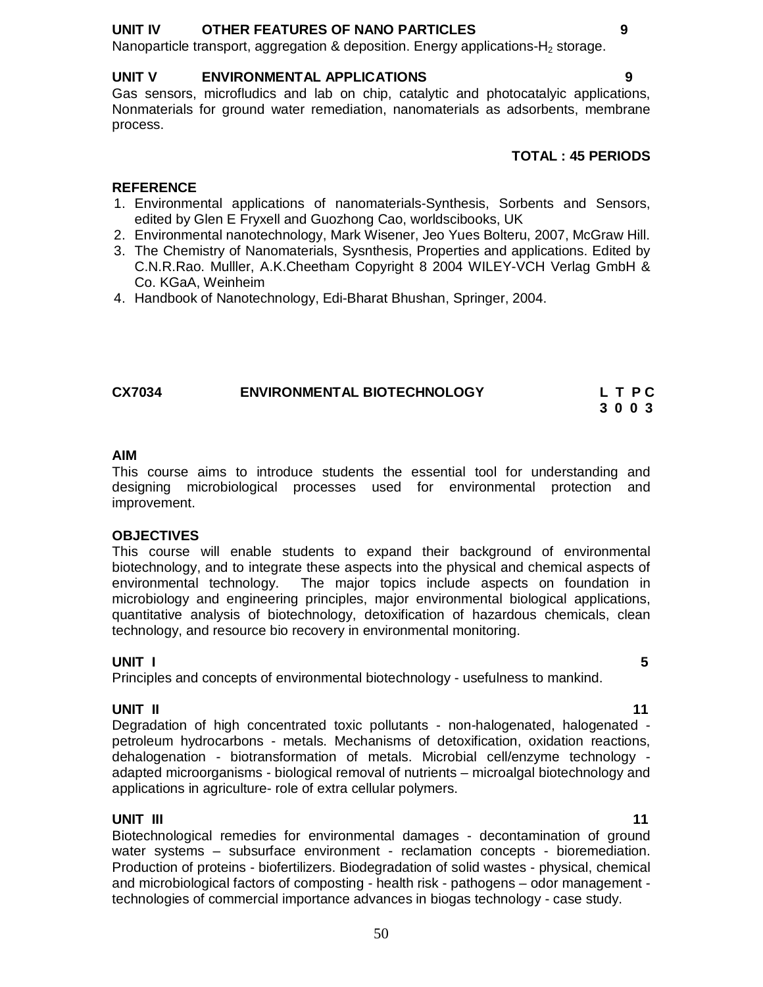#### **UNIT IV OTHER FEATURES OF NANO PARTICLES 9**

Nanoparticle transport, aggregation & deposition. Energy applications- $H_2$  storage.

#### **UNIT V ENVIRONMENTAL APPLICATIONS 9**

Gas sensors, microfludics and lab on chip, catalytic and photocatalyic applications, Nonmaterials for ground water remediation, nanomaterials as adsorbents, membrane process.

#### **TOTAL : 45 PERIODS**

## **REFERENCE**

- 1. Environmental applications of nanomaterials-Synthesis, Sorbents and Sensors, edited by Glen E Fryxell and Guozhong Cao, worldscibooks, UK
- 2. Environmental nanotechnology, Mark Wisener, Jeo Yues Bolteru, 2007, McGraw Hill.
- 3. The Chemistry of Nanomaterials, Sysnthesis, Properties and applications. Edited by C.N.R.Rao. Mulller, A.K.Cheetham Copyright 8 2004 WILEY-VCH Verlag GmbH & Co. KGaA, Weinheim
- 4. Handbook of Nanotechnology, Edi-Bharat Bhushan, Springer, 2004.

| <b>CX7034</b> | <b>ENVIRONMENTAL BIOTECHNOLOGY</b> | L T P C |
|---------------|------------------------------------|---------|
|               |                                    | 3003    |

#### **AIM**

This course aims to introduce students the essential tool for understanding and designing microbiological processes used for environmental protection and improvement.

#### **OBJECTIVES**

This course will enable students to expand their background of environmental biotechnology, and to integrate these aspects into the physical and chemical aspects of environmental technology. The major topics include aspects on foundation in microbiology and engineering principles, major environmental biological applications, quantitative analysis of biotechnology, detoxification of hazardous chemicals, clean technology, and resource bio recovery in environmental monitoring.

#### **UNIT I 5**

Principles and concepts of environmental biotechnology - usefulness to mankind.

**UNIT II** 11 Degradation of high concentrated toxic pollutants - non-halogenated, halogenated petroleum hydrocarbons - metals. Mechanisms of detoxification, oxidation reactions, dehalogenation - biotransformation of metals. Microbial cell/enzyme technology adapted microorganisms - biological removal of nutrients – microalgal biotechnology and applications in agriculture- role of extra cellular polymers.

#### **UNIT III** 11

Biotechnological remedies for environmental damages - decontamination of ground water systems – subsurface environment - reclamation concepts - bioremediation. Production of proteins - biofertilizers. Biodegradation of solid wastes - physical, chemical and microbiological factors of composting - health risk - pathogens – odor management technologies of commercial importance advances in biogas technology - case study.

# 50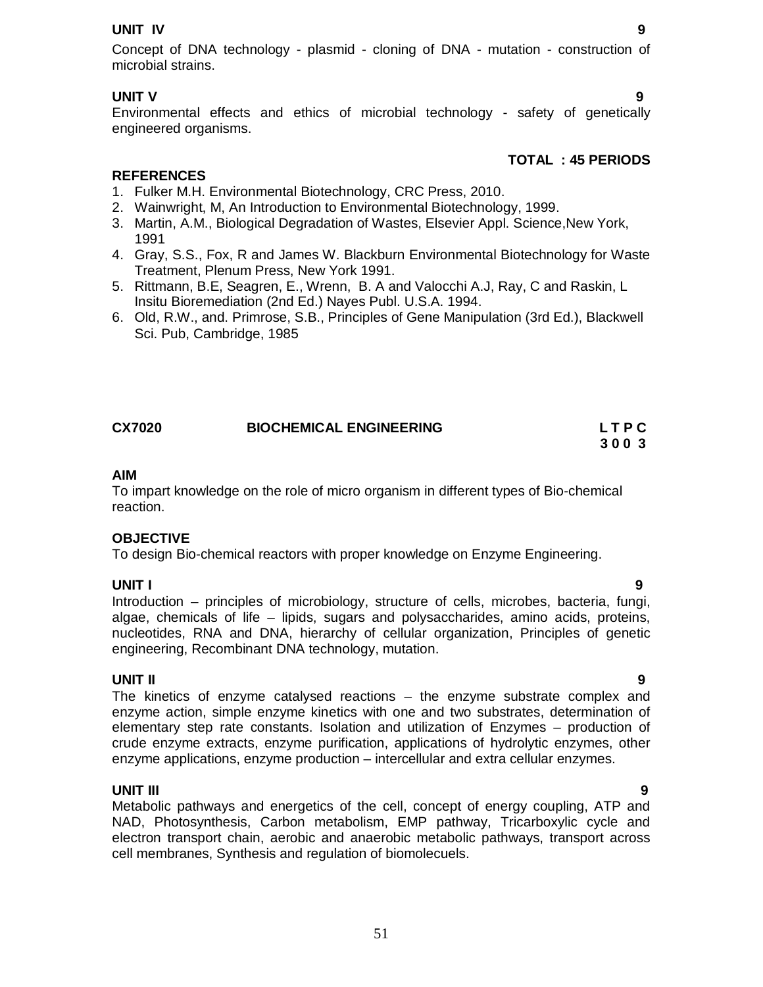#### **UNIT IV 9**

# **UNIT V 9**

Environmental effects and ethics of microbial technology - safety of genetically engineered organisms.

# **TOTAL : 45 PERIODS**

# **REFERENCES**

- 1. Fulker M.H. Environmental Biotechnology, CRC Press, 2010.
- 2. Wainwright, M, An Introduction to Environmental Biotechnology, 1999.
- 3. Martin, A.M., Biological Degradation of Wastes, Elsevier Appl. Science,New York, 1991
- 4. Gray, S.S., Fox, R and James W. Blackburn Environmental Biotechnology for Waste Treatment, Plenum Press, New York 1991.
- 5. Rittmann, B.E, Seagren, E., Wrenn, B. A and Valocchi A.J, Ray, C and Raskin, L Insitu Bioremediation (2nd Ed.) Nayes Publ. U.S.A. 1994.
- 6. Old, R.W., and. Primrose, S.B., Principles of Gene Manipulation (3rd Ed.), Blackwell Sci. Pub, Cambridge, 1985

| <b>CX7020</b> | <b>BIOCHEMICAL ENGINEERING</b> | <b>LTPC</b> |
|---------------|--------------------------------|-------------|
|               |                                | 3003        |

#### **AIM**

To impart knowledge on the role of micro organism in different types of Bio-chemical reaction.

### **OBJECTIVE**

To design Bio-chemical reactors with proper knowledge on Enzyme Engineering.

### **UNIT I 9**

Introduction – principles of microbiology, structure of cells, microbes, bacteria, fungi, algae, chemicals of life – lipids, sugars and polysaccharides, amino acids, proteins, nucleotides, RNA and DNA, hierarchy of cellular organization, Principles of genetic engineering, Recombinant DNA technology, mutation.

# **UNIT II 9**

The kinetics of enzyme catalysed reactions – the enzyme substrate complex and enzyme action, simple enzyme kinetics with one and two substrates, determination of elementary step rate constants. Isolation and utilization of Enzymes – production of crude enzyme extracts, enzyme purification, applications of hydrolytic enzymes, other enzyme applications, enzyme production – intercellular and extra cellular enzymes.

#### **UNIT III 9**

Metabolic pathways and energetics of the cell, concept of energy coupling, ATP and NAD, Photosynthesis, Carbon metabolism, EMP pathway, Tricarboxylic cycle and electron transport chain, aerobic and anaerobic metabolic pathways, transport across cell membranes, Synthesis and regulation of biomolecuels.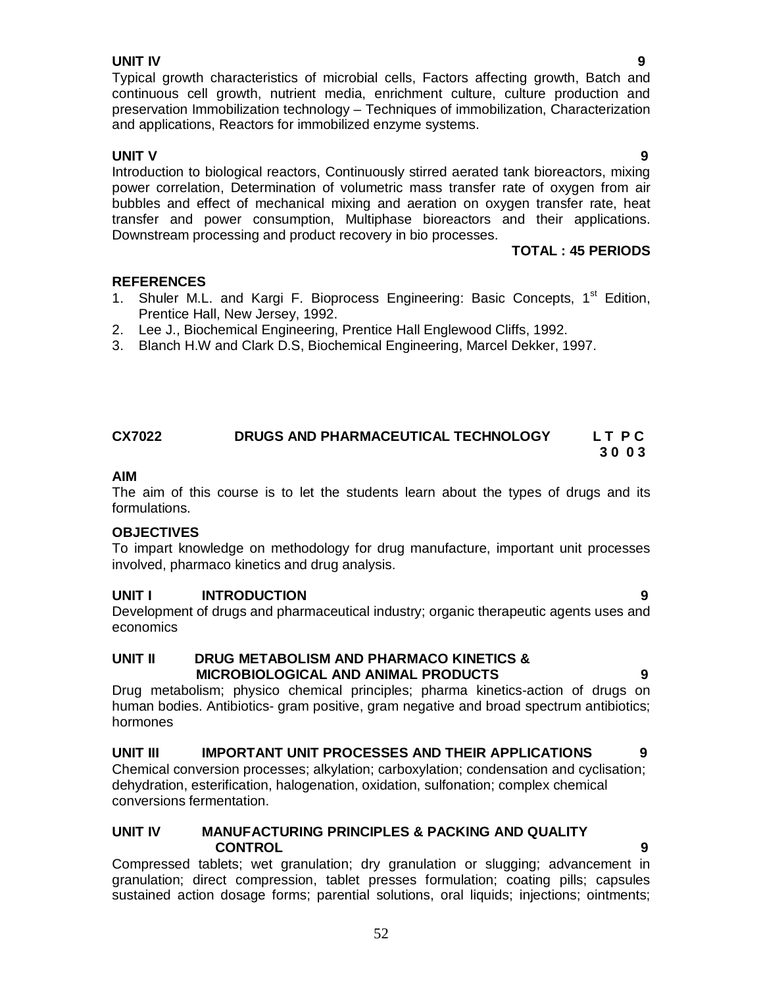### **UNIT IV 9**

#### Typical growth characteristics of microbial cells, Factors affecting growth, Batch and continuous cell growth, nutrient media, enrichment culture, culture production and preservation Immobilization technology – Techniques of immobilization, Characterization and applications, Reactors for immobilized enzyme systems.

**UNIT V 9** Introduction to biological reactors, Continuously stirred aerated tank bioreactors, mixing power correlation, Determination of volumetric mass transfer rate of oxygen from air bubbles and effect of mechanical mixing and aeration on oxygen transfer rate, heat transfer and power consumption, Multiphase bioreactors and their applications. Downstream processing and product recovery in bio processes.

#### **TOTAL : 45 PERIODS**

#### **REFERENCES**

- 1. Shuler M.L. and Kargi F. Bioprocess Engineering: Basic Concepts, 1<sup>st</sup> Edition, Prentice Hall, New Jersey, 1992.
- 2. Lee J., Biochemical Engineering, Prentice Hall Englewood Cliffs, 1992.
- 3. Blanch H.W and Clark D.S, Biochemical Engineering, Marcel Dekker, 1997.

### **CX7022 DRUGS AND PHARMACEUTICAL TECHNOLOGY L T P C 3 0 0 3**

#### **AIM**

The aim of this course is to let the students learn about the types of drugs and its formulations.

#### **OBJECTIVES**

To impart knowledge on methodology for drug manufacture, important unit processes involved, pharmaco kinetics and drug analysis.

### **UNIT I INTRODUCTION 9**

Development of drugs and pharmaceutical industry; organic therapeutic agents uses and economics

#### **UNIT II DRUG METABOLISM AND PHARMACO KINETICS & MICROBIOLOGICAL AND ANIMAL PRODUCTS 9**

Drug metabolism; physico chemical principles; pharma kinetics-action of drugs on human bodies. Antibiotics- gram positive, gram negative and broad spectrum antibiotics; hormones

**UNIT III IMPORTANT UNIT PROCESSES AND THEIR APPLICATIONS 9** Chemical conversion processes; alkylation; carboxylation; condensation and cyclisation; dehydration, esterification, halogenation, oxidation, sulfonation; complex chemical conversions fermentation.

### **UNIT IV MANUFACTURING PRINCIPLES & PACKING AND QUALITY CONTROL 9**

Compressed tablets; wet granulation; dry granulation or slugging; advancement in granulation; direct compression, tablet presses formulation; coating pills; capsules sustained action dosage forms; parential solutions, oral liquids; injections; ointments;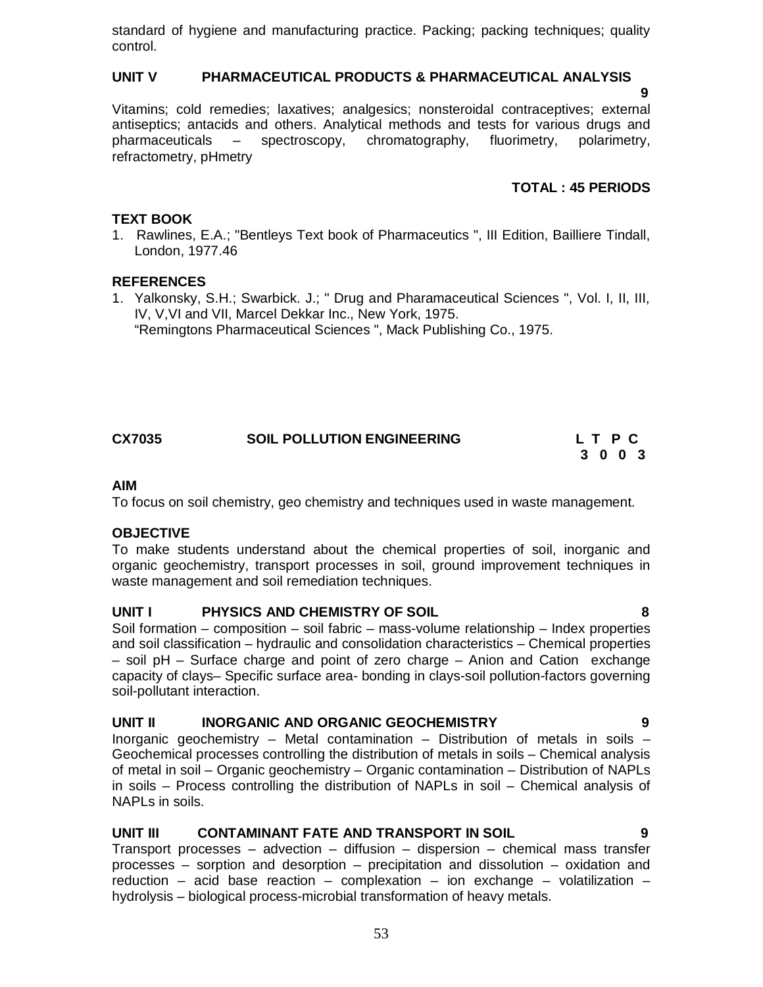standard of hygiene and manufacturing practice. Packing; packing techniques; quality control.

### **UNIT V PHARMACEUTICAL PRODUCTS & PHARMACEUTICAL ANALYSIS**

**9 9 9 9** 

Vitamins; cold remedies; laxatives; analgesics; nonsteroidal contraceptives; external antiseptics; antacids and others. Analytical methods and tests for various drugs and pharmaceuticals – spectroscopy, chromatography, fluorimetry, polarimetry, refractometry, pHmetry

# **TOTAL : 45 PERIODS**

## **TEXT BOOK**

1. Rawlines, E.A.; "Bentleys Text book of Pharmaceutics ", III Edition, Bailliere Tindall, London, 1977.46

### **REFERENCES**

1. Yalkonsky, S.H.; Swarbick. J.; " Drug and Pharamaceutical Sciences ", Vol. I, II, III, IV, V,VI and VII, Marcel Dekkar Inc., New York, 1975. "Remingtons Pharmaceutical Sciences ", Mack Publishing Co., 1975.

# **CX7035 SOIL POLLUTION ENGINEERING L T P C**

# **3 0 0 3**

### **AIM**

To focus on soil chemistry, geo chemistry and techniques used in waste management.

### **OBJECTIVE**

To make students understand about the chemical properties of soil, inorganic and organic geochemistry, transport processes in soil, ground improvement techniques in waste management and soil remediation techniques.

### **UNIT I PHYSICS AND CHEMISTRY OF SOIL 8**

Soil formation – composition – soil fabric – mass-volume relationship – Index properties and soil classification – hydraulic and consolidation characteristics – Chemical properties – soil pH – Surface charge and point of zero charge – Anion and Cation exchange capacity of clays– Specific surface area- bonding in clays-soil pollution-factors governing soil-pollutant interaction.

# **UNIT II INORGANIC AND ORGANIC GEOCHEMISTRY 9**

Inorganic geochemistry – Metal contamination – Distribution of metals in soils – Geochemical processes controlling the distribution of metals in soils – Chemical analysis of metal in soil – Organic geochemistry – Organic contamination – Distribution of NAPLs in soils – Process controlling the distribution of NAPLs in soil – Chemical analysis of NAPLs in soils.

### **UNIT III CONTAMINANT FATE AND TRANSPORT IN SOIL 9**

Transport processes – advection – diffusion – dispersion – chemical mass transfer processes – sorption and desorption – precipitation and dissolution – oxidation and reduction – acid base reaction – complexation – ion exchange – volatilization – hydrolysis – biological process-microbial transformation of heavy metals.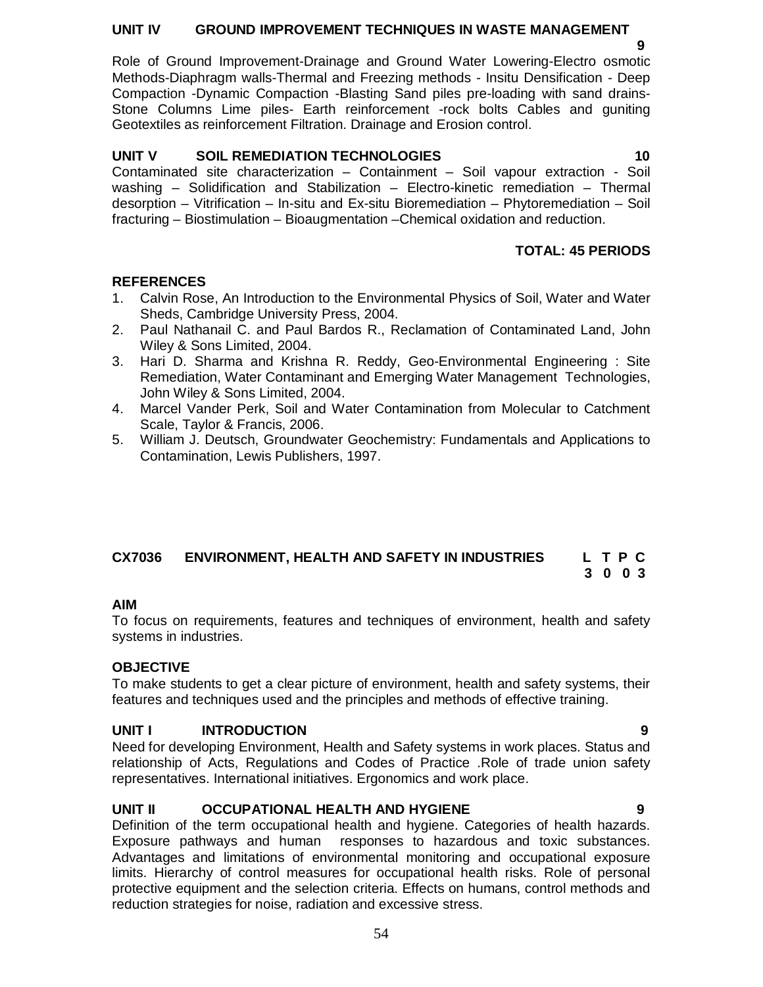### **UNIT IV GROUND IMPROVEMENT TECHNIQUES IN WASTE MANAGEMENT**

 **9** Role of Ground Improvement-Drainage and Ground Water Lowering-Electro osmotic Methods-Diaphragm walls-Thermal and Freezing methods - Insitu Densification - Deep Compaction -Dynamic Compaction -Blasting Sand piles pre-loading with sand drains-Stone Columns Lime piles- Earth reinforcement -rock bolts Cables and guniting Geotextiles as reinforcement Filtration. Drainage and Erosion control.

# **UNIT V SOIL REMEDIATION TECHNOLOGIES** 10

Contaminated site characterization – Containment – Soil vapour extraction - Soil washing – Solidification and Stabilization – Electro-kinetic remediation – Thermal desorption – Vitrification – In-situ and Ex-situ Bioremediation – Phytoremediation – Soil fracturing – Biostimulation – Bioaugmentation –Chemical oxidation and reduction.

# **TOTAL: 45 PERIODS**

# **REFERENCES**

- 1. Calvin Rose, An Introduction to the Environmental Physics of Soil, Water and Water Sheds, Cambridge University Press, 2004.
- 2. Paul Nathanail C. and Paul Bardos R., Reclamation of Contaminated Land, John Wiley & Sons Limited, 2004.
- 3. Hari D. Sharma and Krishna R. Reddy, Geo-Environmental Engineering : Site Remediation, Water Contaminant and Emerging Water Management Technologies, John Wiley & Sons Limited, 2004.
- 4. Marcel Vander Perk, Soil and Water Contamination from Molecular to Catchment Scale, Taylor & Francis, 2006.
- 5. William J. Deutsch, Groundwater Geochemistry: Fundamentals and Applications to Contamination, Lewis Publishers, 1997.

# **CX7036 ENVIRONMENT, HEALTH AND SAFETY IN INDUSTRIES L T P C**

 **3 0 0 3**

# **AIM**

To focus on requirements, features and techniques of environment, health and safety systems in industries.

# **OBJECTIVE**

To make students to get a clear picture of environment, health and safety systems, their features and techniques used and the principles and methods of effective training.

# **UNIT I INTRODUCTION 9**

Need for developing Environment, Health and Safety systems in work places. Status and relationship of Acts, Regulations and Codes of Practice .Role of trade union safety representatives. International initiatives. Ergonomics and work place.

# **UNIT II OCCUPATIONAL HEALTH AND HYGIENE 9**

Definition of the term occupational health and hygiene. Categories of health hazards. Exposure pathways and human responses to hazardous and toxic substances. Advantages and limitations of environmental monitoring and occupational exposure limits. Hierarchy of control measures for occupational health risks. Role of personal protective equipment and the selection criteria. Effects on humans, control methods and reduction strategies for noise, radiation and excessive stress.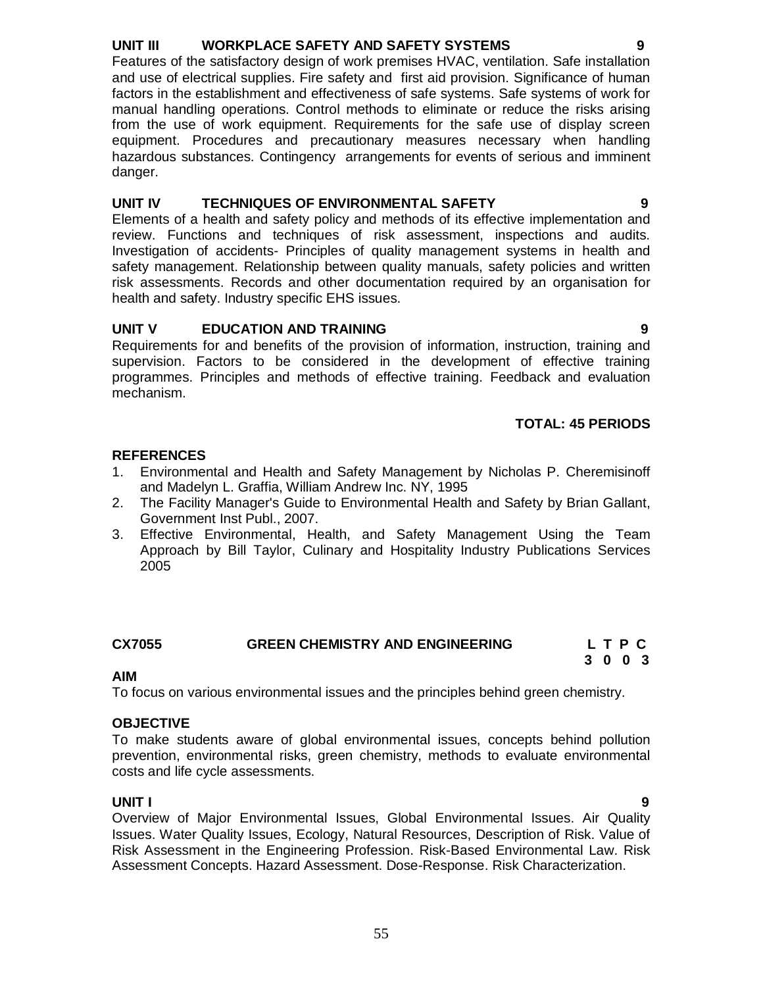# **UNIT III WORKPLACE SAFETY AND SAFETY SYSTEMS 9**

Features of the satisfactory design of work premises HVAC, ventilation. Safe installation and use of electrical supplies. Fire safety and first aid provision. Significance of human factors in the establishment and effectiveness of safe systems. Safe systems of work for manual handling operations. Control methods to eliminate or reduce the risks arising from the use of work equipment. Requirements for the safe use of display screen equipment. Procedures and precautionary measures necessary when handling hazardous substances. Contingency arrangements for events of serious and imminent danger.

# **UNIT IV TECHNIQUES OF ENVIRONMENTAL SAFETY 9**

Elements of a health and safety policy and methods of its effective implementation and review. Functions and techniques of risk assessment, inspections and audits. Investigation of accidents- Principles of quality management systems in health and safety management. Relationship between quality manuals, safety policies and written risk assessments. Records and other documentation required by an organisation for health and safety. Industry specific EHS issues.

# **UNIT V EDUCATION AND TRAINING 9**

Requirements for and benefits of the provision of information, instruction, training and supervision. Factors to be considered in the development of effective training programmes. Principles and methods of effective training. Feedback and evaluation mechanism.

# **TOTAL: 45 PERIODS**

# **REFERENCES**

- 1. Environmental and Health and Safety Management by Nicholas P. Cheremisinoff and Madelyn L. Graffia, William Andrew Inc. NY, 1995
- 2. The Facility Manager's Guide to Environmental Health and Safety by Brian Gallant, Government Inst Publ., 2007.
- 3. Effective Environmental, Health, and Safety Management Using the Team Approach by Bill Taylor, Culinary and Hospitality Industry Publications Services 2005

### **CX7055 GREEN CHEMISTRY AND ENGINEERING L T P C**

#### **3 0 0 3 AIM**

To focus on various environmental issues and the principles behind green chemistry.

### **OBJECTIVE**

To make students aware of global environmental issues, concepts behind pollution prevention, environmental risks, green chemistry, methods to evaluate environmental costs and life cycle assessments.

**UNIT I 9** Overview of Major Environmental Issues, Global Environmental Issues. Air Quality Issues. Water Quality Issues, Ecology, Natural Resources, Description of Risk. Value of Risk Assessment in the Engineering Profession. Risk-Based Environmental Law. Risk Assessment Concepts. Hazard Assessment. Dose-Response. Risk Characterization.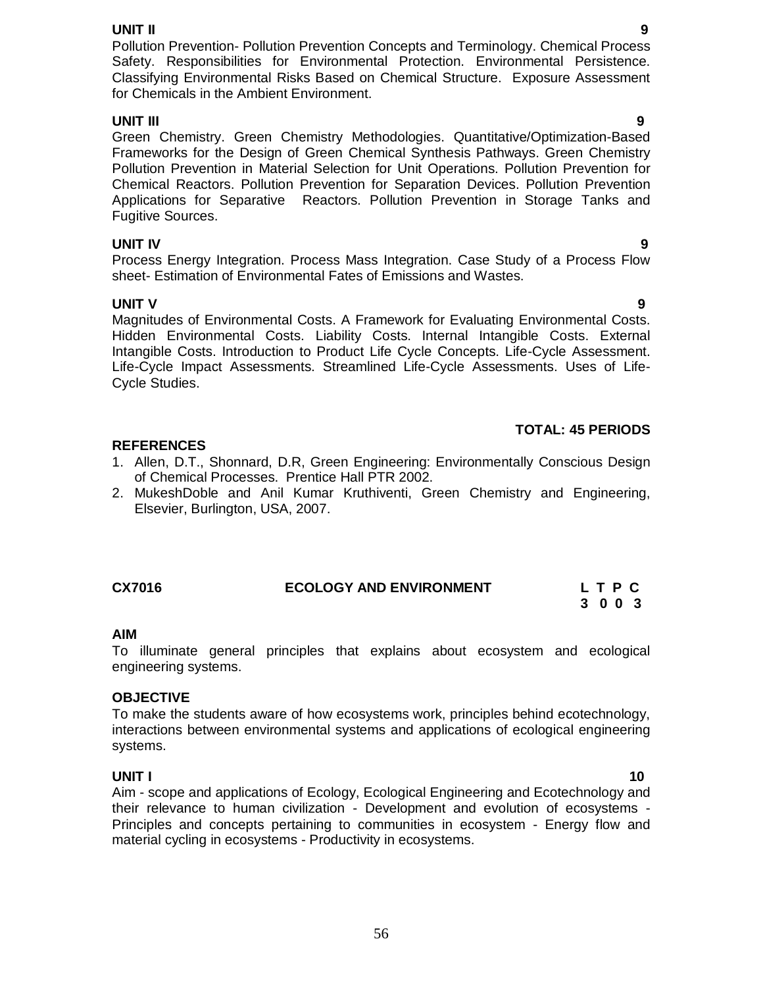**UNIT II 9** Pollution Prevention- Pollution Prevention Concepts and Terminology. Chemical Process Safety. Responsibilities for Environmental Protection. Environmental Persistence. Classifying Environmental Risks Based on Chemical Structure. Exposure Assessment for Chemicals in the Ambient Environment.

# **UNIT III 9**

Green Chemistry. Green Chemistry Methodologies. Quantitative/Optimization-Based Frameworks for the Design of Green Chemical Synthesis Pathways. Green Chemistry Pollution Prevention in Material Selection for Unit Operations. Pollution Prevention for Chemical Reactors. Pollution Prevention for Separation Devices. Pollution Prevention Applications for Separative Reactors. Pollution Prevention in Storage Tanks and Fugitive Sources.

# **UNIT IV 9**

Process Energy Integration. Process Mass Integration. Case Study of a Process Flow sheet- Estimation of Environmental Fates of Emissions and Wastes.

**UNIT V** 9 Magnitudes of Environmental Costs. A Framework for Evaluating Environmental Costs. Hidden Environmental Costs. Liability Costs. Internal Intangible Costs. External Intangible Costs. Introduction to Product Life Cycle Concepts. Life-Cycle Assessment. Life-Cycle Impact Assessments. Streamlined Life-Cycle Assessments. Uses of Life-Cycle Studies.

# **TOTAL: 45 PERIODS**

# **REFERENCES**

- 1. Allen, D.T., Shonnard, D.R, Green Engineering: Environmentally Conscious Design of Chemical Processes. Prentice Hall PTR 2002.
- 2. MukeshDoble and Anil Kumar Kruthiventi, Green Chemistry and Engineering, Elsevier, Burlington, USA, 2007.

### **CX7016 ECOLOGY AND ENVIRONMENT L T P C**

# **3 0 0 3**

### **AIM**

To illuminate general principles that explains about ecosystem and ecological engineering systems.

### **OBJECTIVE**

To make the students aware of how ecosystems work, principles behind ecotechnology, interactions between environmental systems and applications of ecological engineering systems.

**UNIT I** 10 Aim - scope and applications of Ecology, Ecological Engineering and Ecotechnology and their relevance to human civilization - Development and evolution of ecosystems - Principles and concepts pertaining to communities in ecosystem - Energy flow and material cycling in ecosystems - Productivity in ecosystems.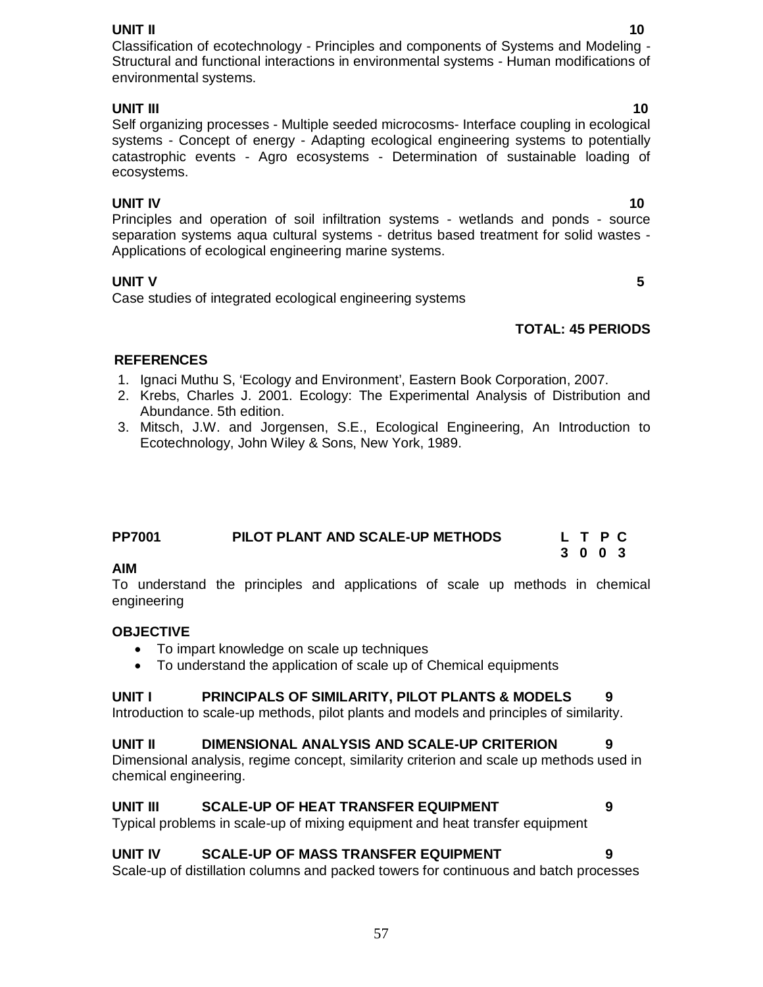**UNIT II** 10 Classification of ecotechnology - Principles and components of Systems and Modeling - Structural and functional interactions in environmental systems - Human modifications of environmental systems.

# **UNIT III** 10

# Self organizing processes - Multiple seeded microcosms- Interface coupling in ecological systems - Concept of energy - Adapting ecological engineering systems to potentially catastrophic events - Agro ecosystems - Determination of sustainable loading of ecosystems.

**UNIT IV** 10 Principles and operation of soil infiltration systems - wetlands and ponds - source separation systems aqua cultural systems - detritus based treatment for solid wastes - Applications of ecological engineering marine systems.

# **UNIT V** 5

Case studies of integrated ecological engineering systems

# **TOTAL: 45 PERIODS**

# **REFERENCES**

- 1. Ignaci Muthu S, 'Ecology and Environment', Eastern Book Corporation, 2007.
- 2. Krebs, Charles J. 2001. Ecology: The Experimental Analysis of Distribution and Abundance. 5th edition.
- 3. Mitsch, J.W. and Jorgensen, S.E., Ecological Engineering, An Introduction to Ecotechnology, John Wiley & Sons, New York, 1989.

| <b>PP7001</b> | PILOT PLANT AND SCALE-UP METHODS | L T P C |
|---------------|----------------------------------|---------|
|               |                                  | 3 0 0 3 |

### **AIM**

To understand the principles and applications of scale up methods in chemical engineering

# **OBJECTIVE**

- To impart knowledge on scale up techniques
- To understand the application of scale up of Chemical equipments

# **UNIT I PRINCIPALS OF SIMILARITY, PILOT PLANTS & MODELS 9**

Introduction to scale-up methods, pilot plants and models and principles of similarity.

# **UNIT II DIMENSIONAL ANALYSIS AND SCALE-UP CRITERION 9**

Dimensional analysis, regime concept, similarity criterion and scale up methods used in chemical engineering.

# **UNIT III SCALE-UP OF HEAT TRANSFER EQUIPMENT 9**

Typical problems in scale-up of mixing equipment and heat transfer equipment

# **UNIT IV SCALE-UP OF MASS TRANSFER EQUIPMENT 9**

Scale-up of distillation columns and packed towers for continuous and batch processes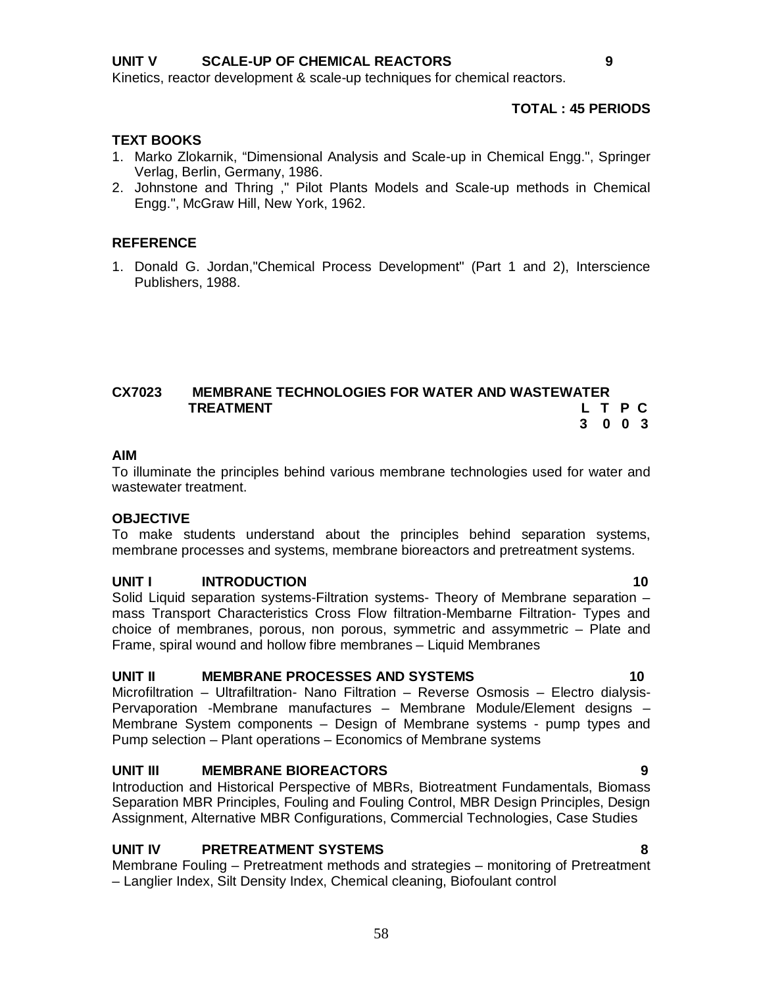Kinetics, reactor development & scale-up techniques for chemical reactors.

#### **TOTAL : 45 PERIODS**

#### **TEXT BOOKS**

- 1. Marko Zlokarnik, "Dimensional Analysis and Scale-up in Chemical Engg.", Springer Verlag, Berlin, Germany, 1986.
- 2. Johnstone and Thring ," Pilot Plants Models and Scale-up methods in Chemical Engg.", McGraw Hill, New York, 1962.

#### **REFERENCE**

1. Donald G. Jordan,"Chemical Process Development" (Part 1 and 2), Interscience Publishers, 1988.

#### **CX7023 MEMBRANE TECHNOLOGIES FOR WATER AND WASTEWATER TREATMENT L T P C 3 0 0 3**

#### **AIM**

To illuminate the principles behind various membrane technologies used for water and wastewater treatment.

#### **OBJECTIVE**

To make students understand about the principles behind separation systems, membrane processes and systems, membrane bioreactors and pretreatment systems.

#### **UNIT I** INTRODUCTION 10

Solid Liquid separation systems-Filtration systems- Theory of Membrane separation – mass Transport Characteristics Cross Flow filtration-Membarne Filtration- Types and choice of membranes, porous, non porous, symmetric and assymmetric – Plate and Frame, spiral wound and hollow fibre membranes – Liquid Membranes

#### **UNIT II MEMBRANE PROCESSES AND SYSTEMS 10**

Microfiltration – Ultrafiltration- Nano Filtration – Reverse Osmosis – Electro dialysis-Pervaporation -Membrane manufactures – Membrane Module/Element designs – Membrane System components – Design of Membrane systems - pump types and Pump selection – Plant operations – Economics of Membrane systems

#### **UNIT III MEMBRANE BIOREACTORS 9**

Introduction and Historical Perspective of MBRs, Biotreatment Fundamentals, Biomass Separation MBR Principles, Fouling and Fouling Control, MBR Design Principles, Design Assignment, Alternative MBR Configurations, Commercial Technologies, Case Studies

#### **UNIT IV PRETREATMENT SYSTEMS 8**

Membrane Fouling – Pretreatment methods and strategies – monitoring of Pretreatment – Langlier Index, Silt Density Index, Chemical cleaning, Biofoulant control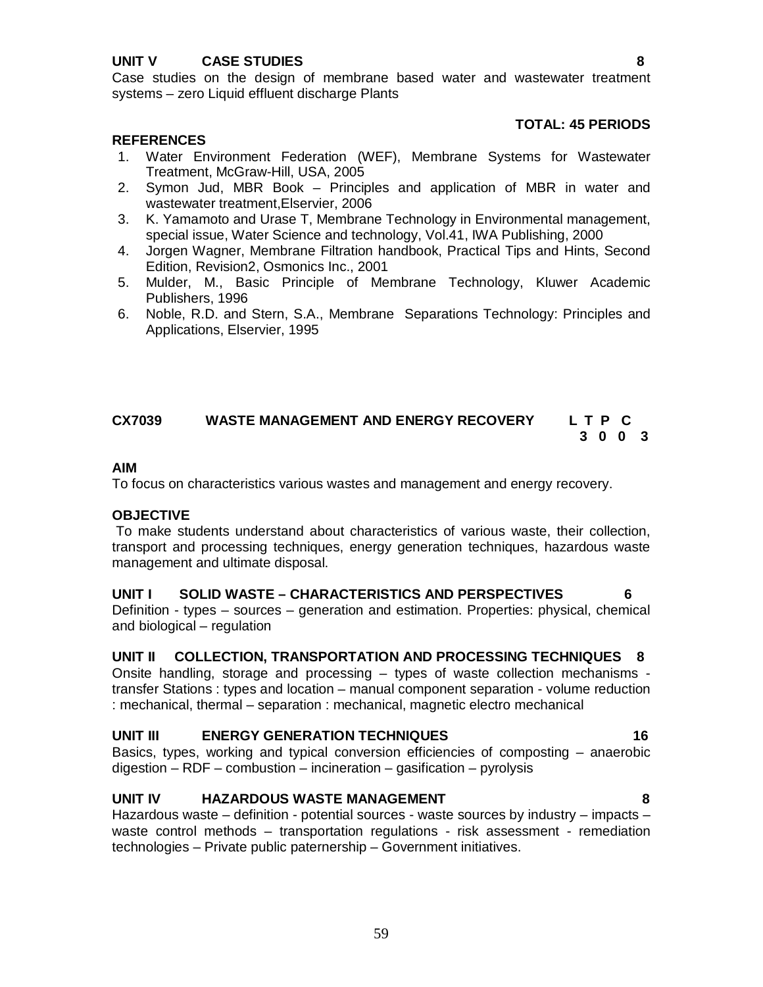# **UNIT V CASE STUDIES 8**

Case studies on the design of membrane based water and wastewater treatment systems – zero Liquid effluent discharge Plants

#### **TOTAL: 45 PERIODS**

#### **REFERENCES**

- 1. Water Environment Federation (WEF), Membrane Systems for Wastewater Treatment, McGraw-Hill, USA, 2005
- 2. Symon Jud, MBR Book Principles and application of MBR in water and wastewater treatment,Elservier, 2006
- 3. K. Yamamoto and Urase T, Membrane Technology in Environmental management, special issue, Water Science and technology, Vol.41, IWA Publishing, 2000
- 4. Jorgen Wagner, Membrane Filtration handbook, Practical Tips and Hints, Second Edition, Revision2, Osmonics Inc., 2001
- 5. Mulder, M., Basic Principle of Membrane Technology, Kluwer Academic Publishers, 1996
- 6. Noble, R.D. and Stern, S.A., Membrane Separations Technology: Principles and Applications, Elservier, 1995

# **CX7039 WASTE MANAGEMENT AND ENERGY RECOVERY L T P C 3 0 0 3**

#### **AIM**

To focus on characteristics various wastes and management and energy recovery.

### **OBJECTIVE**

To make students understand about characteristics of various waste, their collection, transport and processing techniques, energy generation techniques, hazardous waste management and ultimate disposal.

#### **UNIT I SOLID WASTE – CHARACTERISTICS AND PERSPECTIVES 6**

Definition - types – sources – generation and estimation. Properties: physical, chemical and biological – regulation

#### **UNIT II COLLECTION, TRANSPORTATION AND PROCESSING TECHNIQUES 8**

Onsite handling, storage and processing – types of waste collection mechanisms transfer Stations : types and location – manual component separation - volume reduction : mechanical, thermal – separation : mechanical, magnetic electro mechanical

#### **UNIT III ENERGY GENERATION TECHNIQUES 16**

Basics, types, working and typical conversion efficiencies of composting – anaerobic  $digestion - RDF - combustion - incineration - gasification - pyrolysis$ 

### **UNIT IV HAZARDOUS WASTE MANAGEMENT 8**

Hazardous waste  $-$  definition - potential sources - waste sources by industry  $-$  impacts  $$ waste control methods – transportation regulations - risk assessment - remediation technologies – Private public paternership – Government initiatives.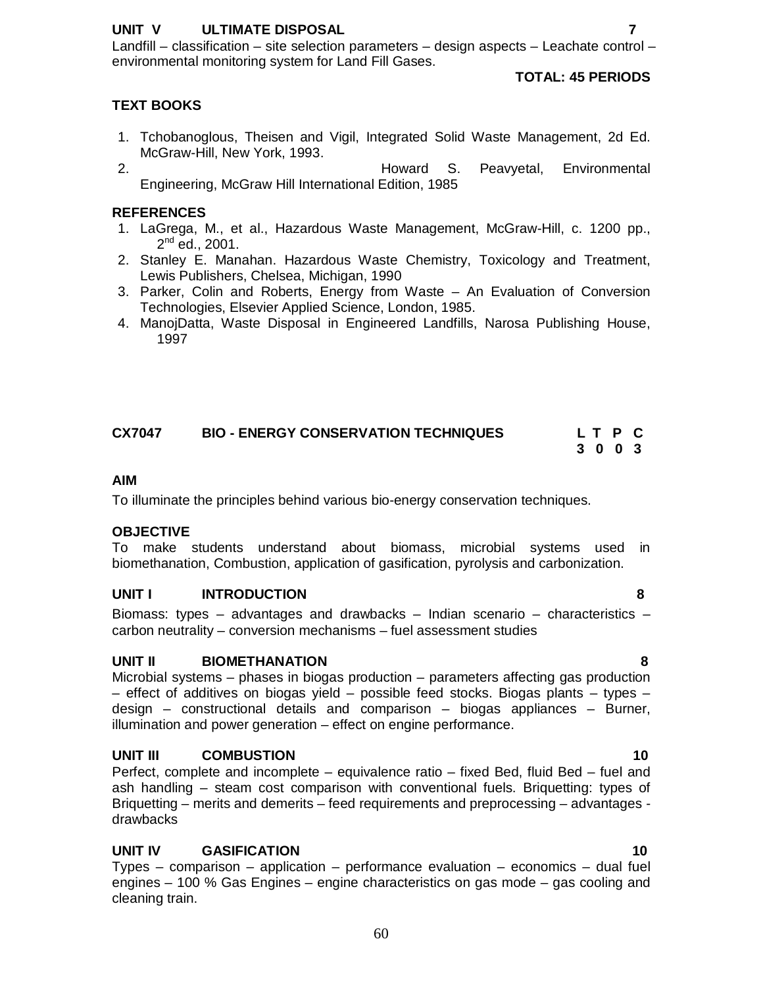### **UNIT V ULTIMATE DISPOSAL 7**

Landfill – classification – site selection parameters – design aspects – Leachate control – environmental monitoring system for Land Fill Gases.

#### **TOTAL: 45 PERIODS**

#### **TEXT BOOKS**

- 1. Tchobanoglous, Theisen and Vigil, Integrated Solid Waste Management, 2d Ed. McGraw-Hill, New York, 1993.
- 2. Howard S. Peavyetal, Environmental Engineering, McGraw Hill International Edition, 1985

#### **REFERENCES**

- 1. LaGrega, M., et al., Hazardous Waste Management, McGraw-Hill, c. 1200 pp., 2<sup>nd</sup> ed., 2001.
- 2. Stanley E. Manahan. Hazardous Waste Chemistry, Toxicology and Treatment, Lewis Publishers, Chelsea, Michigan, 1990
- 3. Parker, Colin and Roberts, Energy from Waste An Evaluation of Conversion Technologies, Elsevier Applied Science, London, 1985.
- 4. ManojDatta, Waste Disposal in Engineered Landfills, Narosa Publishing House, 1997

| <b>CX7047</b> | <b>BIO - ENERGY CONSERVATION TECHNIQUES</b> |  | LTPC |
|---------------|---------------------------------------------|--|------|
|               |                                             |  | 3003 |

#### **AIM**

To illuminate the principles behind various bio-energy conservation techniques.

#### **OBJECTIVE**

To make students understand about biomass, microbial systems used in biomethanation, Combustion, application of gasification, pyrolysis and carbonization.

#### **UNIT I INTRODUCTION 8**

Biomass: types – advantages and drawbacks – Indian scenario – characteristics – carbon neutrality – conversion mechanisms – fuel assessment studies

#### **UNIT II BIOMETHANATION 8**

Microbial systems – phases in biogas production – parameters affecting gas production – effect of additives on biogas yield – possible feed stocks. Biogas plants – types – design – constructional details and comparison – biogas appliances – Burner, illumination and power generation – effect on engine performance.

#### **UNIT III COMBUSTION 10**

Perfect, complete and incomplete – equivalence ratio – fixed Bed, fluid Bed – fuel and ash handling – steam cost comparison with conventional fuels. Briquetting: types of Briquetting – merits and demerits – feed requirements and preprocessing – advantages drawbacks

#### **UNIT IV GASIFICATION 10**

Types – comparison – application – performance evaluation – economics – dual fuel engines – 100 % Gas Engines – engine characteristics on gas mode – gas cooling and cleaning train.

60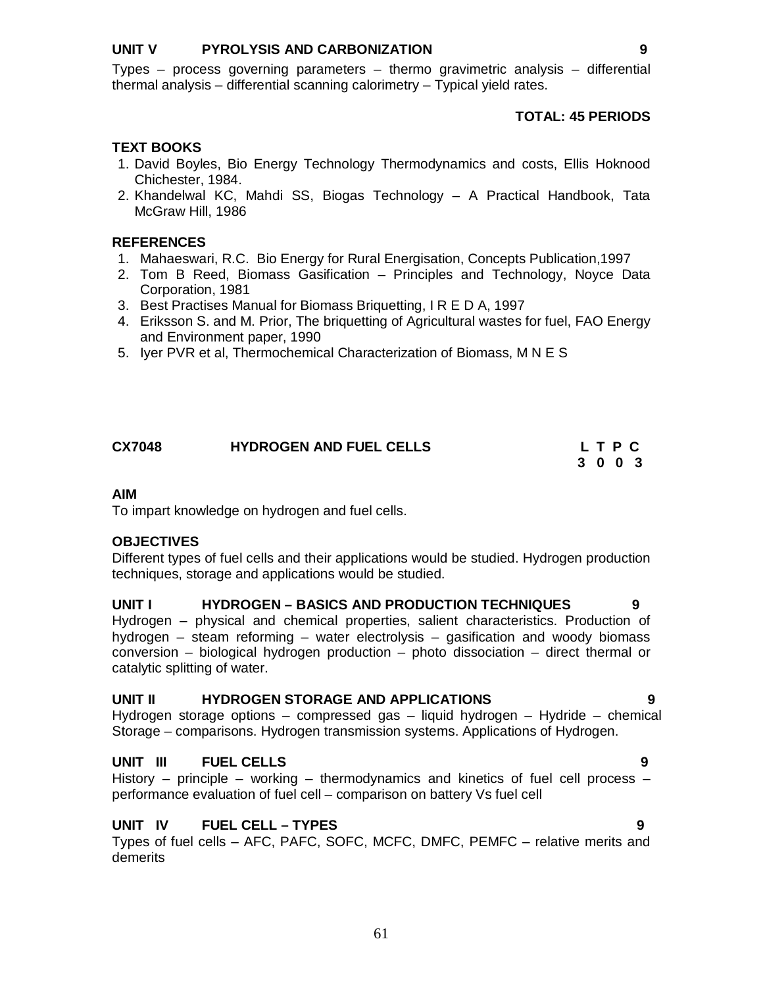### **UNIT V PYROLYSIS AND CARBONIZATION 9**

Types – process governing parameters – thermo gravimetric analysis – differential thermal analysis – differential scanning calorimetry – Typical yield rates.

# **TOTAL: 45 PERIODS**

## **TEXT BOOKS**

- 1. David Boyles, Bio Energy Technology Thermodynamics and costs, Ellis Hoknood Chichester, 1984.
- 2. Khandelwal KC, Mahdi SS, Biogas Technology A Practical Handbook, Tata McGraw Hill, 1986

### **REFERENCES**

- 1. Mahaeswari, R.C. Bio Energy for Rural Energisation, Concepts Publication,1997
- 2. Tom B Reed, Biomass Gasification Principles and Technology, Noyce Data Corporation, 1981
- 3. Best Practises Manual for Biomass Briquetting, I R E D A, 1997
- 4. Eriksson S. and M. Prior, The briquetting of Agricultural wastes for fuel, FAO Energy and Environment paper, 1990
- 5. Iyer PVR et al, Thermochemical Characterization of Biomass, M N E S

# **CX7048 HYDROGEN AND FUEL CELLS L T P C**

#### **3 0 0 3**

# **AIM**

To impart knowledge on hydrogen and fuel cells.

# **OBJECTIVES**

Different types of fuel cells and their applications would be studied. Hydrogen production techniques, storage and applications would be studied.

### **UNIT I HYDROGEN – BASICS AND PRODUCTION TECHNIQUES 9**

Hydrogen – physical and chemical properties, salient characteristics. Production of hydrogen – steam reforming – water electrolysis – gasification and woody biomass conversion – biological hydrogen production – photo dissociation – direct thermal or catalytic splitting of water.

### **UNIT II HYDROGEN STORAGE AND APPLICATIONS 9**

Hydrogen storage options – compressed gas – liquid hydrogen – Hydride – chemical Storage – comparisons. Hydrogen transmission systems. Applications of Hydrogen.

# **UNIT III FUEL CELLS 9**

History – principle – working – thermodynamics and kinetics of fuel cell process – performance evaluation of fuel cell – comparison on battery Vs fuel cell

# **UNIT IV FUEL CELL – TYPES 9**

Types of fuel cells – AFC, PAFC, SOFC, MCFC, DMFC, PEMFC – relative merits and demerits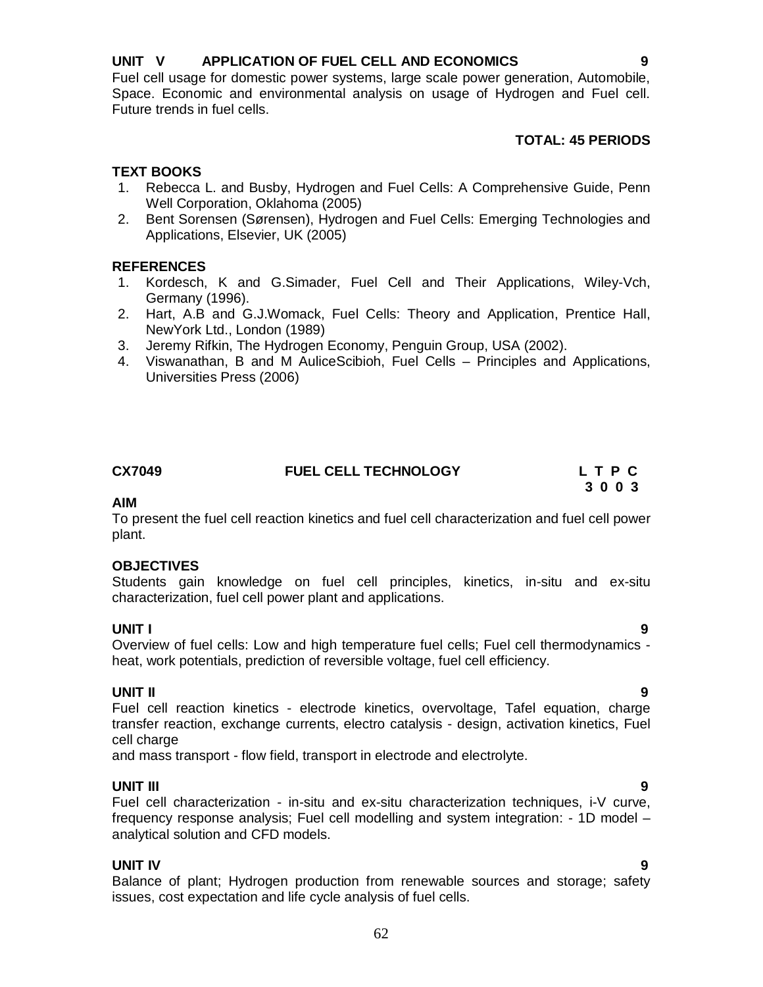# **UNIT V APPLICATION OF FUEL CELL AND ECONOMICS 9**

Fuel cell usage for domestic power systems, large scale power generation, Automobile, Space. Economic and environmental analysis on usage of Hydrogen and Fuel cell. Future trends in fuel cells.

# **TOTAL: 45 PERIODS**

# **TEXT BOOKS**

- 1. Rebecca L. and Busby, Hydrogen and Fuel Cells: A Comprehensive Guide, Penn Well Corporation, Oklahoma (2005)
- 2. Bent Sorensen (Sørensen), Hydrogen and Fuel Cells: Emerging Technologies and Applications, Elsevier, UK (2005)

### **REFERENCES**

- 1. Kordesch, K and G.Simader, Fuel Cell and Their Applications, Wiley-Vch, Germany (1996).
- 2. Hart, A.B and G.J.Womack, Fuel Cells: Theory and Application, Prentice Hall, NewYork Ltd., London (1989)
- 3. Jeremy Rifkin, The Hydrogen Economy, Penguin Group, USA (2002).
- 4. Viswanathan, B and M AuliceScibioh, Fuel Cells Principles and Applications, Universities Press (2006)

## **CX7049 FUEL CELL TECHNOLOGY L T P C**

**AIM** To present the fuel cell reaction kinetics and fuel cell characterization and fuel cell power plant.

# **OBJECTIVES**

Students gain knowledge on fuel cell principles, kinetics, in-situ and ex-situ characterization, fuel cell power plant and applications.

**UNIT I 9** Overview of fuel cells: Low and high temperature fuel cells; Fuel cell thermodynamics heat, work potentials, prediction of reversible voltage, fuel cell efficiency.

# **UNIT II 9**

Fuel cell reaction kinetics - electrode kinetics, overvoltage, Tafel equation, charge transfer reaction, exchange currents, electro catalysis - design, activation kinetics, Fuel cell charge

and mass transport - flow field, transport in electrode and electrolyte.

### **UNIT III 9**

Fuel cell characterization - in-situ and ex-situ characterization techniques, i-V curve, frequency response analysis; Fuel cell modelling and system integration: - 1D model – analytical solution and CFD models.

### **UNIT IV 9**

Balance of plant; Hydrogen production from renewable sources and storage; safety issues, cost expectation and life cycle analysis of fuel cells.

 **3 0 0 3**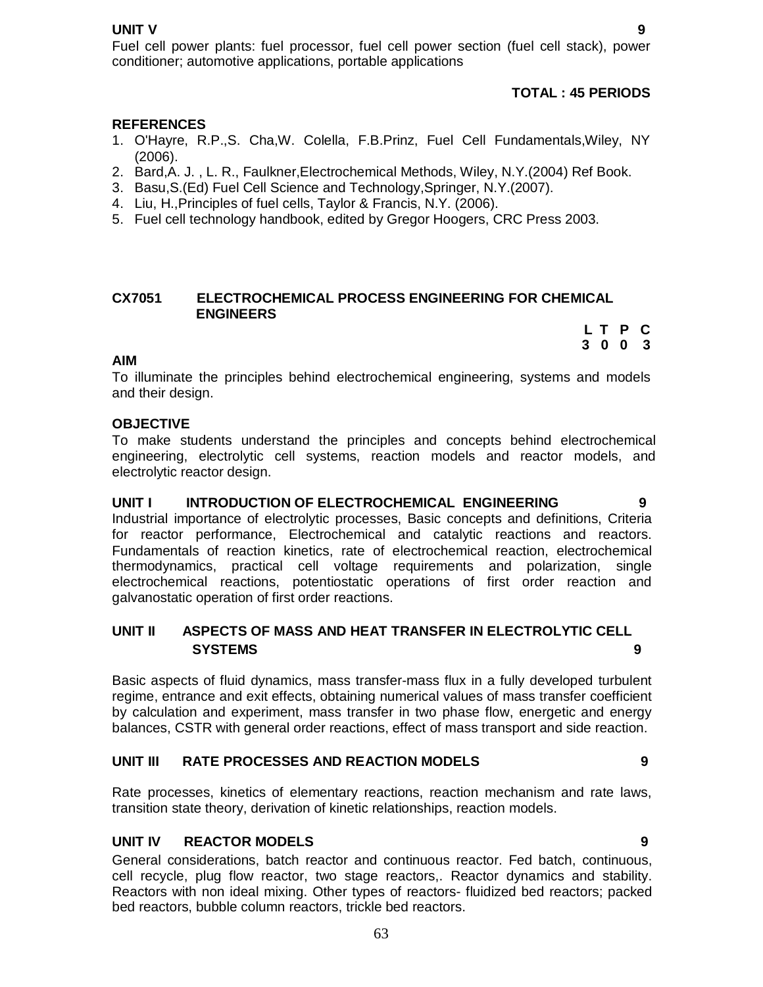#### **UNIT V** 9

Fuel cell power plants: fuel processor, fuel cell power section (fuel cell stack), power conditioner; automotive applications, portable applications

# **TOTAL : 45 PERIODS**

#### **REFERENCES**

- 1. O'Hayre, R.P.,S. Cha,W. Colella, F.B.Prinz, Fuel Cell Fundamentals,Wiley, NY (2006).
- 2. Bard,A. J. , L. R., Faulkner,Electrochemical Methods, Wiley, N.Y.(2004) Ref Book.
- 3. Basu,S.(Ed) Fuel Cell Science and Technology,Springer, N.Y.(2007).
- 4. Liu, H.,Principles of fuel cells, Taylor & Francis, N.Y. (2006).
- 5. Fuel cell technology handbook, edited by Gregor Hoogers, CRC Press 2003.

#### **CX7051 ELECTROCHEMICAL PROCESS ENGINEERING FOR CHEMICAL ENGINEERS**

 **L T P C 3 0 0 3**

#### **AIM**

To illuminate the principles behind electrochemical engineering, systems and models and their design.

#### **OBJECTIVE**

To make students understand the principles and concepts behind electrochemical engineering, electrolytic cell systems, reaction models and reactor models, and electrolytic reactor design.

#### **UNIT I INTRODUCTION OF ELECTROCHEMICAL ENGINEERING 9**

Industrial importance of electrolytic processes, Basic concepts and definitions, Criteria for reactor performance, Electrochemical and catalytic reactions and reactors. Fundamentals of reaction kinetics, rate of electrochemical reaction, electrochemical thermodynamics, practical cell voltage requirements and polarization, single electrochemical reactions, potentiostatic operations of first order reaction and galvanostatic operation of first order reactions.

### **UNIT II ASPECTS OF MASS AND HEAT TRANSFER IN ELECTROLYTIC CELL SYSTEMS 9**

Basic aspects of fluid dynamics, mass transfer-mass flux in a fully developed turbulent regime, entrance and exit effects, obtaining numerical values of mass transfer coefficient by calculation and experiment, mass transfer in two phase flow, energetic and energy balances, CSTR with general order reactions, effect of mass transport and side reaction.

#### **UNIT III RATE PROCESSES AND REACTION MODELS 9**

Rate processes, kinetics of elementary reactions, reaction mechanism and rate laws, transition state theory, derivation of kinetic relationships, reaction models.

### **UNIT IV REACTOR MODELS 9**

General considerations, batch reactor and continuous reactor. Fed batch, continuous, cell recycle, plug flow reactor, two stage reactors,. Reactor dynamics and stability. Reactors with non ideal mixing. Other types of reactors- fluidized bed reactors; packed bed reactors, bubble column reactors, trickle bed reactors.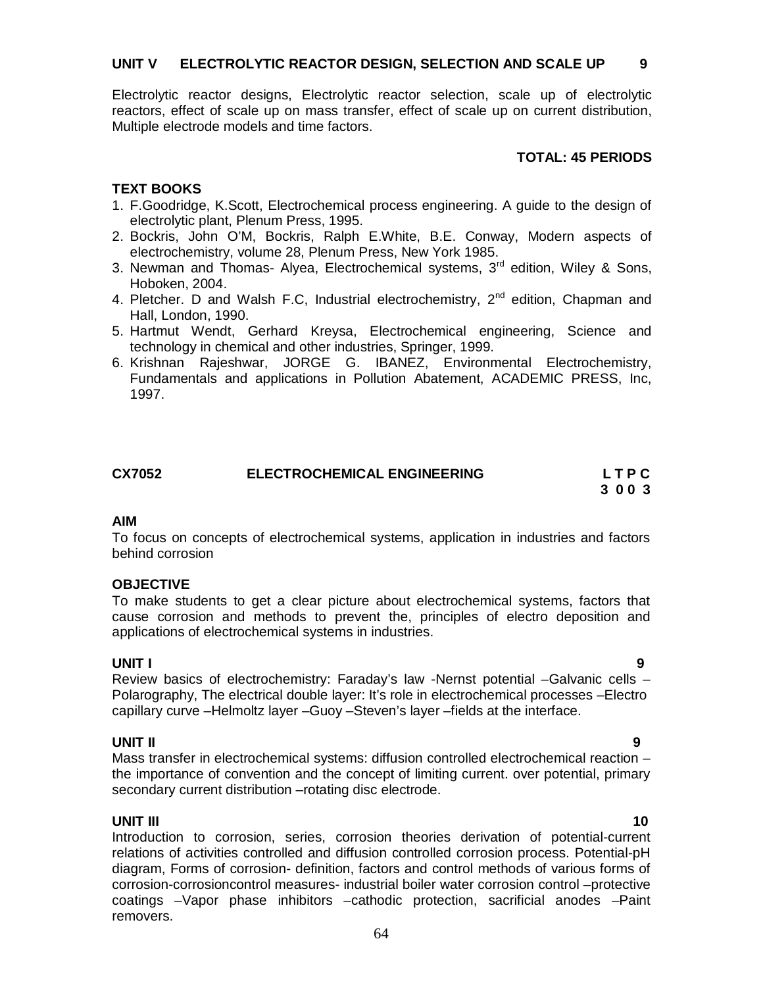Electrolytic reactor designs, Electrolytic reactor selection, scale up of electrolytic reactors, effect of scale up on mass transfer, effect of scale up on current distribution, Multiple electrode models and time factors.

#### **TOTAL: 45 PERIODS**

### **TEXT BOOKS**

- 1. F.Goodridge, K.Scott, Electrochemical process engineering. A guide to the design of electrolytic plant, Plenum Press, 1995.
- 2. Bockris, John O'M, Bockris, Ralph E.White, B.E. Conway, Modern aspects of electrochemistry, volume 28, Plenum Press, New York 1985.
- 3. Newman and Thomas- Alyea, Electrochemical systems,  $3<sup>rd</sup>$  edition, Wiley & Sons, Hoboken, 2004.
- 4. Pletcher. D and Walsh F.C, Industrial electrochemistry,  $2^{nd}$  edition, Chapman and Hall, London, 1990.
- 5. Hartmut Wendt, Gerhard Kreysa, Electrochemical engineering, Science and technology in chemical and other industries, Springer, 1999.
- 6. Krishnan Rajeshwar, JORGE G. IBANEZ, Environmental Electrochemistry, Fundamentals and applications in Pollution Abatement, ACADEMIC PRESS, Inc, 1997.

| <b>CX7052</b> | <b>ELECTROCHEMICAL ENGINEERING</b> | LTPC |
|---------------|------------------------------------|------|
|               |                                    | 3003 |

#### **AIM**

To focus on concepts of electrochemical systems, application in industries and factors behind corrosion

#### **OBJECTIVE**

To make students to get a clear picture about electrochemical systems, factors that cause corrosion and methods to prevent the, principles of electro deposition and applications of electrochemical systems in industries.

**UNIT I 9** Review basics of electrochemistry: Faraday's law -Nernst potential –Galvanic cells – Polarography, The electrical double layer: It's role in electrochemical processes –Electro capillary curve –Helmoltz layer –Guoy –Steven's layer –fields at the interface.

### **UNIT II 9**

Mass transfer in electrochemical systems: diffusion controlled electrochemical reaction – the importance of convention and the concept of limiting current. over potential, primary secondary current distribution –rotating disc electrode.

**UNIT III** 10 Introduction to corrosion, series, corrosion theories derivation of potential-current relations of activities controlled and diffusion controlled corrosion process. Potential-pH diagram, Forms of corrosion- definition, factors and control methods of various forms of corrosion-corrosioncontrol measures- industrial boiler water corrosion control –protective coatings –Vapor phase inhibitors –cathodic protection, sacrificial anodes –Paint removers.

#### 64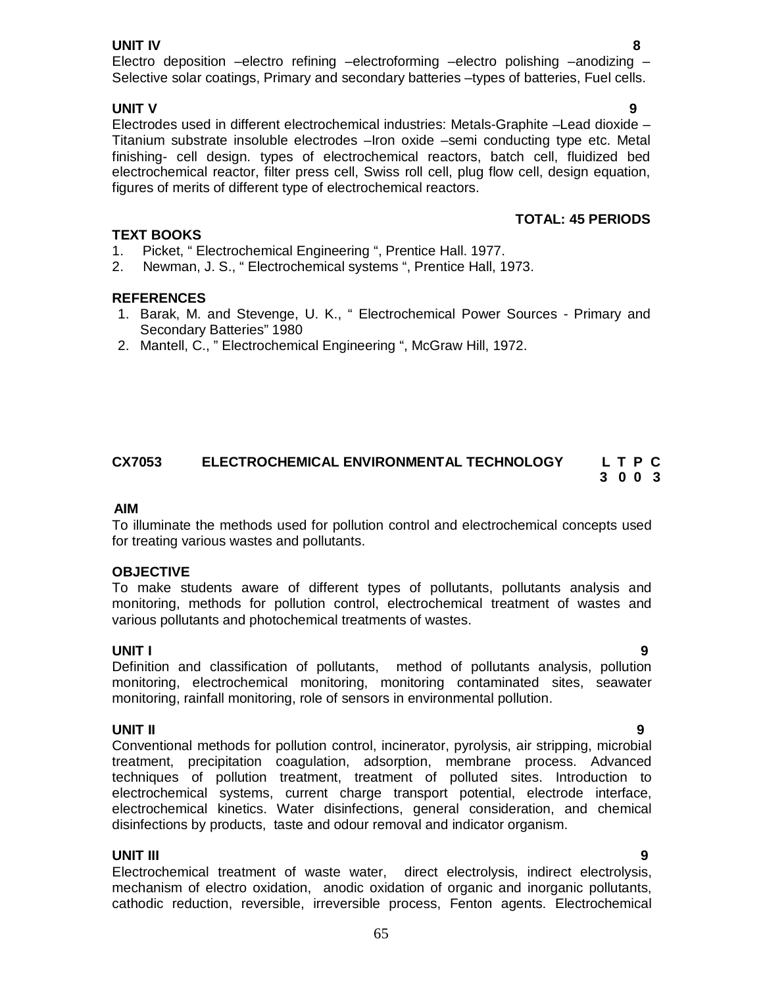### **UNIT IV 8**

Electro deposition –electro refining –electroforming –electro polishing –anodizing – Selective solar coatings, Primary and secondary batteries –types of batteries, Fuel cells.

**UNIT V** 9 Electrodes used in different electrochemical industries: Metals-Graphite –Lead dioxide – Titanium substrate insoluble electrodes –Iron oxide –semi conducting type etc. Metal finishing- cell design. types of electrochemical reactors, batch cell, fluidized bed electrochemical reactor, filter press cell, Swiss roll cell, plug flow cell, design equation, figures of merits of different type of electrochemical reactors.

# **TOTAL: 45 PERIODS**

### **TEXT BOOKS**

- 1. Picket, " Electrochemical Engineering ", Prentice Hall. 1977.
- 2. Newman, J. S., " Electrochemical systems ", Prentice Hall, 1973.

#### **REFERENCES**

- 1. Barak, M. and Stevenge, U. K., " Electrochemical Power Sources Primary and Secondary Batteries" 1980
- 2. Mantell, C., " Electrochemical Engineering ", McGraw Hill, 1972.

### **CX7053 ELECTROCHEMICAL ENVIRONMENTAL TECHNOLOGY L T P C 3 0 0 3**

#### **AIM**

To illuminate the methods used for pollution control and electrochemical concepts used for treating various wastes and pollutants.

#### **OBJECTIVE**

To make students aware of different types of pollutants, pollutants analysis and monitoring, methods for pollution control, electrochemical treatment of wastes and various pollutants and photochemical treatments of wastes.

#### **UNIT I 9**

Definition and classification of pollutants, method of pollutants analysis, pollution monitoring, electrochemical monitoring, monitoring contaminated sites, seawater monitoring, rainfall monitoring, role of sensors in environmental pollution.

**UNIT II 9** Conventional methods for pollution control, incinerator, pyrolysis, air stripping, microbial treatment, precipitation coagulation, adsorption, membrane process. Advanced techniques of pollution treatment, treatment of polluted sites. Introduction to electrochemical systems, current charge transport potential, electrode interface, electrochemical kinetics. Water disinfections, general consideration, and chemical disinfections by products, taste and odour removal and indicator organism.

### **UNIT III 9**

Electrochemical treatment of waste water, direct electrolysis, indirect electrolysis, mechanism of electro oxidation, anodic oxidation of organic and inorganic pollutants, cathodic reduction, reversible, irreversible process, Fenton agents. Electrochemical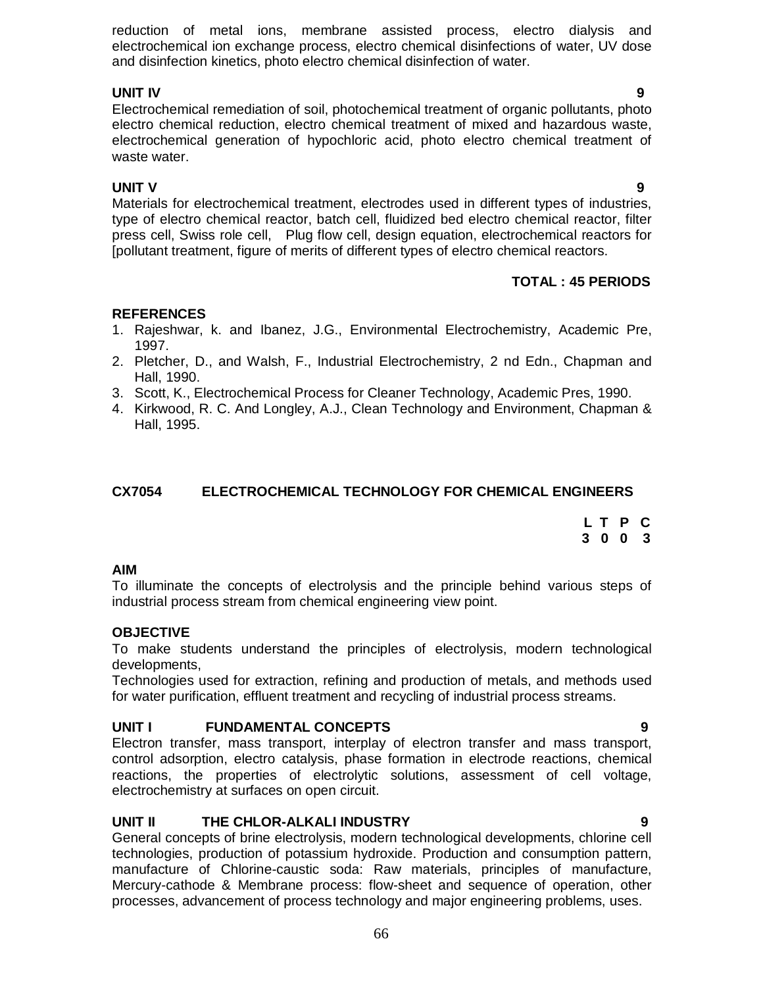reduction of metal ions, membrane assisted process, electro dialysis and electrochemical ion exchange process, electro chemical disinfections of water, UV dose and disinfection kinetics, photo electro chemical disinfection of water.

**UNIT IV 9** Electrochemical remediation of soil, photochemical treatment of organic pollutants, photo electro chemical reduction, electro chemical treatment of mixed and hazardous waste, electrochemical generation of hypochloric acid, photo electro chemical treatment of waste water.

# **UNIT V** 9

Materials for electrochemical treatment, electrodes used in different types of industries, type of electro chemical reactor, batch cell, fluidized bed electro chemical reactor, filter press cell, Swiss role cell, Plug flow cell, design equation, electrochemical reactors for [pollutant treatment, figure of merits of different types of electro chemical reactors.

# **TOTAL : 45 PERIODS**

# **REFERENCES**

- 1. Rajeshwar, k. and Ibanez, J.G., Environmental Electrochemistry, Academic Pre, 1997.
- 2. Pletcher, D., and Walsh, F., Industrial Electrochemistry, 2 nd Edn., Chapman and Hall, 1990.
- 3. Scott, K., Electrochemical Process for Cleaner Technology, Academic Pres, 1990.
- 4. Kirkwood, R. C. And Longley, A.J., Clean Technology and Environment, Chapman & Hall, 1995.

# **CX7054 ELECTROCHEMICAL TECHNOLOGY FOR CHEMICAL ENGINEERS**

**L T P C 3 0 0 3**

### **AIM**

To illuminate the concepts of electrolysis and the principle behind various steps of industrial process stream from chemical engineering view point.

### **OBJECTIVE**

To make students understand the principles of electrolysis, modern technological developments,

Technologies used for extraction, refining and production of metals, and methods used for water purification, effluent treatment and recycling of industrial process streams.

### **UNIT I FUNDAMENTAL CONCEPTS 9**

Electron transfer, mass transport, interplay of electron transfer and mass transport, control adsorption, electro catalysis, phase formation in electrode reactions, chemical reactions, the properties of electrolytic solutions, assessment of cell voltage, electrochemistry at surfaces on open circuit.

### **UNIT II THE CHLOR-ALKALI INDUSTRY 9**

General concepts of brine electrolysis, modern technological developments, chlorine cell technologies, production of potassium hydroxide. Production and consumption pattern, manufacture of Chlorine-caustic soda: Raw materials, principles of manufacture, Mercury-cathode & Membrane process: flow-sheet and sequence of operation, other processes, advancement of process technology and major engineering problems, uses.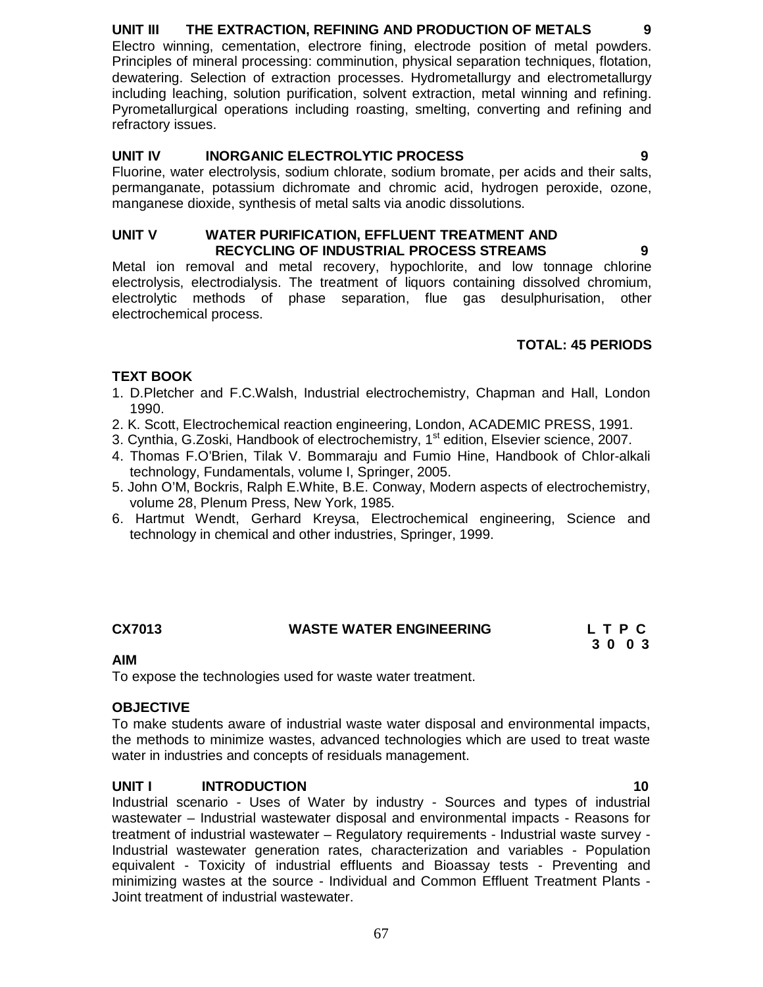# **UNIT III THE EXTRACTION, REFINING AND PRODUCTION OF METALS 9**

Electro winning, cementation, electrore fining, electrode position of metal powders. Principles of mineral processing: comminution, physical separation techniques, flotation, dewatering. Selection of extraction processes. Hydrometallurgy and electrometallurgy including leaching, solution purification, solvent extraction, metal winning and refining. Pyrometallurgical operations including roasting, smelting, converting and refining and refractory issues.

# **UNIT IV INORGANIC ELECTROLYTIC PROCESS 9**

Fluorine, water electrolysis, sodium chlorate, sodium bromate, per acids and their salts, permanganate, potassium dichromate and chromic acid, hydrogen peroxide, ozone, manganese dioxide, synthesis of metal salts via anodic dissolutions.

### **UNIT V WATER PURIFICATION, EFFLUENT TREATMENT AND RECYCLING OF INDUSTRIAL PROCESS STREAMS 9**

Metal ion removal and metal recovery, hypochlorite, and low tonnage chlorine electrolysis, electrodialysis. The treatment of liquors containing dissolved chromium, electrolytic methods of phase separation, flue gas desulphurisation, other electrochemical process.

# **TOTAL: 45 PERIODS**

# **TEXT BOOK**

- 1. D.Pletcher and F.C.Walsh, Industrial electrochemistry, Chapman and Hall, London 1990.
- 2. K. Scott, Electrochemical reaction engineering, London, ACADEMIC PRESS, 1991.
- 3. Cynthia, G.Zoski, Handbook of electrochemistry, 1<sup>st</sup> edition, Elsevier science, 2007.
- 4. Thomas F.O'Brien, Tilak V. Bommaraju and Fumio Hine, Handbook of Chlor-alkali technology, Fundamentals, volume I, Springer, 2005.
- 5. John O'M, Bockris, Ralph E.White, B.E. Conway, Modern aspects of electrochemistry, volume 28, Plenum Press, New York, 1985.
- 6. Hartmut Wendt, Gerhard Kreysa, Electrochemical engineering, Science and technology in chemical and other industries, Springer, 1999.

# CX7013 **WASTE WATER ENGINEERING** L T P C **C** 2 0 0 3

 **3 0 0 3**

### **AIM**

To expose the technologies used for waste water treatment.

# **OBJECTIVE**

To make students aware of industrial waste water disposal and environmental impacts, the methods to minimize wastes, advanced technologies which are used to treat waste water in industries and concepts of residuals management.

# **UNIT I INTRODUCTION 10**

Industrial scenario - Uses of Water by industry - Sources and types of industrial wastewater – Industrial wastewater disposal and environmental impacts - Reasons for treatment of industrial wastewater – Regulatory requirements - Industrial waste survey - Industrial wastewater generation rates, characterization and variables - Population equivalent - Toxicity of industrial effluents and Bioassay tests - Preventing and minimizing wastes at the source - Individual and Common Effluent Treatment Plants - Joint treatment of industrial wastewater.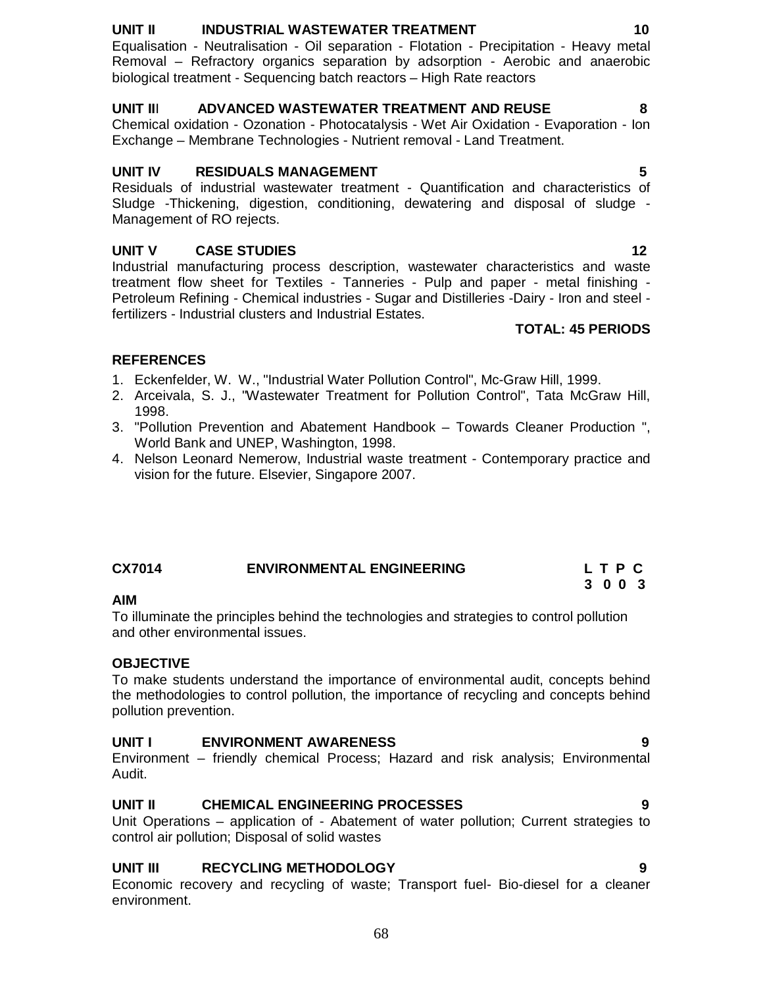# **UNIT II INDUSTRIAL WASTEWATER TREATMENT 10**

Equalisation - Neutralisation - Oil separation - Flotation - Precipitation - Heavy metal Removal – Refractory organics separation by adsorption - Aerobic and anaerobic biological treatment - Sequencing batch reactors – High Rate reactors

# **UNIT II**I **ADVANCED WASTEWATER TREATMENT AND REUSE 8**

Chemical oxidation - Ozonation - Photocatalysis - Wet Air Oxidation - Evaporation - Ion Exchange – Membrane Technologies - Nutrient removal - Land Treatment.

## **UNIT IV RESIDUALS MANAGEMENT 5**

Residuals of industrial wastewater treatment - Quantification and characteristics of Sludge -Thickening, digestion, conditioning, dewatering and disposal of sludge - Management of RO rejects.

# **UNIT V CASE STUDIES 12**

Industrial manufacturing process description, wastewater characteristics and waste treatment flow sheet for Textiles - Tanneries - Pulp and paper - metal finishing - Petroleum Refining - Chemical industries - Sugar and Distilleries -Dairy - Iron and steel fertilizers - Industrial clusters and Industrial Estates.

# **TOTAL: 45 PERIODS**

# **REFERENCES**

- 1. Eckenfelder, W. W., "Industrial Water Pollution Control", Mc-Graw Hill, 1999.
- 2. Arceivala, S. J., "Wastewater Treatment for Pollution Control", Tata McGraw Hill, 1998.
- 3. "Pollution Prevention and Abatement Handbook Towards Cleaner Production ", World Bank and UNEP, Washington, 1998.
- 4. Nelson Leonard Nemerow, Industrial waste treatment Contemporary practice and vision for the future. Elsevier, Singapore 2007.

# **CX7014 ENVIRONMENTAL ENGINEERING L T P C**

### **AIM**

To illuminate the principles behind the technologies and strategies to control pollution and other environmental issues.

### **OBJECTIVE**

To make students understand the importance of environmental audit, concepts behind the methodologies to control pollution, the importance of recycling and concepts behind pollution prevention.

### **UNIT I ENVIRONMENT AWARENESS 9**

Environment – friendly chemical Process; Hazard and risk analysis; Environmental Audit.

# **UNIT II CHEMICAL ENGINEERING PROCESSES 9**

Unit Operations – application of - Abatement of water pollution; Current strategies to control air pollution; Disposal of solid wastes

# **UNIT III RECYCLING METHODOLOGY 9**

Economic recovery and recycling of waste; Transport fuel- Bio-diesel for a cleaner environment.

 **3 0 0 3**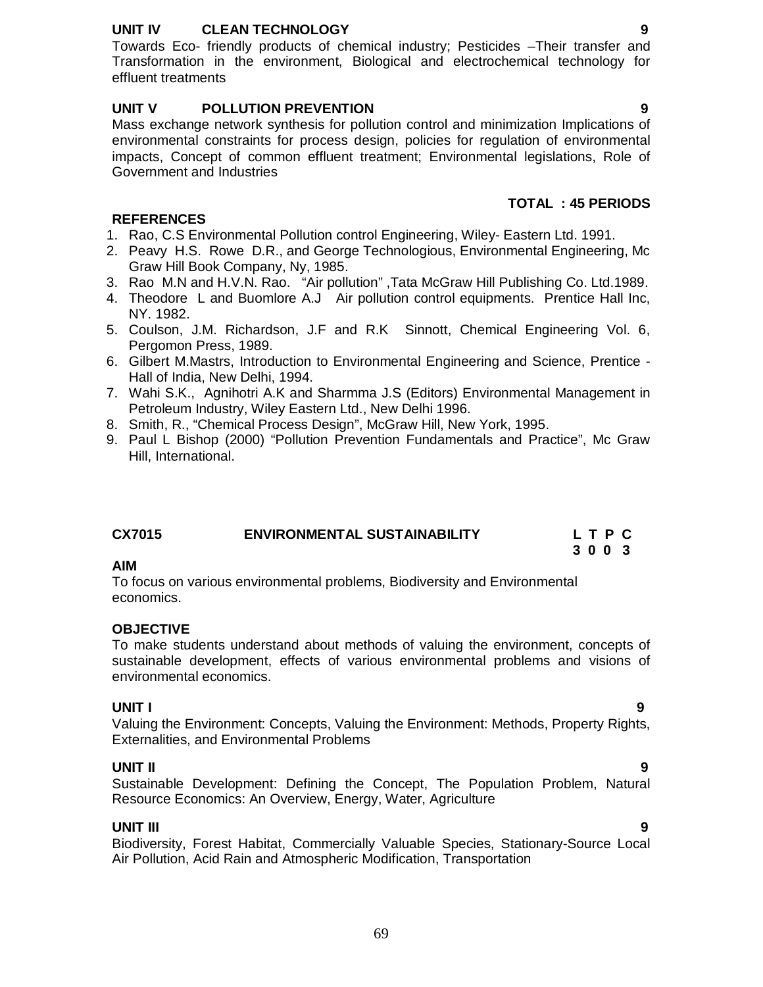### **UNIT IV CLEAN TECHNOLOGY 9**

Towards Eco- friendly products of chemical industry; Pesticides –Their transfer and Transformation in the environment, Biological and electrochemical technology for effluent treatments

# **UNIT V POLLUTION PREVENTION 9**

Mass exchange network synthesis for pollution control and minimization Implications of environmental constraints for process design, policies for regulation of environmental impacts, Concept of common effluent treatment; Environmental legislations, Role of Government and Industries

## **TOTAL : 45 PERIODS**

#### **REFERENCES**

- 1. Rao, C.S Environmental Pollution control Engineering, Wiley- Eastern Ltd. 1991.
- 2. Peavy H.S. Rowe D.R., and George Technologious, Environmental Engineering, Mc Graw Hill Book Company, Ny, 1985.
- 3. Rao M.N and H.V.N. Rao. "Air pollution" ,Tata McGraw Hill Publishing Co. Ltd.1989.
- 4. Theodore L and Buomlore A.J Air pollution control equipments. Prentice Hall Inc, NY. 1982.
- 5. Coulson, J.M. Richardson, J.F and R.K Sinnott, Chemical Engineering Vol. 6, Pergomon Press, 1989.
- 6. Gilbert M.Mastrs, Introduction to Environmental Engineering and Science, Prentice Hall of India, New Delhi, 1994.
- 7. Wahi S.K., Agnihotri A.K and Sharmma J.S (Editors) Environmental Management in Petroleum Industry, Wiley Eastern Ltd., New Delhi 1996.
- 8. Smith, R., "Chemical Process Design", McGraw Hill, New York, 1995.
- 9. Paul L Bishop (2000) "Pollution Prevention Fundamentals and Practice", Mc Graw Hill, International.

| <b>CX7015</b> | <b>ENVIRONMENTAL SUSTAINABILITY</b> | L T P C |  |  |
|---------------|-------------------------------------|---------|--|--|
|               |                                     | 3003    |  |  |

#### **AIM**

To focus on various environmental problems, Biodiversity and Environmental economics.

### **OBJECTIVE**

To make students understand about methods of valuing the environment, concepts of sustainable development, effects of various environmental problems and visions of environmental economics.

# **UNIT I 9**

Valuing the Environment: Concepts, Valuing the Environment: Methods, Property Rights, Externalities, and Environmental Problems

### **UNIT II 9**

Sustainable Development: Defining the Concept, The Population Problem, Natural Resource Economics: An Overview, Energy, Water, Agriculture

### **UNIT III 9**

Biodiversity, Forest Habitat, Commercially Valuable Species, Stationary-Source Local Air Pollution, Acid Rain and Atmospheric Modification, Transportation